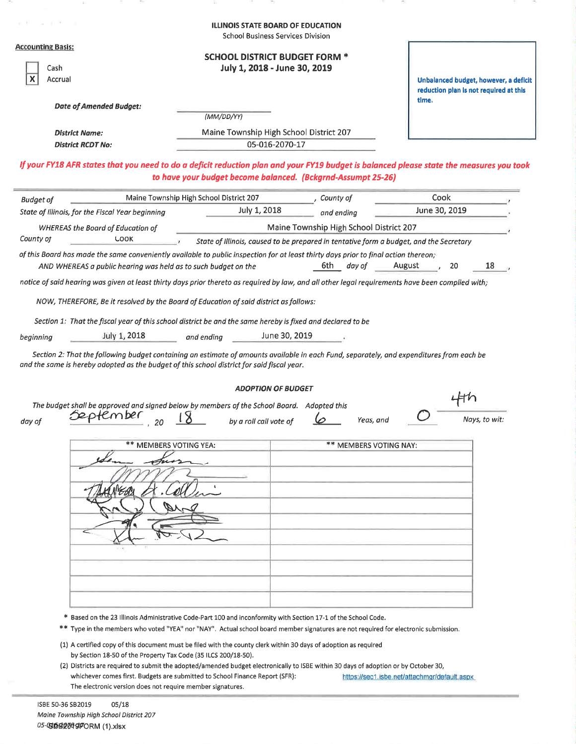|                                                                                                                                                                                                                                        | <b>ILLINOIS STATE BOARD OF EDUCATION</b><br><b>School Business Services Division</b>                           |                                         |               |                                                                                 |
|----------------------------------------------------------------------------------------------------------------------------------------------------------------------------------------------------------------------------------------|----------------------------------------------------------------------------------------------------------------|-----------------------------------------|---------------|---------------------------------------------------------------------------------|
| <b>Accounting Basis:</b><br>Cash<br>Accrual                                                                                                                                                                                            | <b>SCHOOL DISTRICT BUDGET FORM *</b><br>July 1, 2018 - June 30, 2019                                           |                                         |               | Unbalanced budget, however, a deficit<br>reduction plan is not required at this |
| <b>Date of Amended Budget:</b>                                                                                                                                                                                                         |                                                                                                                |                                         | time.         |                                                                                 |
|                                                                                                                                                                                                                                        | (MM/DD/YY)                                                                                                     |                                         |               |                                                                                 |
| <b>District Name:</b>                                                                                                                                                                                                                  | Maine Township High School District 207                                                                        |                                         |               |                                                                                 |
| <b>District RCDT No:</b>                                                                                                                                                                                                               | 05-016-2070-17                                                                                                 |                                         |               |                                                                                 |
| If your FY18 AFR states that you need to do a deficit reduction plan and your FY19 budget is balanced please state the measures you took                                                                                               | to have your budget become balanced. (Bckgrnd-Assumpt 25-26)                                                   |                                         |               |                                                                                 |
| <b>Budget of</b>                                                                                                                                                                                                                       | Maine Township High School District 207                                                                        | County of                               | Cook          |                                                                                 |
| State of Illinois, for the Fiscal Year beginning                                                                                                                                                                                       | July 1, 2018                                                                                                   | and ending                              | June 30, 2019 |                                                                                 |
| <b>WHEREAS the Board of Education of</b>                                                                                                                                                                                               |                                                                                                                | Maine Township High School District 207 |               |                                                                                 |
| County of<br>LOOK                                                                                                                                                                                                                      | State of Illinois, caused to be prepared in tentative form a budget, and the Secretary                         |                                         |               |                                                                                 |
| of this Board has made the same conveniently available to public inspection for at least thirty days prior to final action thereon:                                                                                                    |                                                                                                                |                                         |               |                                                                                 |
| AND WHEREAS a public hearing was held as to such budget on the                                                                                                                                                                         |                                                                                                                | 6th —<br>day of                         | August        | 18<br>20                                                                        |
| notice of said hearing was given at least thirty days prior thereto as required by law, and all other legal requirements have been complied with;                                                                                      |                                                                                                                |                                         |               |                                                                                 |
| NOW, THEREFORE, Be it resolved by the Board of Education of said district as follows:                                                                                                                                                  |                                                                                                                |                                         |               |                                                                                 |
| Section 1: That the fiscal year of this school district be and the same hereby is fixed and declared to be                                                                                                                             |                                                                                                                |                                         |               |                                                                                 |
| July 1, 2018<br>beginning                                                                                                                                                                                                              | June 30, 2019<br>and endina                                                                                    |                                         |               |                                                                                 |
| Section 2: That the following budget containing an estimate of amounts available in each Fund, separately, and expenditures from each be<br>and the same is hereby adopted as the budget of this school district for said fiscal year. |                                                                                                                |                                         |               |                                                                                 |
|                                                                                                                                                                                                                                        | <b>ADOPTION OF BUDGET</b>                                                                                      |                                         |               |                                                                                 |
| The budget shall be approved and signed below by members of the School Board. Adopted this                                                                                                                                             |                                                                                                                |                                         |               |                                                                                 |
| o temper<br>dav of                                                                                                                                                                                                                     | by a roll call vote of                                                                                         | Yeas, and                               |               | Nays, to wit:                                                                   |
| ** MEMBERS VOTING YEA:                                                                                                                                                                                                                 |                                                                                                                | ** MEMBERS VOTING NAY:                  |               |                                                                                 |
|                                                                                                                                                                                                                                        |                                                                                                                |                                         |               |                                                                                 |
|                                                                                                                                                                                                                                        |                                                                                                                |                                         |               |                                                                                 |
|                                                                                                                                                                                                                                        |                                                                                                                |                                         |               |                                                                                 |
|                                                                                                                                                                                                                                        |                                                                                                                |                                         |               |                                                                                 |
|                                                                                                                                                                                                                                        |                                                                                                                |                                         |               |                                                                                 |
|                                                                                                                                                                                                                                        |                                                                                                                |                                         |               |                                                                                 |
|                                                                                                                                                                                                                                        |                                                                                                                |                                         |               |                                                                                 |
|                                                                                                                                                                                                                                        |                                                                                                                |                                         |               |                                                                                 |
|                                                                                                                                                                                                                                        |                                                                                                                |                                         |               |                                                                                 |
|                                                                                                                                                                                                                                        |                                                                                                                |                                         |               |                                                                                 |
|                                                                                                                                                                                                                                        |                                                                                                                |                                         |               |                                                                                 |
|                                                                                                                                                                                                                                        | * Based on the 23 Illinois Administrative Code-Part 100 and inconformity with Section 17-1 of the School Code. |                                         |               |                                                                                 |
| ** Type in the members who voted "YEA" nor "NAY". Actual school board member signatures are not required for electronic submission.                                                                                                    |                                                                                                                |                                         |               |                                                                                 |
| (1) A certified copy of this document must be filed with the county clerk within 30 days of adoption as required                                                                                                                       |                                                                                                                |                                         |               |                                                                                 |
| by Section 18-50 of the Property Tax Code (35 ILCS 200/18-50).                                                                                                                                                                         |                                                                                                                |                                         |               |                                                                                 |

(2) Districts are required to submit the adopted/amended budget electronically to ISBE within 30 days of adoption or by October 30, whichever comes first. Budgets are submitted to School Finance Report (SFR): https://sec1.isbe.net/attachmgr/default.aspx The electronic version does not require member signatures.

ISBE 50-36 SB2019  $05/18$ Maine Township High School District 207 05-0308204970RM (1).xlsx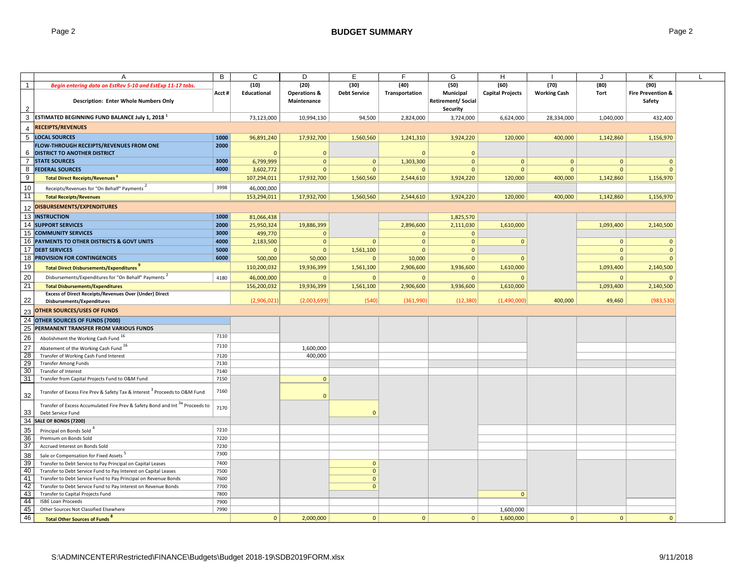|                 | A                                                                                      | B     | $\mathsf{C}$ | D                       | Е                   | F              | G                         | H                       |                     |              | K                            |  |
|-----------------|----------------------------------------------------------------------------------------|-------|--------------|-------------------------|---------------------|----------------|---------------------------|-------------------------|---------------------|--------------|------------------------------|--|
| $\overline{1}$  | Begin entering data on EstRev 5-10 and EstExp 11-17 tabs.                              |       | (10)         | (20)                    | (30)                | (40)           | (50)                      | (60)                    | (70)                | (80)         | (90)                         |  |
|                 |                                                                                        | Acct# | Educational  | <b>Operations &amp;</b> | <b>Debt Service</b> | Transportation | Municipal                 | <b>Capital Projects</b> | <b>Working Cash</b> | Tort         | <b>Fire Prevention &amp;</b> |  |
|                 | <b>Description: Enter Whole Numbers Only</b>                                           |       |              | Maintenance             |                     |                | <b>Retirement/ Social</b> |                         |                     |              | Safety                       |  |
|                 |                                                                                        |       |              |                         |                     |                | <b>Security</b>           |                         |                     |              |                              |  |
| $\mathbf{3}$    | ESTIMATED BEGINNING FUND BALANCE July 1, 2018 <sup>1</sup>                             |       | 73,123,000   | 10,994,130              | 94,500              | 2,824,000      | 3,724,000                 | 6,624,000               | 28,334,000          | 1,040,000    | 432,400                      |  |
|                 | <b>RECEIPTS/REVENUES</b>                                                               |       |              |                         |                     |                |                           |                         |                     |              |                              |  |
| $\overline{4}$  |                                                                                        |       |              |                         |                     |                |                           |                         |                     |              |                              |  |
| 5               | <b>LOCAL SOURCES</b>                                                                   | 1000  | 96,891,240   | 17,932,700              | 1,560,560           | 1,241,310      | 3,924,220                 | 120,000                 | 400,000             | 1,142,860    | 1,156,970                    |  |
|                 | FLOW-THROUGH RECEIPTS/REVENUES FROM ONE                                                | 2000  |              |                         |                     |                |                           |                         |                     |              |                              |  |
|                 | <b>6 DISTRICT TO ANOTHER DISTRICT</b>                                                  |       | $\Omega$     | $\mathbf{0}$            |                     | $\Omega$       | $\mathbf{0}$              |                         |                     |              |                              |  |
|                 | <b>7 STATE SOURCES</b>                                                                 | 3000  | 6,799,999    | $\mathbf 0$             | $\mathbf{0}$        | 1,303,300      | $\mathbf{0}$              | $\mathbf{0}$            | $\mathbf{0}$        | $\mathbf{0}$ | $\mathbf{0}$                 |  |
| 8               | <b>FEDERAL SOURCES</b>                                                                 | 4000  | 3,602,772    | $\mathbf{0}$            | $\mathbf{0}$        | $\overline{0}$ | $\mathbf{0}$              | $\mathbf{0}$            | $\mathbf{0}$        | $\mathbf{0}$ | $\mathbf{0}$                 |  |
| 9               | Total Direct Receipts/Revenues                                                         |       | 107,294,011  | 17,932,700              | 1,560,560           | 2,544,610      | 3,924,220                 | 120,000                 | 400,000             | 1,142,860    | 1,156,970                    |  |
| 10              | Receipts/Revenues for "On Behalf" Payments <sup>2</sup>                                | 3998  | 46,000,000   |                         |                     |                |                           |                         |                     |              |                              |  |
| 11              | <b>Total Receipts/Revenues</b>                                                         |       | 153,294,011  | 17,932,700              | 1,560,560           | 2,544,610      | 3,924,220                 | 120,000                 | 400,000             | 1,142,860    | 1,156,970                    |  |
|                 |                                                                                        |       |              |                         |                     |                |                           |                         |                     |              |                              |  |
| 12              | <b>DISBURSEMENTS/EXPENDITURES</b>                                                      |       |              |                         |                     |                |                           |                         |                     |              |                              |  |
|                 | <b>13 INSTRUCTION</b>                                                                  | 1000  | 81,066,438   |                         |                     |                | 1,825,570                 |                         |                     |              |                              |  |
|                 | <b>14 SUPPORT SERVICES</b>                                                             | 2000  | 25,950,324   | 19,886,399              |                     | 2,896,600      | 2,111,030                 | 1,610,000               |                     | 1,093,400    | 2,140,500                    |  |
|                 | 15 COMMUNITY SERVICES                                                                  | 3000  | 499,770      | $\mathbf{0}$            |                     | $\overline{0}$ | $\mathbf{0}$              |                         |                     |              |                              |  |
|                 | 16 PAYMENTS TO OTHER DISTRICTS & GOVT UNITS                                            | 4000  | 2,183,500    | $\mathbf{0}$            | $\mathbf{0}$        | $\mathbf{0}$   | $\mathbf{0}$              | $\mathbf{0}$            |                     | $\mathbf{0}$ | $\mathbf{0}$                 |  |
|                 | <b>17 DEBT SERVICES</b>                                                                | 5000  | $\Omega$     | $\mathbf{0}$            | 1,561,100           | $\mathbf{0}$   | $\mathbf{0}$              |                         |                     | $\mathbf{0}$ | $\mathbf{0}$                 |  |
|                 | <b>18 PROVISION FOR CONTINGENCIES</b>                                                  | 6000  | 500,000      | 50,000                  | $\mathbf{0}$        | 10,000         | $\mathbf{0}$              | $\mathbf{0}$            |                     | $\mathbf{0}$ | $\mathbf{0}$                 |  |
| 19              | <b>Total Direct Disbursements/Expenditures</b>                                         |       | 110,200,032  | 19,936,399              | 1,561,100           | 2,906,600      | 3,936,600                 | 1,610,000               |                     | 1,093,400    | 2,140,500                    |  |
| 20              | Disbursements/Expenditures for "On Behalf" Payments                                    | 4180  | 46,000,000   | $\mathbf{0}$            | $\mathbf{0}$        | $\Omega$       | $\mathbf{0}$              | $\Omega$                |                     | $\mathbf{0}$ |                              |  |
| 21              | <b>Total Disbursements/Expenditures</b>                                                |       | 156,200,032  | 19,936,399              | 1,561,100           | 2,906,600      | 3,936,600                 | 1,610,000               |                     | 1,093,400    | 2,140,500                    |  |
|                 | Excess of Direct Receipts/Revenues Over (Under) Direct                                 |       |              |                         |                     |                |                           |                         |                     |              |                              |  |
| 22              | Disbursements/Expenditures                                                             |       | (2,906,021)  | (2,003,699)             | (540)               | (361,990)      | (12, 380)                 | (1,490,000)             | 400,000             | 49,460       | (983,530                     |  |
|                 | OTHER SOURCES/USES OF FUNDS                                                            |       |              |                         |                     |                |                           |                         |                     |              |                              |  |
| 23              |                                                                                        |       |              |                         |                     |                |                           |                         |                     |              |                              |  |
| 24              | OTHER SOURCES OF FUNDS (7000)                                                          |       |              |                         |                     |                |                           |                         |                     |              |                              |  |
| 25              | PERMANENT TRANSFER FROM VARIOUS FUNDS                                                  |       |              |                         |                     |                |                           |                         |                     |              |                              |  |
| 26              | Abolishment the Working Cash Fund 16                                                   | 7110  |              |                         |                     |                |                           |                         |                     |              |                              |  |
| $\overline{27}$ | Abatement of the Working Cash Fund 16                                                  | 7110  |              | 1,600,000               |                     |                |                           |                         |                     |              |                              |  |
| 28              | Transfer of Working Cash Fund Interest                                                 | 7120  |              | 400,000                 |                     |                |                           |                         |                     |              |                              |  |
| 29              | <b>Transfer Among Funds</b>                                                            | 7130  |              |                         |                     |                |                           |                         |                     |              |                              |  |
| 30              | Transfer of Interest                                                                   | 7140  |              |                         |                     |                |                           |                         |                     |              |                              |  |
| 31              | Transfer from Capital Projects Fund to O&M Fund                                        | 7150  |              | $\mathbf{0}$            |                     |                |                           |                         |                     |              |                              |  |
|                 | Transfer of Excess Fire Prev & Safety Tax & Interest <sup>3</sup> Proceeds to O&M Fund | 7160  |              |                         |                     |                |                           |                         |                     |              |                              |  |
| 32              |                                                                                        |       |              | $\mathbf{0}$            |                     |                |                           |                         |                     |              |                              |  |
|                 | Transfer of Excess Accumulated Fire Prev & Safety Bond and Int 3a Proceeds to          | 7170  |              |                         |                     |                |                           |                         |                     |              |                              |  |
| 33              | Debt Service Fund                                                                      |       |              |                         | $\mathbf{0}$        |                |                           |                         |                     |              |                              |  |
| 34              | SALE OF BONDS (7200)                                                                   |       |              |                         |                     |                |                           |                         |                     |              |                              |  |
| 35              | Principal on Bonds Sold <sup>4</sup>                                                   | 7210  |              |                         |                     |                |                           |                         |                     |              |                              |  |
| 36              | Premium on Bonds Sold                                                                  | 7220  |              |                         |                     |                |                           |                         |                     |              |                              |  |
| 37              | Accrued Interest on Bonds Sold                                                         | 7230  |              |                         |                     |                |                           |                         |                     |              |                              |  |
| 38              | Sale or Compensation for Fixed Assets                                                  | 7300  |              |                         |                     |                |                           |                         |                     |              |                              |  |
| 39              | Transfer to Debt Service to Pay Principal on Capital Leases                            | 7400  |              |                         | 0                   |                |                           |                         |                     |              |                              |  |
| 40              | Transfer to Debt Service Fund to Pay Interest on Capital Leases                        | 7500  |              |                         | $\mathbf{0}$        |                |                           |                         |                     |              |                              |  |
| 41              | Transfer to Debt Service Fund to Pay Principal on Revenue Bonds                        | 7600  |              |                         | $\mathbf{0}$        |                |                           |                         |                     |              |                              |  |
| 42              | Transfer to Debt Service Fund to Pay Interest on Revenue Bonds                         | 7700  |              |                         | $\mathbf{0}$        |                |                           |                         |                     |              |                              |  |
| 43              | Transfer to Capital Projects Fund                                                      | 7800  |              |                         |                     |                |                           | $\mathbf{0}$            |                     |              |                              |  |
| 44              | <b>ISBE Loan Proceeds</b>                                                              | 7900  |              |                         |                     |                |                           |                         |                     |              |                              |  |
| 45              | Other Sources Not Classified Elsewhere                                                 | 7990  |              |                         |                     |                |                           | 1,600,000               |                     |              |                              |  |
| 46              | <b>Total Other Sources of Funds<sup>8</sup></b>                                        |       | $\mathbf{0}$ | 2,000,000               | $\overline{0}$      | $\mathbf{0}$   | $\mathbf{0}$              | 1,600,000               | $\mathbf{0}$        | $\mathbf{0}$ | $\mathbf{0}$                 |  |
|                 |                                                                                        |       |              |                         |                     |                |                           |                         |                     |              |                              |  |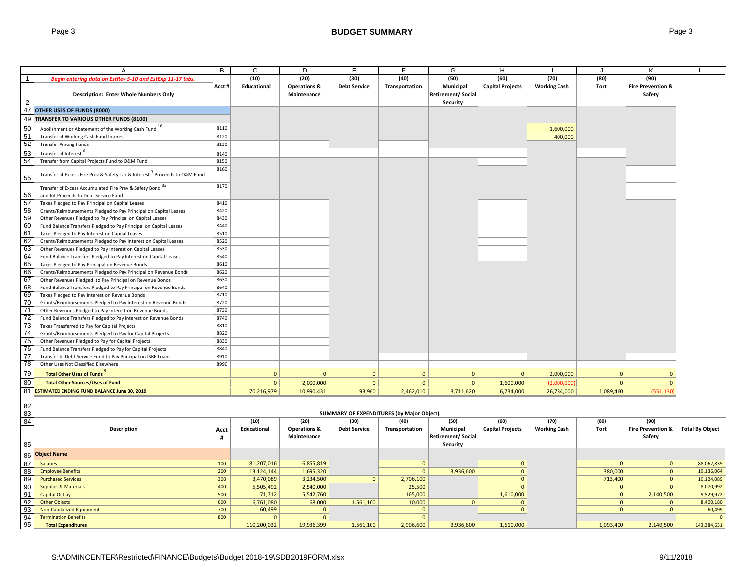|                 | A                                                                                      | В     | C                        | D                                      | E                                         | F                            | G                                                  | н                       |                     |                         | Κ                                      |                          |
|-----------------|----------------------------------------------------------------------------------------|-------|--------------------------|----------------------------------------|-------------------------------------------|------------------------------|----------------------------------------------------|-------------------------|---------------------|-------------------------|----------------------------------------|--------------------------|
| $\overline{1}$  | Begin entering data on EstRev 5-10 and EstExp 11-17 tabs.                              |       | (10)                     | (20)                                   | (30)                                      | (40)                         | (50)                                               | (60)                    | (70)                | (80)                    | (90)                                   |                          |
| $\mathcal{D}$   | <b>Description: Enter Whole Numbers Only</b>                                           | Acct# | Educational              | <b>Operations &amp;</b><br>Maintenance | <b>Debt Service</b>                       | Transportation               | Municipal<br>Retirement/ Social<br><b>Security</b> | <b>Capital Projects</b> | <b>Working Cash</b> | Tort                    | <b>Fire Prevention &amp;</b><br>Safety |                          |
| 47              | OTHER USES OF FUNDS (8000)                                                             |       |                          |                                        |                                           |                              |                                                    |                         |                     |                         |                                        |                          |
| 49              | TRANSFER TO VARIOUS OTHER FUNDS (8100)                                                 |       |                          |                                        |                                           |                              |                                                    |                         |                     |                         |                                        |                          |
|                 |                                                                                        | 8110  |                          |                                        |                                           |                              |                                                    |                         |                     |                         |                                        |                          |
| 50              | Abolishment or Abatement of the Working Cash Fund 16                                   |       |                          |                                        |                                           |                              |                                                    |                         | 1,600,000           |                         |                                        |                          |
| 51<br>52        | Transfer of Working Cash Fund Interest                                                 | 8120  |                          |                                        |                                           |                              |                                                    |                         | 400,000             |                         |                                        |                          |
|                 | <b>Transfer Among Funds</b>                                                            | 8130  |                          |                                        |                                           |                              |                                                    |                         |                     |                         |                                        |                          |
| 53              | Transfer of Interest <sup>o</sup>                                                      | 8140  |                          |                                        |                                           |                              |                                                    |                         |                     |                         |                                        |                          |
| 54              | Transfer from Capital Projects Fund to O&M Fund                                        | 8150  |                          |                                        |                                           |                              |                                                    |                         |                     |                         |                                        |                          |
| 55              | Transfer of Excess Fire Prev & Safety Tax & Interest <sup>3</sup> Proceeds to O&M Fund | 8160  |                          |                                        |                                           |                              |                                                    |                         |                     |                         |                                        |                          |
|                 | Transfer of Excess Accumulated Fire Prev & Safety Bond 3a                              | 8170  |                          |                                        |                                           |                              |                                                    |                         |                     |                         |                                        |                          |
| 56              | and Int Proceeds to Debt Service Fund                                                  |       |                          |                                        |                                           |                              |                                                    |                         |                     |                         |                                        |                          |
| 57              | Taxes Pledged to Pay Principal on Capital Leases                                       | 8410  |                          |                                        |                                           |                              |                                                    |                         |                     |                         |                                        |                          |
| 58              | Grants/Reimbursements Pledged to Pay Principal on Capital Leases                       | 8420  |                          |                                        |                                           |                              |                                                    |                         |                     |                         |                                        |                          |
| 59              | Other Revenues Pledged to Pay Principal on Capital Leases                              | 8430  |                          |                                        |                                           |                              |                                                    |                         |                     |                         |                                        |                          |
| 60              | Fund Balance Transfers Pledged to Pay Principal on Capital Leases                      | 8440  |                          |                                        |                                           |                              |                                                    |                         |                     |                         |                                        |                          |
| 61              | Taxes Pledged to Pay Interest on Capital Leases                                        | 8510  |                          |                                        |                                           |                              |                                                    |                         |                     |                         |                                        |                          |
| 62              | Grants/Reimbursements Pledged to Pay Interest on Capital Leases                        | 8520  |                          |                                        |                                           |                              |                                                    |                         |                     |                         |                                        |                          |
| 63              | Other Revenues Pledged to Pay Interest on Capital Leases                               | 8530  |                          |                                        |                                           |                              |                                                    |                         |                     |                         |                                        |                          |
| 64              | Fund Balance Transfers Pledged to Pay Interest on Capital Leases                       | 8540  |                          |                                        |                                           |                              |                                                    |                         |                     |                         |                                        |                          |
| 65              | Taxes Pledged to Pay Principal on Revenue Bonds                                        | 8610  |                          |                                        |                                           |                              |                                                    |                         |                     |                         |                                        |                          |
| 66              | Grants/Reimbursements Pledged to Pay Principal on Revenue Bonds                        | 8620  |                          |                                        |                                           |                              |                                                    |                         |                     |                         |                                        |                          |
| 67              | Other Revenues Pledged to Pay Principal on Revenue Bonds                               | 8630  |                          |                                        |                                           |                              |                                                    |                         |                     |                         |                                        |                          |
| 68              | Fund Balance Transfers Pledged to Pay Principal on Revenue Bonds                       | 8640  |                          |                                        |                                           |                              |                                                    |                         |                     |                         |                                        |                          |
| 69              | Taxes Pledged to Pay Interest on Revenue Bonds                                         | 8710  |                          |                                        |                                           |                              |                                                    |                         |                     |                         |                                        |                          |
| 70              | Grants/Reimbursements Pledged to Pay Interest on Revenue Bonds                         | 8720  |                          |                                        |                                           |                              |                                                    |                         |                     |                         |                                        |                          |
| $\overline{71}$ | Other Revenues Pledged to Pay Interest on Revenue Bonds                                | 8730  |                          |                                        |                                           |                              |                                                    |                         |                     |                         |                                        |                          |
| 72              | Fund Balance Transfers Pledged to Pay Interest on Revenue Bonds                        | 8740  |                          |                                        |                                           |                              |                                                    |                         |                     |                         |                                        |                          |
| 73              | Taxes Transferred to Pay for Capital Projects                                          | 8810  |                          |                                        |                                           |                              |                                                    |                         |                     |                         |                                        |                          |
| $\overline{74}$ | Grants/Reimbursements Pledged to Pay for Capital Projects                              | 8820  |                          |                                        |                                           |                              |                                                    |                         |                     |                         |                                        |                          |
| 75              | Other Revenues Pledged to Pay for Capital Projects                                     | 8830  |                          |                                        |                                           |                              |                                                    |                         |                     |                         |                                        |                          |
| 76              | Fund Balance Transfers Pledged to Pay for Capital Projects                             | 8840  |                          |                                        |                                           |                              |                                                    |                         |                     |                         |                                        |                          |
| $\overline{77}$ | Transfer to Debt Service Fund to Pay Principal on ISBE Loans                           | 8910  |                          |                                        |                                           |                              |                                                    |                         |                     |                         |                                        |                          |
| $\overline{78}$ | Other Uses Not Classified Elsewhere                                                    | 8990  |                          |                                        |                                           |                              |                                                    |                         |                     |                         |                                        |                          |
| 79              | Total Other Uses of Funds                                                              |       | $\overline{0}$           | $\mathbf{0}$                           | $\mathbf{0}$                              | $\mathbf{0}$                 | $\mathbf{0}$                                       | $\mathbf{0}$            | 2,000,000           | $\mathbf{0}$            | $\mathbf{0}$                           |                          |
| 80              | <b>Total Other Sources/Uses of Fund</b>                                                |       | $\overline{0}$           | 2,000,000                              | $\mathbf{0}$                              | $\mathbf{0}$                 | $\overline{0}$                                     | 1,600,000               | (2,000,000)         | $\mathbf{0}$            | $\mathbf{0}$                           |                          |
| 81              | <b>ESTIMATED ENDING FUND BALANCE June 30, 2019</b>                                     |       | 70,216,979               | 10,990,431                             | 93,960                                    | 2,462,010                    | 3,711,620                                          | 6,734,000               | 26,734,000          | 1,089,460               | (551, 130)                             |                          |
| 82<br>83        |                                                                                        |       |                          |                                        | SUMMARY OF EXPENDITURES (by Major Object) |                              |                                                    |                         |                     |                         |                                        |                          |
| 84              |                                                                                        |       | (10)                     | (20)                                   | (30)                                      | (40)                         | (50)                                               | (60)                    | (70)                | (80)                    | (90)                                   |                          |
|                 | <b>Description</b>                                                                     | Acct  | Educational              | <b>Operations &amp;</b>                | <b>Debt Service</b>                       | Transportation               | <b>Municipal</b>                                   | <b>Capital Projects</b> | <b>Working Cash</b> | Tort                    | <b>Fire Prevention &amp;</b>           | <b>Total By Object</b>   |
|                 |                                                                                        | #     |                          | Maintenance                            |                                           |                              | <b>Retirement/Social</b>                           |                         |                     |                         | Safety                                 |                          |
| 85              |                                                                                        |       |                          |                                        |                                           |                              | Security                                           |                         |                     |                         |                                        |                          |
|                 | <b>Object Name</b>                                                                     |       |                          |                                        |                                           |                              |                                                    |                         |                     |                         |                                        |                          |
| 86              | <b>Salaries</b>                                                                        | 100   |                          |                                        |                                           |                              |                                                    | $\mathbf{0}$            |                     |                         |                                        |                          |
| 87<br>88        | <b>Employee Benefits</b>                                                               | 200   | 81,207,016<br>13,124,144 | 6,855,819<br>1,695,320                 |                                           | $\mathbf{0}$<br>$\mathbf{0}$ | 3,936,600                                          | $\Omega$                |                     | $\mathbf{0}$<br>380,000 | $\mathbf{0}$<br>$\mathbf{0}$           | 88,062,835<br>19,136,064 |
| 89              | <b>Purchased Services</b>                                                              | 300   | 3,470,089                | 3,234,500                              | 0 <sup>1</sup>                            | 2,706,100                    |                                                    | $\Omega$                |                     | 713,400                 | $\mathbf{0}$                           | 10,124,089               |
| 90              | <b>Supplies &amp; Materials</b>                                                        | 400   | 5,505,492                | 2,540,000                              |                                           | 25,500                       |                                                    | $\Omega$                |                     | $\mathbf{0}$            | $\mathbf{0}$                           | 8,070,992                |
| 91              | <b>Capital Outlay</b>                                                                  | 500   | 71,712                   | 5,542,760                              |                                           | 165,000                      |                                                    | 1,610,000               |                     | $\mathbf{0}$            | 2,140,500                              | 9,529,972                |
| 92              | <b>Other Objects</b>                                                                   | 600   | 6,761,080                | 68,000                                 | 1,561,100                                 | 10,000                       | $\mathbf{0}$                                       | $\mathbf{0}$            |                     | $\mathbf{0}$            | $\mathbf{0}$                           | 8,400,180                |
| 93              | Non-Capitalized Equipment                                                              | 700   | 60,499                   | $\mathbf{0}$                           |                                           | $\mathbf{0}$                 |                                                    | $\Omega$                |                     | $\mathbf{0}$            | $\mathbf{0}$                           | 60,499                   |
| 94              | <b>Termination Benefits</b>                                                            | 800   | $\mathbf{0}$             | $\overline{0}$                         |                                           | $\mathbf{0}$                 |                                                    |                         |                     |                         |                                        | $\mathbf{C}$             |
| 95              | <b>Total Expenditures</b>                                                              |       | 110,200,032              | 19,936,399                             | 1,561,100                                 | 2,906,600                    | 3,936,600                                          | 1,610,000               |                     | 1,093,400               | 2,140,500                              | 143,384,631              |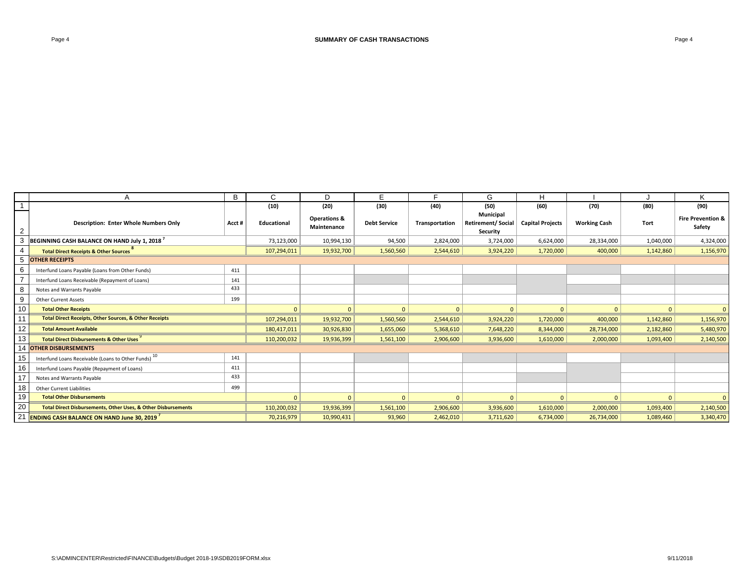|                 | A                                                                 | B      | C                  | D                                      | E                   |                | G                                                        | Н                       |                     |           | Κ                                      |
|-----------------|-------------------------------------------------------------------|--------|--------------------|----------------------------------------|---------------------|----------------|----------------------------------------------------------|-------------------------|---------------------|-----------|----------------------------------------|
|                 |                                                                   |        | (10)               | (20)                                   | (30)                | (40)           | (50)                                                     | (60)                    | (70)                | (80)      | (90)                                   |
| $\overline{2}$  | <b>Description: Enter Whole Numbers Only</b>                      | Acct # | <b>Educational</b> | <b>Operations &amp;</b><br>Maintenance | <b>Debt Service</b> | Transportation | <b>Municipal</b><br><b>Retirement/Social</b><br>Security | <b>Capital Projects</b> | <b>Working Cash</b> | Tort      | <b>Fire Prevention &amp;</b><br>Safety |
|                 | BEGINNING CASH BALANCE ON HAND July 1, 2018 <sup>7</sup>          |        | 73,123,000         | 10,994,130                             | 94,500              | 2,824,000      | 3,724,000                                                | 6,624,000               | 28,334,000          | 1,040,000 | 4,324,000                              |
|                 | <b>Total Direct Receipts &amp; Other Sources</b>                  |        | 107,294,011        | 19,932,700                             | 1,560,560           | 2,544,610      | 3,924,220                                                | 1,720,000               | 400,000             | 1,142,860 | 1,156,970                              |
|                 | <b>OTHER RECEIPTS</b>                                             |        |                    |                                        |                     |                |                                                          |                         |                     |           |                                        |
|                 | Interfund Loans Payable (Loans from Other Funds)                  | 411    |                    |                                        |                     |                |                                                          |                         |                     |           |                                        |
|                 | Interfund Loans Receivable (Repayment of Loans)                   | 141    |                    |                                        |                     |                |                                                          |                         |                     |           |                                        |
|                 | Notes and Warrants Payable                                        | 433    |                    |                                        |                     |                |                                                          |                         |                     |           |                                        |
|                 | <b>Other Current Assets</b>                                       | 199    |                    |                                        |                     |                |                                                          |                         |                     |           |                                        |
| 10              | <b>Total Other Receipts</b>                                       |        | $\mathbf{0}$       | $\Omega$                               | $\mathbf{0}$        | $\Omega$       | $\mathbf{0}$                                             | $\mathbf{0}$            | $\mathbf{0}$        | $\Omega$  |                                        |
| 11              | <b>Total Direct Receipts, Other Sources, &amp; Other Receipts</b> |        | 107,294,011        | 19,932,700                             | 1,560,560           | 2,544,610      | 3,924,220                                                | 1,720,000               | 400,000             | 1,142,860 | 1,156,970                              |
| 12 <sup>2</sup> | <b>Total Amount Available</b>                                     |        | 180,417,011        | 30,926,830                             | 1,655,060           | 5,368,610      | 7,648,220                                                | 8,344,000               | 28,734,000          | 2,182,860 | 5,480,970                              |
|                 | <b>Total Direct Disbursements &amp; Other Uses</b>                |        | 110,200,032        | 19,936,399                             | 1,561,100           | 2,906,600      | 3,936,600                                                | 1,610,000               | 2,000,000           | 1,093,400 | 2,140,500                              |
|                 | <b>OTHER DISBURSEMENTS</b>                                        |        |                    |                                        |                     |                |                                                          |                         |                     |           |                                        |
|                 | Interfund Loans Receivable (Loans to Other Funds) 10              | 141    |                    |                                        |                     |                |                                                          |                         |                     |           |                                        |
| 16              | Interfund Loans Payable (Repayment of Loans)                      | 411    |                    |                                        |                     |                |                                                          |                         |                     |           |                                        |
|                 | Notes and Warrants Payable                                        | 433    |                    |                                        |                     |                |                                                          |                         |                     |           |                                        |
| 18              | <b>Other Current Liabilities</b>                                  | 499    |                    |                                        |                     |                |                                                          |                         |                     |           |                                        |
| 19              | <b>Total Other Disbursements</b>                                  |        | $\mathbf{0}$       | $\Omega$                               | $\Omega$            | $\mathbf{0}$   | $\mathbf{0}$                                             | $\mathbf{0}$            | $\mathbf{0}$        | $\Omega$  | $\Omega$                               |
| 20              | Total Direct Disbursements, Other Uses, & Other Disbursements     |        | 110,200,032        | 19,936,399                             | 1,561,100           | 2,906,600      | 3,936,600                                                | 1,610,000               | 2,000,000           | 1,093,400 | 2,140,500                              |
|                 | 21 <b>ENDING CASH BALANCE ON HAND June 30. 2019 '</b>             |        | 70,216,979         | 10,990,431                             | 93,960              | 2,462,010      | 3,711,620                                                | 6,734,000               | 26,734,000          | 1,089,460 | 3,340,470                              |
|                 |                                                                   |        |                    |                                        |                     |                |                                                          |                         |                     |           |                                        |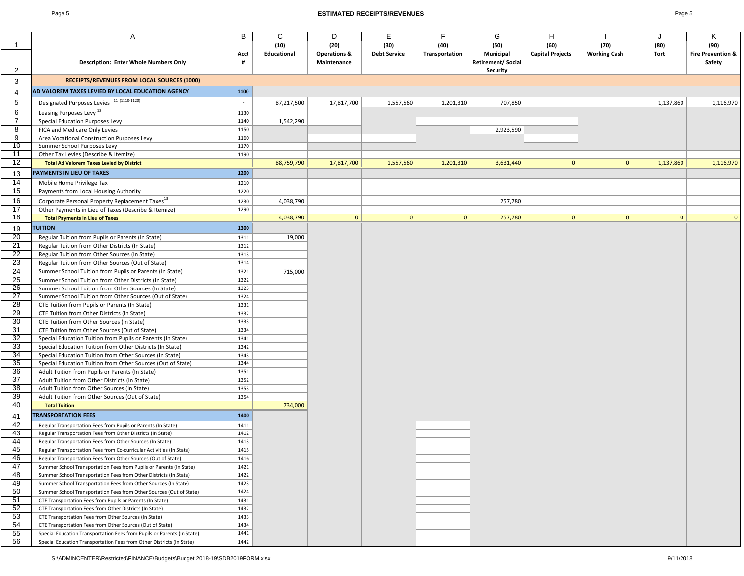### Page 5 **ESTIMATED RECEIPTS/REVENUES** Page 5

| ۰, |
|----|
|----|

|                 | A                                                                                                                                        | B            | C           | D                       | E                   | F              | G                         | Н                       |                     |           | K                            |
|-----------------|------------------------------------------------------------------------------------------------------------------------------------------|--------------|-------------|-------------------------|---------------------|----------------|---------------------------|-------------------------|---------------------|-----------|------------------------------|
| $\overline{1}$  |                                                                                                                                          |              | (10)        | (20)                    | (30)                | (40)           | (50)                      | (60)                    | (70)                | (80)      | (90)                         |
|                 |                                                                                                                                          | Acct         | Educational | <b>Operations &amp;</b> | <b>Debt Service</b> | Transportation | Municipal                 | <b>Capital Projects</b> | <b>Working Cash</b> | Tort      | <b>Fire Prevention &amp;</b> |
|                 | Description: Enter Whole Numbers Only                                                                                                    | #            |             | Maintenance             |                     |                | <b>Retirement/ Social</b> |                         |                     |           | Safety                       |
| $\overline{2}$  |                                                                                                                                          |              |             |                         |                     |                | Security                  |                         |                     |           |                              |
| 3               | RECEIPTS/REVENUES FROM LOCAL SOURCES (1000)                                                                                              |              |             |                         |                     |                |                           |                         |                     |           |                              |
| 4               | AD VALOREM TAXES LEVIED BY LOCAL EDUCATION AGENCY                                                                                        | 1100         |             |                         |                     |                |                           |                         |                     |           |                              |
|                 |                                                                                                                                          |              |             |                         |                     |                |                           |                         |                     |           |                              |
| 5               | Designated Purposes Levies 11 (1110-1120)                                                                                                | $\sim$       | 87,217,500  | 17,817,700              | 1,557,560           | 1,201,310      | 707,850                   |                         |                     | 1,137,860 | 1,116,970                    |
| 6               | Leasing Purposes Levy <sup>12</sup>                                                                                                      | 1130         |             |                         |                     |                |                           |                         |                     |           |                              |
| 7               | Special Education Purposes Levy                                                                                                          | 1140         | 1,542,290   |                         |                     |                |                           |                         |                     |           |                              |
| 8               | FICA and Medicare Only Levies                                                                                                            | 1150         |             |                         |                     |                | 2,923,590                 |                         |                     |           |                              |
| 9               | Area Vocational Construction Purposes Levy                                                                                               | 1160         |             |                         |                     |                |                           |                         |                     |           |                              |
| 10              | Summer School Purposes Levy                                                                                                              | 1170         |             |                         |                     |                |                           |                         |                     |           |                              |
| 11<br>12        | Other Tax Levies (Describe & Itemize)                                                                                                    | 1190         |             |                         |                     |                |                           | $\mathbf{0}$            | $\mathbf{0}$        |           |                              |
|                 | <b>Total Ad Valorem Taxes Levied by District</b>                                                                                         |              | 88,759,790  | 17,817,700              | 1,557,560           | 1,201,310      | 3,631,440                 |                         |                     | 1,137,860 | 1,116,970                    |
| 13              | PAYMENTS IN LIEU OF TAXES                                                                                                                | 1200         |             |                         |                     |                |                           |                         |                     |           |                              |
| 14              | Mobile Home Privilege Tax                                                                                                                | 1210         |             |                         |                     |                |                           |                         |                     |           |                              |
| 15              | Payments from Local Housing Authority                                                                                                    | 1220         |             |                         |                     |                |                           |                         |                     |           |                              |
| 16              | Corporate Personal Property Replacement Taxes <sup>13</sup>                                                                              | 1230         | 4,038,790   |                         |                     |                | 257,780                   |                         |                     |           |                              |
| 17              | Other Payments in Lieu of Taxes (Describe & Itemize)                                                                                     | 1290         |             |                         |                     |                |                           |                         |                     |           |                              |
| 18              | <b>Total Payments in Lieu of Taxes</b>                                                                                                   |              | 4,038,790   | $\mathbf{0}$            | 0                   | 0              | 257,780                   | $\vert 0 \vert$         | $\mathbf{0}$        | 0         | $\mathbf{0}$                 |
| 19              | <b>TUITION</b>                                                                                                                           | 1300         |             |                         |                     |                |                           |                         |                     |           |                              |
| 20              | Regular Tuition from Pupils or Parents (In State)                                                                                        | 1311         | 19,000      |                         |                     |                |                           |                         |                     |           |                              |
| 21              | Regular Tuition from Other Districts (In State)                                                                                          | 1312         |             |                         |                     |                |                           |                         |                     |           |                              |
| $\overline{22}$ | Regular Tuition from Other Sources (In State)                                                                                            | 1313         |             |                         |                     |                |                           |                         |                     |           |                              |
| $\overline{23}$ | Regular Tuition from Other Sources (Out of State)                                                                                        | 1314         |             |                         |                     |                |                           |                         |                     |           |                              |
| 24              | Summer School Tuition from Pupils or Parents (In State)                                                                                  | 1321         | 715,000     |                         |                     |                |                           |                         |                     |           |                              |
| 25              | Summer School Tuition from Other Districts (In State)                                                                                    | 1322         |             |                         |                     |                |                           |                         |                     |           |                              |
| 26              | Summer School Tuition from Other Sources (In State)                                                                                      | 1323         |             |                         |                     |                |                           |                         |                     |           |                              |
| $\overline{27}$ | Summer School Tuition from Other Sources (Out of State)                                                                                  | 1324         |             |                         |                     |                |                           |                         |                     |           |                              |
| 28              | CTE Tuition from Pupils or Parents (In State)                                                                                            | 1331         |             |                         |                     |                |                           |                         |                     |           |                              |
| 29              | CTE Tuition from Other Districts (In State)                                                                                              | 1332         |             |                         |                     |                |                           |                         |                     |           |                              |
| 30              | CTE Tuition from Other Sources (In State)                                                                                                | 1333         |             |                         |                     |                |                           |                         |                     |           |                              |
| 31              | CTE Tuition from Other Sources (Out of State)                                                                                            | 1334         |             |                         |                     |                |                           |                         |                     |           |                              |
| 32              | Special Education Tuition from Pupils or Parents (In State)                                                                              | 1341         |             |                         |                     |                |                           |                         |                     |           |                              |
| 33              | Special Education Tuition from Other Districts (In State)                                                                                | 1342         |             |                         |                     |                |                           |                         |                     |           |                              |
| 34              | Special Education Tuition from Other Sources (In State)                                                                                  | 1343         |             |                         |                     |                |                           |                         |                     |           |                              |
| 35              | Special Education Tuition from Other Sources (Out of State)                                                                              | 1344         |             |                         |                     |                |                           |                         |                     |           |                              |
| 36              | Adult Tuition from Pupils or Parents (In State)                                                                                          | 1351         |             |                         |                     |                |                           |                         |                     |           |                              |
| 37              | Adult Tuition from Other Districts (In State)                                                                                            | 1352         |             |                         |                     |                |                           |                         |                     |           |                              |
| 38<br>39        | Adult Tuition from Other Sources (In State)                                                                                              | 1353<br>1354 |             |                         |                     |                |                           |                         |                     |           |                              |
| 40              | Adult Tuition from Other Sources (Out of State)                                                                                          |              | 734,000     |                         |                     |                |                           |                         |                     |           |                              |
|                 | <b>Total Tuition</b>                                                                                                                     |              |             |                         |                     |                |                           |                         |                     |           |                              |
| 41              | <b>TRANSPORTATION FEES</b>                                                                                                               | 1400         |             |                         |                     |                |                           |                         |                     |           |                              |
| 42              | Regular Transportation Fees from Pupils or Parents (In State)                                                                            | 1411         |             |                         |                     |                |                           |                         |                     |           |                              |
| 43              | Regular Transportation Fees from Other Districts (In State)                                                                              | 1412         |             |                         |                     |                |                           |                         |                     |           |                              |
| 44              | Regular Transportation Fees from Other Sources (In State)                                                                                | 1413         |             |                         |                     |                |                           |                         |                     |           |                              |
| 45              | Regular Transportation Fees from Co-curricular Activities (In State)                                                                     | 1415         |             |                         |                     |                |                           |                         |                     |           |                              |
| 46              | Regular Transportation Fees from Other Sources (Out of State)                                                                            | 1416         |             |                         |                     |                |                           |                         |                     |           |                              |
| 47              | Summer School Transportation Fees from Pupils or Parents (In State)<br>Summer School Transportation Fees from Other Districts (In State) | 1421         |             |                         |                     |                |                           |                         |                     |           |                              |
| 48<br>49        | Summer School Transportation Fees from Other Sources (In State)                                                                          | 1422<br>1423 |             |                         |                     |                |                           |                         |                     |           |                              |
| 50              | Summer School Transportation Fees from Other Sources (Out of State)                                                                      | 1424         |             |                         |                     |                |                           |                         |                     |           |                              |
| 51              | CTE Transportation Fees from Pupils or Parents (In State)                                                                                | 1431         |             |                         |                     |                |                           |                         |                     |           |                              |
| 52              | CTE Transportation Fees from Other Districts (In State)                                                                                  | 1432         |             |                         |                     |                |                           |                         |                     |           |                              |
| 53              | CTE Transportation Fees from Other Sources (In State)                                                                                    | 1433         |             |                         |                     |                |                           |                         |                     |           |                              |
| 54              | CTE Transportation Fees from Other Sources (Out of State)                                                                                | 1434         |             |                         |                     |                |                           |                         |                     |           |                              |
| 55              | Special Education Transportation Fees from Pupils or Parents (In State)                                                                  | 1441         |             |                         |                     |                |                           |                         |                     |           |                              |
| 56              | Special Education Transportation Fees from Other Districts (In State)                                                                    | 1442         |             |                         |                     |                |                           |                         |                     |           |                              |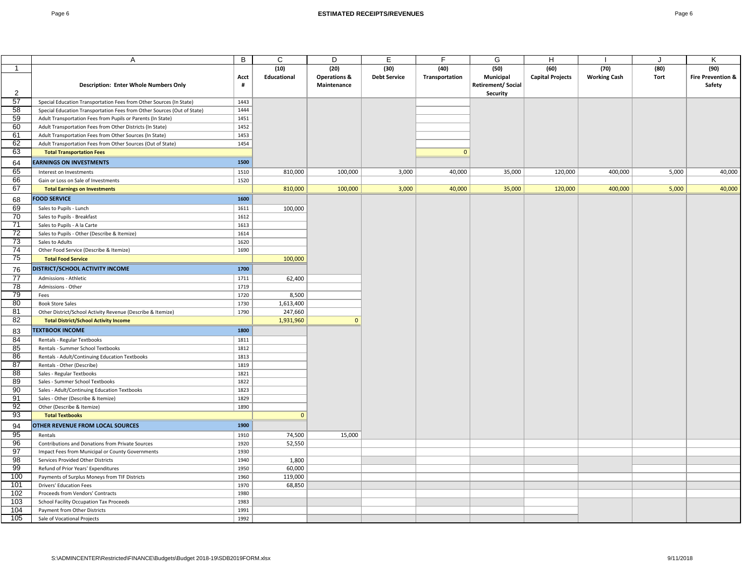|                 | Α                                                                       | В    | C            | D                       | Е                   | F              | G                        | H                       |                     |       | Κ                            |
|-----------------|-------------------------------------------------------------------------|------|--------------|-------------------------|---------------------|----------------|--------------------------|-------------------------|---------------------|-------|------------------------------|
| -1              |                                                                         |      | (10)         | (20)                    | (30)                | (40)           | (50)                     | (60)                    | (70)                | (80)  | (90)                         |
|                 |                                                                         | Acct | Educational  | <b>Operations &amp;</b> | <b>Debt Service</b> | Transportation | Municipal                | <b>Capital Projects</b> | <b>Working Cash</b> | Tort  | <b>Fire Prevention &amp;</b> |
|                 | <b>Description: Enter Whole Numbers Only</b>                            | #    |              | Maintenance             |                     |                | <b>Retirement/Social</b> |                         |                     |       | Safety                       |
| 2               |                                                                         |      |              |                         |                     |                | Security                 |                         |                     |       |                              |
| 57              | Special Education Transportation Fees from Other Sources (In State)     | 1443 |              |                         |                     |                |                          |                         |                     |       |                              |
| 58              | Special Education Transportation Fees from Other Sources (Out of State) | 1444 |              |                         |                     |                |                          |                         |                     |       |                              |
| 59              | Adult Transportation Fees from Pupils or Parents (In State)             | 1451 |              |                         |                     |                |                          |                         |                     |       |                              |
| 60              | Adult Transportation Fees from Other Districts (In State)               | 1452 |              |                         |                     |                |                          |                         |                     |       |                              |
| 61              | Adult Transportation Fees from Other Sources (In State)                 | 1453 |              |                         |                     |                |                          |                         |                     |       |                              |
| 62              | Adult Transportation Fees from Other Sources (Out of State)             | 1454 |              |                         |                     |                |                          |                         |                     |       |                              |
| 63              | <b>Total Transportation Fees</b>                                        |      |              |                         |                     | $\mathbf{0}$   |                          |                         |                     |       |                              |
| 64              | <b>EARNINGS ON INVESTMENTS</b>                                          | 1500 |              |                         |                     |                |                          |                         |                     |       |                              |
| 65              | Interest on Investments                                                 | 1510 | 810,000      | 100,000                 | 3,000               | 40,000         | 35,000                   | 120,000                 | 400,000             | 5,000 | 40,000                       |
| 66              | Gain or Loss on Sale of Investments                                     | 1520 |              |                         |                     |                |                          |                         |                     |       |                              |
| 67              | <b>Total Earnings on Investments</b>                                    |      | 810,000      | 100,000                 | 3,000               | 40,000         | 35,000                   | 120,000                 | 400,000             | 5,000 | 40,000                       |
| 68              | <b>FOOD SERVICE</b>                                                     | 1600 |              |                         |                     |                |                          |                         |                     |       |                              |
| 69              |                                                                         | 1611 | 100,000      |                         |                     |                |                          |                         |                     |       |                              |
| 70              | Sales to Pupils - Lunch<br>Sales to Pupils - Breakfast                  | 1612 |              |                         |                     |                |                          |                         |                     |       |                              |
| 71              | Sales to Pupils - A la Carte                                            | 1613 |              |                         |                     |                |                          |                         |                     |       |                              |
| 72              | Sales to Pupils - Other (Describe & Itemize)                            | 1614 |              |                         |                     |                |                          |                         |                     |       |                              |
| 73              | Sales to Adults                                                         | 1620 |              |                         |                     |                |                          |                         |                     |       |                              |
| 74              | Other Food Service (Describe & Itemize)                                 | 1690 |              |                         |                     |                |                          |                         |                     |       |                              |
| 75              | <b>Total Food Service</b>                                               |      | 100,000      |                         |                     |                |                          |                         |                     |       |                              |
|                 |                                                                         |      |              |                         |                     |                |                          |                         |                     |       |                              |
| 76              | DISTRICT/SCHOOL ACTIVITY INCOME                                         | 1700 |              |                         |                     |                |                          |                         |                     |       |                              |
| 77              | Admissions - Athletic                                                   | 1711 | 62,400       |                         |                     |                |                          |                         |                     |       |                              |
| 78              | Admissions - Other                                                      | 1719 |              |                         |                     |                |                          |                         |                     |       |                              |
| 79              | Fees                                                                    | 1720 | 8,500        |                         |                     |                |                          |                         |                     |       |                              |
| 80              | <b>Book Store Sales</b>                                                 | 1730 | 1,613,400    |                         |                     |                |                          |                         |                     |       |                              |
| 81              | Other District/School Activity Revenue (Describe & Itemize)             | 1790 | 247,660      |                         |                     |                |                          |                         |                     |       |                              |
| 82              | <b>Total District/School Activity Income</b>                            |      | 1,931,960    | $\mathbf{0}$            |                     |                |                          |                         |                     |       |                              |
| 83              | <b>TEXTBOOK INCOME</b>                                                  | 1800 |              |                         |                     |                |                          |                         |                     |       |                              |
| 84              | Rentals - Regular Textbooks                                             | 1811 |              |                         |                     |                |                          |                         |                     |       |                              |
| 85              | Rentals - Summer School Textbooks                                       | 1812 |              |                         |                     |                |                          |                         |                     |       |                              |
| 86              | Rentals - Adult/Continuing Education Textbooks                          | 1813 |              |                         |                     |                |                          |                         |                     |       |                              |
| $\overline{87}$ | Rentals - Other (Describe)                                              | 1819 |              |                         |                     |                |                          |                         |                     |       |                              |
| 88              | Sales - Regular Textbooks                                               | 1821 |              |                         |                     |                |                          |                         |                     |       |                              |
| 89              | Sales - Summer School Textbooks                                         | 1822 |              |                         |                     |                |                          |                         |                     |       |                              |
| 90              | Sales - Adult/Continuing Education Textbooks                            | 1823 |              |                         |                     |                |                          |                         |                     |       |                              |
| 91              | Sales - Other (Describe & Itemize)                                      | 1829 |              |                         |                     |                |                          |                         |                     |       |                              |
| 92              | Other (Describe & Itemize)                                              | 1890 |              |                         |                     |                |                          |                         |                     |       |                              |
| 93              | <b>Total Textbooks</b>                                                  |      | $\mathbf{0}$ |                         |                     |                |                          |                         |                     |       |                              |
| 94              | OTHER REVENUE FROM LOCAL SOURCES                                        | 1900 |              |                         |                     |                |                          |                         |                     |       |                              |
| 95              | Rentals                                                                 | 1910 | 74,500       | 15,000                  |                     |                |                          |                         |                     |       |                              |
| 96              | Contributions and Donations from Private Sources                        | 1920 | 52,550       |                         |                     |                |                          |                         |                     |       |                              |
| 97              | Impact Fees from Municipal or County Governments                        | 1930 |              |                         |                     |                |                          |                         |                     |       |                              |
| 98              | Services Provided Other Districts                                       | 1940 | 1,800        |                         |                     |                |                          |                         |                     |       |                              |
| 99              | Refund of Prior Years' Expenditures                                     | 1950 | 60,000       |                         |                     |                |                          |                         |                     |       |                              |
| 100             | Payments of Surplus Moneys from TIF Districts                           | 1960 | 119,000      |                         |                     |                |                          |                         |                     |       |                              |
| 101             | <b>Drivers' Education Fees</b>                                          | 1970 | 68,850       |                         |                     |                |                          |                         |                     |       |                              |
| 102             | Proceeds from Vendors' Contracts                                        | 1980 |              |                         |                     |                |                          |                         |                     |       |                              |
| 103             | School Facility Occupation Tax Proceeds                                 | 1983 |              |                         |                     |                |                          |                         |                     |       |                              |
| 104             | Payment from Other Districts                                            | 1991 |              |                         |                     |                |                          |                         |                     |       |                              |
| 105             | Sale of Vocational Projects                                             | 1992 |              |                         |                     |                |                          |                         |                     |       |                              |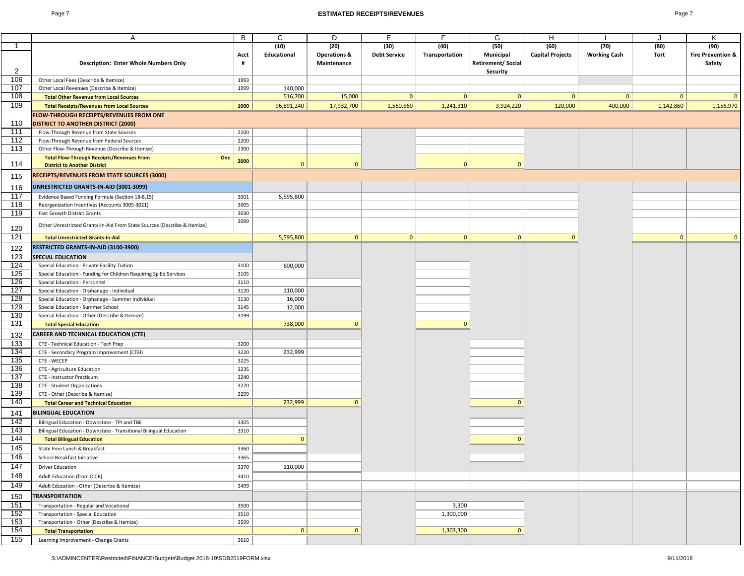### Page 7 **ESTIMATED RECEIPTS/REVENUES** Page 7

| I |  |
|---|--|
|---|--|

|              | Α                                                                        | B    | C           | D                       | E.                  | F              | G                         | Н                       |                     |           | K                            |
|--------------|--------------------------------------------------------------------------|------|-------------|-------------------------|---------------------|----------------|---------------------------|-------------------------|---------------------|-----------|------------------------------|
| $\mathbf{1}$ |                                                                          |      | (10)        | (20)                    | (30)                | (40)           | (50)                      | (60)                    | (70)                | (80)      | (90)                         |
|              |                                                                          | Acct | Educational | <b>Operations &amp;</b> | <b>Debt Service</b> | Transportation | Municipal                 | <b>Capital Projects</b> | <b>Working Cash</b> | Tort      | <b>Fire Prevention &amp;</b> |
|              | <b>Description: Enter Whole Numbers Only</b>                             | #    |             | Maintenance             |                     |                | <b>Retirement/ Social</b> |                         |                     |           | Safety                       |
| 2            |                                                                          |      |             |                         |                     |                | Security                  |                         |                     |           |                              |
| 106          | Other Local Fees (Describe & Itemize)                                    | 1993 |             |                         |                     |                |                           |                         |                     |           |                              |
| 107          | Other Local Revenues (Describe & Itemize)                                | 1999 | 140,000     |                         |                     |                |                           |                         |                     |           |                              |
| 108          | <b>Total Other Revenue from Local Sources</b>                            |      | 516,700     | 15,000                  | 0                   | 0              | $\mathbf{0}$              | $\mathbf{0}$            | 0                   | 0         | $\mathbf{0}$                 |
| 109          | <b>Total Receipts/Revenues from Local Sources</b>                        | 1000 | 96,891,240  | 17,932,700              | 1,560,560           | 1,241,310      | 3,924,220                 | 120,000                 | 400,000             | 1,142,860 | 1,156,970                    |
|              | <b>FLOW-THROUGH RECEIPTS/REVENUES FROM ONE</b>                           |      |             |                         |                     |                |                           |                         |                     |           |                              |
| 110          | <b>DISTRICT TO ANOTHER DISTRICT (2000)</b>                               |      |             |                         |                     |                |                           |                         |                     |           |                              |
| 111          | Flow-Through Revenue from State Sources                                  | 2100 |             |                         |                     |                |                           |                         |                     |           |                              |
| 112          | Flow-Through Revenue from Federal Sources                                | 2200 |             |                         |                     |                |                           |                         |                     |           |                              |
| 113          | Other Flow-Through Revenue (Describe & Itemize)                          | 2300 |             |                         |                     |                |                           |                         |                     |           |                              |
|              | <b>Total Flow-Through Receipts/Revenues From</b><br>One                  | 2000 |             |                         |                     |                |                           |                         |                     |           |                              |
| 114          | <b>District to Another District</b>                                      |      | $\Omega$    | $\mathbf{0}$            |                     | $\Omega$       | $\mathbf{0}$              |                         |                     |           |                              |
| 115          | <b>RECEIPTS/REVENUES FROM STATE SOURCES (3000)</b>                       |      |             |                         |                     |                |                           |                         |                     |           |                              |
| 116          | UNRESTRICTED GRANTS-IN-AID (3001-3099)                                   |      |             |                         |                     |                |                           |                         |                     |           |                              |
| 117          | Evidence Based Funding Formula (Section 18-8.15)                         | 3001 | 5,595,800   |                         |                     |                |                           |                         |                     |           |                              |
| 118          | Reorganization Incentives (Accounts 3005-3021)                           | 3005 |             |                         |                     |                |                           |                         |                     |           |                              |
| 119          | Fast Growth District Grants                                              | 3030 |             |                         |                     |                |                           |                         |                     |           |                              |
|              |                                                                          | 3099 |             |                         |                     |                |                           |                         |                     |           |                              |
| 120          | Other Unrestricted Grants-In-Aid From State Sources (Describe & Itemize) |      |             |                         |                     |                |                           |                         |                     |           |                              |
| 121          | <b>Total Unrestricted Grants-In-Aid</b>                                  |      | 5,595,800   | 0                       | 0                   | 0              | $\mathbf{0}$              | $\mathbf{0}$            |                     | 0         | $\mathbf{0}$                 |
| 122          | RESTRICTED GRANTS-IN-AID (3100-3900)                                     |      |             |                         |                     |                |                           |                         |                     |           |                              |
| 123          | <b>SPECIAL EDUCATION</b>                                                 |      |             |                         |                     |                |                           |                         |                     |           |                              |
| 124          | Special Education - Private Facility Tuition                             | 3100 | 600,000     |                         |                     |                |                           |                         |                     |           |                              |
| 125          | Special Education - Funding for Children Requiring Sp Ed Services        | 3105 |             |                         |                     |                |                           |                         |                     |           |                              |
| 126          | Special Education - Personnel                                            | 3110 |             |                         |                     |                |                           |                         |                     |           |                              |
| 127          | Special Education - Orphanage - Individual                               | 3120 | 110,000     |                         |                     |                |                           |                         |                     |           |                              |
| 128          | Special Education - Orphanage - Summer Individual                        | 3130 | 16,000      |                         |                     |                |                           |                         |                     |           |                              |
| 129          | Special Education - Summer School                                        | 3145 | 12,000      |                         |                     |                |                           |                         |                     |           |                              |
| 130          | Special Education - Other (Describe & Itemize)                           | 3199 |             |                         |                     |                |                           |                         |                     |           |                              |
| 131          | <b>Total Special Education</b>                                           |      | 738,000     | $\Omega$                |                     | $\Omega$       |                           |                         |                     |           |                              |
| 132          | CAREER AND TECHNICAL EDUCATION (CTE)                                     |      |             |                         |                     |                |                           |                         |                     |           |                              |
| 133          | CTE - Technical Education - Tech Prep                                    | 3200 |             |                         |                     |                |                           |                         |                     |           |                              |
| 134          | CTE - Secondary Program Improvement (CTEI)                               | 3220 | 232,999     |                         |                     |                |                           |                         |                     |           |                              |
| 135          | CTE - WECEP                                                              | 3225 |             |                         |                     |                |                           |                         |                     |           |                              |
| 136          | CTE - Agriculture Education                                              | 3235 |             |                         |                     |                |                           |                         |                     |           |                              |
| 137          | CTE - Instructor Practicum                                               | 3240 |             |                         |                     |                |                           |                         |                     |           |                              |
| 138          | CTE - Student Organizations                                              | 3270 |             |                         |                     |                |                           |                         |                     |           |                              |
| 139          | CTE - Other (Describe & Itemize)                                         | 3299 |             |                         |                     |                |                           |                         |                     |           |                              |
| 140          | <b>Total Career and Technical Education</b>                              |      | 232,999     | $\Omega$                |                     |                | $\Omega$                  |                         |                     |           |                              |
| 141          | <b>BILINGUAL EDUCATION</b>                                               |      |             |                         |                     |                |                           |                         |                     |           |                              |
| 142          | Bilingual Education - Downstate - TPI and TBE                            | 3305 |             |                         |                     |                |                           |                         |                     |           |                              |
| 143          | Bilingual Education - Downstate - Transitional Bilingual Education       | 3310 |             |                         |                     |                |                           |                         |                     |           |                              |
| 144          | <b>Total Bilingual Education</b>                                         |      | $\Omega$    |                         |                     |                | $\mathbf{0}$              |                         |                     |           |                              |
| 145          | State Free Lunch & Breakfast                                             | 3360 |             |                         |                     |                |                           |                         |                     |           |                              |
| 146          | School Breakfast Initiative                                              | 3365 |             |                         |                     |                |                           |                         |                     |           |                              |
| 147          | <b>Driver Education</b>                                                  | 3370 | 110,000     |                         |                     |                |                           |                         |                     |           |                              |
| 148          | Adult Education (from ICCB)                                              | 3410 |             |                         |                     |                |                           |                         |                     |           |                              |
| 149          |                                                                          | 3499 |             |                         |                     |                |                           |                         |                     |           |                              |
|              | Adult Education - Other (Describe & Itemize)                             |      |             |                         |                     |                |                           |                         |                     |           |                              |
| 150          | <b>TRANSPORTATION</b>                                                    |      |             |                         |                     |                |                           |                         |                     |           |                              |
| 151          | Transportation - Regular and Vocational                                  | 3500 |             |                         |                     | 3,300          |                           |                         |                     |           |                              |
| 152          | Transportation - Special Education                                       | 3510 |             |                         |                     | 1,300,000      |                           |                         |                     |           |                              |
| 153          | Transportation - Other (Describe & Itemize)                              | 3599 |             |                         |                     |                |                           |                         |                     |           |                              |
| 154          | <b>Total Transportation</b>                                              |      | 0           | $\mathbf{0}$            |                     | 1,303,300      | $\mathbf{0}$              |                         |                     |           |                              |
| 155          | Learning Improvement - Change Grants                                     | 3610 |             |                         |                     |                |                           |                         |                     |           |                              |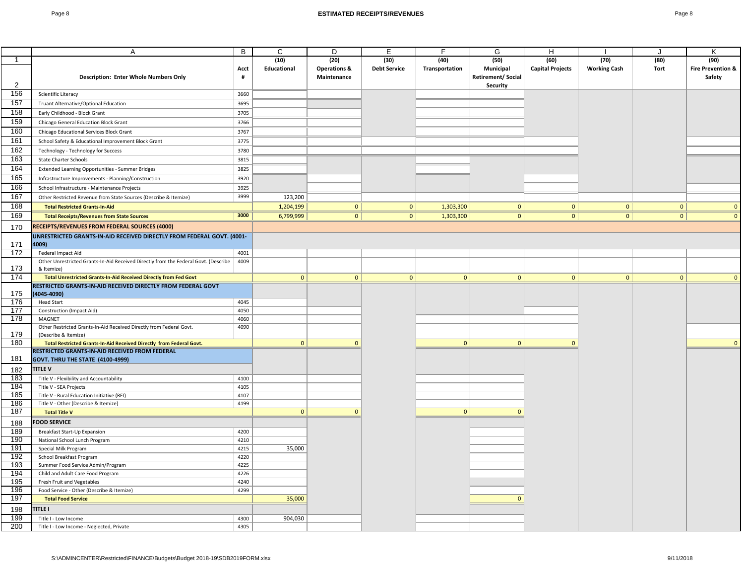|              | Α                                                                                                                     | B            | C            | D                       | Е                   | F              | G                  | Н                       |                     | J            | Κ                            |
|--------------|-----------------------------------------------------------------------------------------------------------------------|--------------|--------------|-------------------------|---------------------|----------------|--------------------|-------------------------|---------------------|--------------|------------------------------|
| $\mathbf{1}$ |                                                                                                                       |              | (10)         | (20)                    | (30)                | (40)           | (50)               | (60)                    | (70)                | (80)         | (90)                         |
|              |                                                                                                                       | Acct         | Educational  | <b>Operations &amp;</b> | <b>Debt Service</b> | Transportation | Municipal          | <b>Capital Projects</b> | <b>Working Cash</b> | <b>Tort</b>  | <b>Fire Prevention &amp;</b> |
|              | <b>Description: Enter Whole Numbers Only</b>                                                                          | #            |              | Maintenance             |                     |                | Retirement/ Social |                         |                     |              | Safety                       |
| 2            |                                                                                                                       |              |              |                         |                     |                | Security           |                         |                     |              |                              |
| 156          | Scientific Literacy                                                                                                   | 3660         |              |                         |                     |                |                    |                         |                     |              |                              |
| 157          | Truant Alternative/Optional Education                                                                                 | 3695         |              |                         |                     |                |                    |                         |                     |              |                              |
| 158          | Early Childhood - Block Grant                                                                                         | 3705         |              |                         |                     |                |                    |                         |                     |              |                              |
| 159          | Chicago General Education Block Grant                                                                                 | 3766         |              |                         |                     |                |                    |                         |                     |              |                              |
| 160          | Chicago Educational Services Block Grant                                                                              | 3767         |              |                         |                     |                |                    |                         |                     |              |                              |
| 161          | School Safety & Educational Improvement Block Grant                                                                   | 3775         |              |                         |                     |                |                    |                         |                     |              |                              |
| 162          | Technology - Technology for Success                                                                                   | 3780         |              |                         |                     |                |                    |                         |                     |              |                              |
| 163          | <b>State Charter Schools</b>                                                                                          | 3815         |              |                         |                     |                |                    |                         |                     |              |                              |
| 164          | Extended Learning Opportunities - Summer Bridges                                                                      | 3825         |              |                         |                     |                |                    |                         |                     |              |                              |
| 165          | Infrastructure Improvements - Planning/Construction                                                                   | 3920         |              |                         |                     |                |                    |                         |                     |              |                              |
| 166          | School Infrastructure - Maintenance Projects                                                                          | 3925         |              |                         |                     |                |                    |                         |                     |              |                              |
| 167          | Other Restricted Revenue from State Sources (Describe & Itemize)                                                      | 3999         | 123,200      |                         |                     |                |                    |                         |                     |              |                              |
| 168          | <b>Total Restricted Grants-In-Aid</b>                                                                                 |              | 1,204,199    | 0                       | 0                   | 1,303,300      | 0                  | $\overline{0}$          | 0                   | 0            | $\mathbf{0}$                 |
| 169          | <b>Total Receipts/Revenues from State Sources</b>                                                                     | 3000         | 6,799,999    | 0                       | 0                   | 1,303,300      | 0                  | 0                       | $\overline{0}$      | 0            | $\mathbf{0}$                 |
|              |                                                                                                                       |              |              |                         |                     |                |                    |                         |                     |              |                              |
| 170          | RECEIPTS/REVENUES FROM FEDERAL SOURCES (4000)                                                                         |              |              |                         |                     |                |                    |                         |                     |              |                              |
|              | UNRESTRICTED GRANTS-IN-AID RECEIVED DIRECTLY FROM FEDERAL GOVT. (4001-                                                |              |              |                         |                     |                |                    |                         |                     |              |                              |
| 171          | 4009)                                                                                                                 |              |              |                         |                     |                |                    |                         |                     |              |                              |
| 172          | Federal Impact Aid                                                                                                    | 4001<br>4009 |              |                         |                     |                |                    |                         |                     |              |                              |
| 173          | Other Unrestricted Grants-In-Aid Received Directly from the Federal Govt. (Describe<br>& Itemize)                     |              |              |                         |                     |                |                    |                         |                     |              |                              |
| 174          | Total Unrestricted Grants-In-Aid Received Directly from Fed Govt                                                      |              | $\mathbf{0}$ | $\mathbf{0}$            | $\mathbf{0}$        | $\overline{0}$ | $\vert 0 \vert$    | $\mathbf{0}$            | $\mathbf{0}$        | $\mathbf{0}$ | $\mathbf{0}$                 |
|              | RESTRICTED GRANTS-IN-AID RECEIVED DIRECTLY FROM FEDERAL GOVT                                                          |              |              |                         |                     |                |                    |                         |                     |              |                              |
| 175          | 4045-4090)                                                                                                            |              |              |                         |                     |                |                    |                         |                     |              |                              |
| 176          | <b>Head Start</b>                                                                                                     | 4045         |              |                         |                     |                |                    |                         |                     |              |                              |
| 177          | Construction (Impact Aid)                                                                                             | 4050         |              |                         |                     |                |                    |                         |                     |              |                              |
| 178          | MAGNET                                                                                                                | 4060         |              |                         |                     |                |                    |                         |                     |              |                              |
|              | Other Restricted Grants-In-Aid Received Directly from Federal Govt.                                                   | 4090         |              |                         |                     |                |                    |                         |                     |              |                              |
| 179<br>180   | (Describe & Itemize)                                                                                                  |              | $\mathbf{0}$ | $\mathbf{0}$            |                     | $\overline{0}$ | $\overline{0}$     | $\mathbf{0}$            |                     |              | $\mathbf{0}$                 |
|              | Total Restricted Grants-In-Aid Received Directly from Federal Govt.<br>RESTRICTED GRANTS-IN-AID RECEIVED FROM FEDERAL |              |              |                         |                     |                |                    |                         |                     |              |                              |
| 181          | <b>GOVT. THRU THE STATE (4100-4999)</b>                                                                               |              |              |                         |                     |                |                    |                         |                     |              |                              |
|              | <b>TITLE V</b>                                                                                                        |              |              |                         |                     |                |                    |                         |                     |              |                              |
| 182<br>183   |                                                                                                                       |              |              |                         |                     |                |                    |                         |                     |              |                              |
| 184          | Title V - Flexibility and Accountability<br>Title V - SEA Projects                                                    | 4100<br>4105 |              |                         |                     |                |                    |                         |                     |              |                              |
| 185          | Title V - Rural Education Initiative (REI)                                                                            | 4107         |              |                         |                     |                |                    |                         |                     |              |                              |
| 186          | Title V - Other (Describe & Itemize)                                                                                  | 4199         |              |                         |                     |                |                    |                         |                     |              |                              |
| 187          | <b>Total Title V</b>                                                                                                  |              | $\mathbf{0}$ | $\mathbf{0}$            |                     | $\overline{0}$ | $\mathbf{0}$       |                         |                     |              |                              |
| 188          | <b>FOOD SERVICE</b>                                                                                                   |              |              |                         |                     |                |                    |                         |                     |              |                              |
| 189          | <b>Breakfast Start-Up Expansion</b>                                                                                   | 4200         |              |                         |                     |                |                    |                         |                     |              |                              |
| 190          | National School Lunch Program                                                                                         | 4210         |              |                         |                     |                |                    |                         |                     |              |                              |
| 191          | Special Milk Program                                                                                                  | 4215         | 35,000       |                         |                     |                |                    |                         |                     |              |                              |
| 192          | School Breakfast Program                                                                                              | 4220         |              |                         |                     |                |                    |                         |                     |              |                              |
| 193          | Summer Food Service Admin/Program                                                                                     | 4225         |              |                         |                     |                |                    |                         |                     |              |                              |
| 194          | Child and Adult Care Food Program                                                                                     | 4226         |              |                         |                     |                |                    |                         |                     |              |                              |
| 195          | Fresh Fruit and Vegetables                                                                                            | 4240         |              |                         |                     |                |                    |                         |                     |              |                              |
| 196          | Food Service - Other (Describe & Itemize)                                                                             | 4299         |              |                         |                     |                |                    |                         |                     |              |                              |
| 197          | <b>Total Food Service</b>                                                                                             |              | 35,000       |                         |                     |                | $\Omega$           |                         |                     |              |                              |
| 198          | <b>TITLE I</b>                                                                                                        |              |              |                         |                     |                |                    |                         |                     |              |                              |
| 199          | Title I - Low Income                                                                                                  | 4300         | 904,030      |                         |                     |                |                    |                         |                     |              |                              |
| 200          | Title I - Low Income - Neglected, Private                                                                             | 4305         |              |                         |                     |                |                    |                         |                     |              |                              |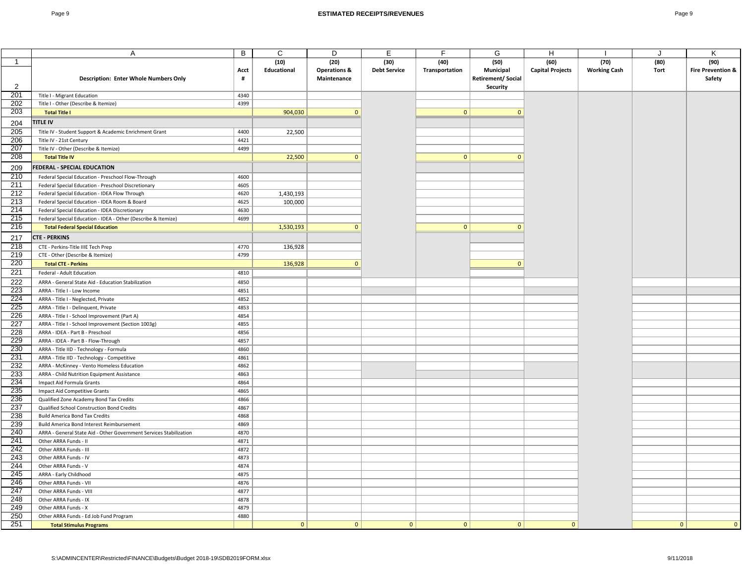|                | A                                                                      | В            | С            | D                       | E.                  | F              | G                        | H                       |                     | J            | κ                            |
|----------------|------------------------------------------------------------------------|--------------|--------------|-------------------------|---------------------|----------------|--------------------------|-------------------------|---------------------|--------------|------------------------------|
| $\overline{1}$ |                                                                        |              | (10)         | (20)                    | (30)                | (40)           | (50)                     | (60)                    | (70)                | (80)         | (90)                         |
|                |                                                                        | Acct         | Educational  | <b>Operations &amp;</b> | <b>Debt Service</b> | Transportation | Municipal                | <b>Capital Projects</b> | <b>Working Cash</b> | Tort         | <b>Fire Prevention &amp;</b> |
|                | <b>Description: Enter Whole Numbers Only</b>                           | #            |              | Maintenance             |                     |                | <b>Retirement/Social</b> |                         |                     |              | Safety                       |
| 2              |                                                                        |              |              |                         |                     |                | Security                 |                         |                     |              |                              |
| 201            | Title I - Migrant Education                                            | 4340         |              |                         |                     |                |                          |                         |                     |              |                              |
| 202            | Title I - Other (Describe & Itemize)                                   | 4399         |              |                         |                     |                |                          |                         |                     |              |                              |
| 203            | <b>Total Title I</b>                                                   |              | 904,030      | $\mathbf{0}$            |                     | $\mathbf{0}$   | $\mathbf{0}$             |                         |                     |              |                              |
|                | <b>TITLE IV</b>                                                        |              |              |                         |                     |                |                          |                         |                     |              |                              |
| 204            |                                                                        |              |              |                         |                     |                |                          |                         |                     |              |                              |
| 205            | Title IV - Student Support & Academic Enrichment Grant                 | 4400         | 22,500       |                         |                     |                |                          |                         |                     |              |                              |
| 206            | Title IV - 21st Century                                                | 4421         |              |                         |                     |                |                          |                         |                     |              |                              |
| 207            | Title IV - Other (Describe & Itemize)                                  | 4499         |              |                         |                     |                |                          |                         |                     |              |                              |
| 208            | <b>Total Title IV</b>                                                  |              | 22,500       | $\mathbf{0}$            |                     | $\mathbf{0}$   | $\mathbf{0}$             |                         |                     |              |                              |
| 209            | FEDERAL - SPECIAL EDUCATION                                            |              |              |                         |                     |                |                          |                         |                     |              |                              |
| 210            | Federal Special Education - Preschool Flow-Through                     | 4600         |              |                         |                     |                |                          |                         |                     |              |                              |
| 211            | Federal Special Education - Preschool Discretionary                    | 4605         |              |                         |                     |                |                          |                         |                     |              |                              |
| 212            | Federal Special Education - IDEA Flow Through                          | 4620         | 1,430,193    |                         |                     |                |                          |                         |                     |              |                              |
| 213            | Federal Special Education - IDEA Room & Board                          | 4625         | 100,000      |                         |                     |                |                          |                         |                     |              |                              |
| 214            | Federal Special Education - IDEA Discretionary                         | 4630         |              |                         |                     |                |                          |                         |                     |              |                              |
| 215            | Federal Special Education - IDEA - Other (Describe & Itemize)          | 4699         |              |                         |                     |                |                          |                         |                     |              |                              |
| 216            | <b>Total Federal Special Education</b>                                 |              | 1,530,193    | $\mathbf{0}$            |                     | 0              | $\mathbf{0}$             |                         |                     |              |                              |
|                | <b>CTE - PERKINS</b>                                                   |              |              |                         |                     |                |                          |                         |                     |              |                              |
| 217<br>218     |                                                                        |              |              |                         |                     |                |                          |                         |                     |              |                              |
| 219            | CTE - Perkins-Title IIIE Tech Prep<br>CTE - Other (Describe & Itemize) | 4770<br>4799 | 136,928      |                         |                     |                |                          |                         |                     |              |                              |
| 220            |                                                                        |              | 136,928      | $\mathbf{0}$            |                     |                | $\mathbf{0}$             |                         |                     |              |                              |
|                | <b>Total CTE - Perkins</b>                                             |              |              |                         |                     |                |                          |                         |                     |              |                              |
| 221            | Federal - Adult Education                                              | 4810         |              |                         |                     |                |                          |                         |                     |              |                              |
| 222            | ARRA - General State Aid - Education Stabilization                     | 4850         |              |                         |                     |                |                          |                         |                     |              |                              |
| 223            | ARRA - Title I - Low Income                                            | 4851         |              |                         |                     |                |                          |                         |                     |              |                              |
| 224            | ARRA - Title I - Neglected, Private                                    | 4852         |              |                         |                     |                |                          |                         |                     |              |                              |
| 225            | ARRA - Title I - Delinquent, Private                                   | 4853         |              |                         |                     |                |                          |                         |                     |              |                              |
| 226            | ARRA - Title I - School Improvement (Part A)                           | 4854         |              |                         |                     |                |                          |                         |                     |              |                              |
| 227            | ARRA - Title I - School Improvement (Section 1003g)                    | 4855         |              |                         |                     |                |                          |                         |                     |              |                              |
| 228            | ARRA - IDEA - Part B - Preschool                                       | 4856         |              |                         |                     |                |                          |                         |                     |              |                              |
| 229            | ARRA - IDEA - Part B - Flow-Through                                    | 4857         |              |                         |                     |                |                          |                         |                     |              |                              |
| 230            | ARRA - Title IID - Technology - Formula                                | 4860         |              |                         |                     |                |                          |                         |                     |              |                              |
| 231            | ARRA - Title IID - Technology - Competitive                            | 4861         |              |                         |                     |                |                          |                         |                     |              |                              |
| 232            | ARRA - McKinney - Vento Homeless Education                             | 4862         |              |                         |                     |                |                          |                         |                     |              |                              |
| 233            | ARRA - Child Nutrition Equipment Assistance                            | 4863         |              |                         |                     |                |                          |                         |                     |              |                              |
| 234            | Impact Aid Formula Grants                                              | 4864         |              |                         |                     |                |                          |                         |                     |              |                              |
| 235            | Impact Aid Competitive Grants                                          | 4865         |              |                         |                     |                |                          |                         |                     |              |                              |
| 236            | Qualified Zone Academy Bond Tax Credits                                | 4866         |              |                         |                     |                |                          |                         |                     |              |                              |
| 237            | Qualified School Construction Bond Credits                             | 4867         |              |                         |                     |                |                          |                         |                     |              |                              |
| 238            | <b>Build America Bond Tax Credits</b>                                  | 4868         |              |                         |                     |                |                          |                         |                     |              |                              |
| 239            | Build America Bond Interest Reimbursement                              | 4869         |              |                         |                     |                |                          |                         |                     |              |                              |
| 240            | ARRA - General State Aid - Other Government Services Stabilization     | 4870         |              |                         |                     |                |                          |                         |                     |              |                              |
| 241            | Other ARRA Funds - II                                                  | 4871         |              |                         |                     |                |                          |                         |                     |              |                              |
| 242            | Other ARRA Funds - III                                                 | 4872         |              |                         |                     |                |                          |                         |                     |              |                              |
| 243            | Other ARRA Funds - IV                                                  | 4873         |              |                         |                     |                |                          |                         |                     |              |                              |
| 244            | Other ARRA Funds - V                                                   | 4874         |              |                         |                     |                |                          |                         |                     |              |                              |
| 245            | ARRA - Early Childhood                                                 | 4875         |              |                         |                     |                |                          |                         |                     |              |                              |
| 246            | Other ARRA Funds - VII                                                 | 4876         |              |                         |                     |                |                          |                         |                     |              |                              |
| 247            | Other ARRA Funds - VIII                                                | 4877         |              |                         |                     |                |                          |                         |                     |              |                              |
| 248            | Other ARRA Funds - IX                                                  | 4878         |              |                         |                     |                |                          |                         |                     |              |                              |
| 249            | Other ARRA Funds - X                                                   | 4879         |              |                         |                     |                |                          |                         |                     |              |                              |
| 250            | Other ARRA Funds - Ed Job Fund Program                                 | 4880         |              |                         |                     |                |                          |                         |                     |              |                              |
| 251            | <b>Total Stimulus Programs</b>                                         |              | $\mathbf{0}$ | $\mathbf{0}$            | $\mathbf{0}$        | $\mathbf{0}$   | $\mathbf{0}$             | $\Omega$                |                     | $\mathbf{0}$ | $\mathbf{0}$                 |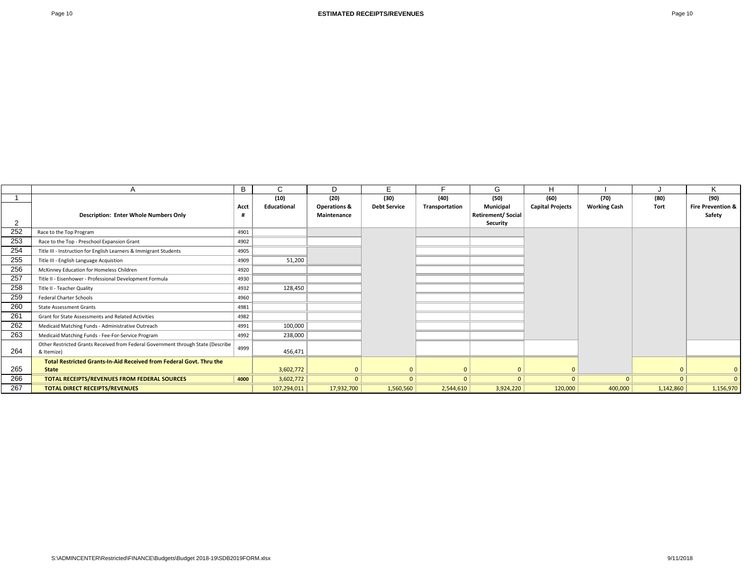|     | A                                                                                | B    | C           | D                       | E.                  |                | G                        | н                       |                     |                | K                            |
|-----|----------------------------------------------------------------------------------|------|-------------|-------------------------|---------------------|----------------|--------------------------|-------------------------|---------------------|----------------|------------------------------|
|     |                                                                                  |      | (10)        | (20)                    | (30)                | (40)           | (50)                     | (60)                    | (70)                | (80)           | (90)                         |
|     |                                                                                  | Acct | Educational | <b>Operations &amp;</b> | <b>Debt Service</b> | Transportation | Municipal                | <b>Capital Projects</b> | <b>Working Cash</b> | <b>Tort</b>    | <b>Fire Prevention &amp;</b> |
|     | <b>Description: Enter Whole Numbers Only</b>                                     | -#   |             | Maintenance             |                     |                | <b>Retirement/Social</b> |                         |                     |                | Safety                       |
| 2   |                                                                                  |      |             |                         |                     |                | Security                 |                         |                     |                |                              |
| 252 | Race to the Top Program                                                          | 4901 |             |                         |                     |                |                          |                         |                     |                |                              |
| 253 | Race to the Top - Preschool Expansion Grant                                      | 4902 |             |                         |                     |                |                          |                         |                     |                |                              |
| 254 | Title III - Instruction for English Learners & Immigrant Students                | 4905 |             |                         |                     |                |                          |                         |                     |                |                              |
| 255 | Title III - English Language Acquistion                                          | 4909 | 51,200      |                         |                     |                |                          |                         |                     |                |                              |
| 256 | McKinney Education for Homeless Children                                         | 4920 |             |                         |                     |                |                          |                         |                     |                |                              |
| 257 | Title II - Eisenhower - Professional Development Formula                         | 4930 |             |                         |                     |                |                          |                         |                     |                |                              |
| 258 | Title II - Teacher Quality                                                       | 4932 | 128,450     |                         |                     |                |                          |                         |                     |                |                              |
| 259 | <b>Federal Charter Schools</b>                                                   | 4960 |             |                         |                     |                |                          |                         |                     |                |                              |
| 260 | <b>State Assessment Grants</b>                                                   | 4981 |             |                         |                     |                |                          |                         |                     |                |                              |
| 261 | Grant for State Assessments and Related Activities                               | 4982 |             |                         |                     |                |                          |                         |                     |                |                              |
| 262 | Medicaid Matching Funds - Administrative Outreach                                | 4991 | 100,000     |                         |                     |                |                          |                         |                     |                |                              |
| 263 | Medicaid Matching Funds - Fee-For-Service Program                                | 4992 | 238,000     |                         |                     |                |                          |                         |                     |                |                              |
|     | Other Restricted Grants Received from Federal Government through State (Describe | 4999 |             |                         |                     |                |                          |                         |                     |                |                              |
| 264 | & Itemize)                                                                       |      | 456,471     |                         |                     |                |                          |                         |                     |                |                              |
|     | Total Restricted Grants-In-Aid Received from Federal Govt. Thru the              |      |             |                         |                     |                |                          |                         |                     |                |                              |
| 265 | <b>State</b>                                                                     |      | 3,602,772   |                         | $\Omega$            | $\Omega$       | $\Omega$                 | $\Omega$                |                     | $\Omega$       | $\mathbf 0$                  |
| 266 | TOTAL RECEIPTS/REVENUES FROM FEDERAL SOURCES                                     | 4000 | 3,602,772   | 0 <sup>1</sup>          | $\mathbf{0}$        | 0 <sup>1</sup> | $\mathbf{0}$             | 0                       | $\mathbf{0}$        | 0 <sup>1</sup> | $\Omega$                     |
| 267 | <b>TOTAL DIRECT RECEIPTS/REVENUES</b>                                            |      | 107,294,011 | 17,932,700              | 1,560,560           | 2,544,610      | 3,924,220                | 120,000                 | 400,000             | 1,142,860      | 1,156,970                    |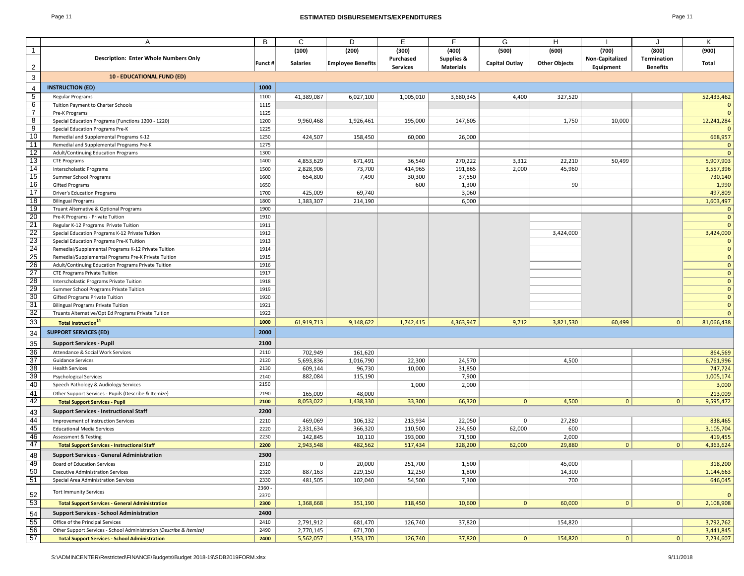### Page 11 **ESTIMATED DISBURSEMENTS/EXPENDITURES** Page 11

|                                                    | Α                                                                   | B            | C               | D                        | Е               | E                | G                     | н                    |                 | J               | Κ                |
|----------------------------------------------------|---------------------------------------------------------------------|--------------|-----------------|--------------------------|-----------------|------------------|-----------------------|----------------------|-----------------|-----------------|------------------|
| $\mathbf{1}$                                       |                                                                     |              | (100)           | (200)                    | (300)           | (400)            | (500)                 | (600)                | (700)           | (800)           | (900)            |
|                                                    | <b>Description: Enter Whole Numbers Only</b>                        |              |                 |                          | Purchased       | Supplies &       |                       |                      | Non-Capitalized | Termination     |                  |
|                                                    |                                                                     | Funct #      | <b>Salaries</b> | <b>Employee Benefits</b> | <b>Services</b> | <b>Materials</b> | <b>Capital Outlay</b> | <b>Other Objects</b> | Equipment       | <b>Benefits</b> | <b>Total</b>     |
| $\frac{2}{3}$                                      | <b>10 - EDUCATIONAL FUND (ED)</b>                                   |              |                 |                          |                 |                  |                       |                      |                 |                 |                  |
| 4                                                  | <b>INSTRUCTION (ED)</b>                                             | 1000         |                 |                          |                 |                  |                       |                      |                 |                 |                  |
| $\overline{5}$                                     | Regular Programs                                                    | 1100         | 41,389,087      | 6,027,100                | 1,005,010       | 3,680,345        | 4,400                 | 327,520              |                 |                 | 52,433,462       |
| $6\phantom{a}$                                     | Tuition Payment to Charter Schools                                  | 1115         |                 |                          |                 |                  |                       |                      |                 |                 |                  |
| $\overline{7}$                                     | Pre-K Programs                                                      | 1125         |                 |                          |                 |                  |                       |                      |                 |                 |                  |
| $\overline{8}$                                     | Special Education Programs (Functions 1200 - 1220)                  | 1200         | 9,960,468       | 1,926,461                | 195,000         | 147,605          |                       | 1,750                | 10,000          |                 | 12,241,284       |
| $\overline{9}$                                     | Special Education Programs Pre-K                                    | 1225         |                 |                          |                 |                  |                       |                      |                 |                 |                  |
| 10                                                 | Remedial and Supplemental Programs K-12                             | 1250         | 424,507         | 158,450                  | 60,000          | 26,000           |                       |                      |                 |                 | 668,957          |
| $\overline{11}$                                    | Remedial and Supplemental Programs Pre-K                            | 1275         |                 |                          |                 |                  |                       |                      |                 |                 | 0                |
| $\overline{12}$                                    | Adult/Continuing Education Programs                                 | 1300         |                 |                          |                 |                  |                       |                      |                 |                 | 0                |
| $\overline{13}$                                    | <b>CTE Programs</b>                                                 | 1400         | 4,853,629       | 671,491                  | 36,540          | 270,222          | 3,312                 | 22,210               | 50,499          |                 | 5,907,903        |
| 14                                                 | Interscholastic Programs                                            | 1500         | 2,828,906       | 73,700                   | 414,965         | 191,865          | 2,000                 | 45,960               |                 |                 | 3,557,396        |
| 15                                                 | Summer School Programs                                              | 1600         | 654,800         | 7,490                    | 30,300          | 37,550           |                       |                      |                 |                 | 730,140          |
| 16<br>$\overline{17}$                              | <b>Gifted Programs</b>                                              | 1650         | 425,009         | 69,740                   | 600             | 1,300<br>3,060   |                       | 90                   |                 |                 | 1,990<br>497,809 |
| 18                                                 | Driver's Education Programs<br><b>Bilingual Programs</b>            | 1700<br>1800 | 1,383,307       | 214,190                  |                 | 6,000            |                       |                      |                 |                 | 1,603,497        |
| $\overline{19}$                                    | Truant Alternative & Optional Programs                              | 1900         |                 |                          |                 |                  |                       |                      |                 |                 | $\mathbf 0$      |
|                                                    | Pre-K Programs - Private Tuition                                    | 1910         |                 |                          |                 |                  |                       |                      |                 |                 | $\overline{0}$   |
| 20<br>21<br>22<br>23<br>24<br>25<br>25<br>26<br>27 | Regular K-12 Programs Private Tuition                               | 1911         |                 |                          |                 |                  |                       |                      |                 |                 | $\Omega$         |
|                                                    | Special Education Programs K-12 Private Tuition                     | 1912         |                 |                          |                 |                  |                       | 3,424,000            |                 |                 | 3,424,000        |
|                                                    | Special Education Programs Pre-K Tuition                            | 1913         |                 |                          |                 |                  |                       |                      |                 |                 | -0               |
|                                                    | Remedial/Supplemental Programs K-12 Private Tuition                 | 1914         |                 |                          |                 |                  |                       |                      |                 |                 | $\overline{0}$   |
|                                                    | Remedial/Supplemental Programs Pre-K Private Tuition                | 1915         |                 |                          |                 |                  |                       |                      |                 |                 | $\overline{0}$   |
|                                                    | Adult/Continuing Education Programs Private Tuition                 | 1916         |                 |                          |                 |                  |                       |                      |                 |                 | $\overline{0}$   |
|                                                    | <b>CTE Programs Private Tuition</b>                                 | 1917         |                 |                          |                 |                  |                       |                      |                 |                 | $\overline{0}$   |
|                                                    | Interscholastic Programs Private Tuition                            | 1918         |                 |                          |                 |                  |                       |                      |                 |                 | $\Omega$         |
|                                                    | Summer School Programs Private Tuition                              | 1919         |                 |                          |                 |                  |                       |                      |                 |                 | 0                |
| $30\,$                                             | Gifted Programs Private Tuition                                     | 1920         |                 |                          |                 |                  |                       |                      |                 |                 | $\overline{0}$   |
| 31                                                 | <b>Bilingual Programs Private Tuition</b>                           | 1921         |                 |                          |                 |                  |                       |                      |                 |                 | $\overline{0}$   |
| 32<br>33                                           | Truants Alternative/Opt Ed Programs Private Tuition                 | 1922         |                 |                          |                 |                  |                       |                      |                 |                 | $\overline{0}$   |
|                                                    | <b>Total Instruction<sup>14</sup></b>                               | 1000         | 61,919,713      | 9,148,622                | 1,742,415       | 4,363,947        | 9,712                 | 3,821,530            | 60,499          | 0               | 81,066,438       |
| 34                                                 | <b>SUPPORT SERVICES (ED)</b>                                        | 2000         |                 |                          |                 |                  |                       |                      |                 |                 |                  |
| <u>35</u>                                          | <b>Support Services - Pupil</b>                                     | 2100         |                 |                          |                 |                  |                       |                      |                 |                 |                  |
|                                                    | Attendance & Social Work Services                                   | 2110         | 702,949         | 161,620                  |                 |                  |                       |                      |                 |                 | 864,569          |
| 36<br>37<br>38                                     | <b>Guidance Services</b>                                            | 2120         | 5,693,836       | 1,016,790                | 22,300          | 24,570           |                       | 4,500                |                 |                 | 6,761,996        |
|                                                    | <b>Health Services</b>                                              | 2130         | 609,144         | 96,730                   | 10,000          | 31,850           |                       |                      |                 |                 | 747,724          |
| 39                                                 | <b>Psychological Services</b>                                       | 2140         | 882,084         | 115,190                  |                 | 7,900            |                       |                      |                 |                 | 1,005,174        |
| 40                                                 | Speech Pathology & Audiology Services                               | 2150         |                 |                          | 1,000           | 2,000            |                       |                      |                 |                 | 3,000            |
| 41                                                 | Other Support Services - Pupils (Describe & Itemize)                | 2190         | 165,009         | 48,000                   |                 |                  |                       |                      |                 |                 | 213,009          |
| 42                                                 | <b>Total Support Services - Pupil</b>                               | 2100         | 8,053,022       | 1,438,330                | 33,300          | 66,320           | 0                     | 4,500                | 0 <sup>1</sup>  | 0               | 9,595,472        |
| 43                                                 | <b>Support Services - Instructional Staff</b>                       | 2200         |                 |                          |                 |                  |                       |                      |                 |                 |                  |
|                                                    | Improvement of Instruction Services                                 | 2210         | 469,069         | 106,132                  | 213,934         | 22,050           | $\mathbf 0$           | 27,280               |                 |                 | 838,465          |
| 44<br>45<br>46                                     | <b>Educational Media Services</b>                                   | 2220         | 2,331,634       | 366,320                  | 110,500         | 234,650          | 62,000                | 600                  |                 |                 | 3,105,704        |
|                                                    | <b>Assessment &amp; Testing</b>                                     | 2230         | 142,845         | 10,110                   | 193,000         | 71,500           |                       | 2,000                |                 |                 | 419,455          |
| 47                                                 | <b>Total Support Services - Instructional Staff</b>                 | 2200         | 2,943,548       | 482,562                  | 517,434         | 328,200          | 62,000                | 29,880               | $\mathbf{0}$    | 0               | 4,363,624        |
| 48                                                 | <b>Support Services - General Administration</b>                    | 2300         |                 |                          |                 |                  |                       |                      |                 |                 |                  |
| <u>49</u>                                          | Board of Education Services                                         | 2310         | $\mathbf 0$     | 20,000                   | 251,700         | 1,500            |                       | 45,000               |                 |                 | 318,200          |
|                                                    | <b>Executive Administration Services</b>                            | 2320         | 887,163         | 229,150                  | 12,250          | 1,800            |                       | 14,300               |                 |                 | 1,144,663        |
| 50<br>51                                           | Special Area Administration Services                                | 2330         | 481,505         | 102,040                  | 54,500          | 7,300            |                       | 700                  |                 |                 | 646,045          |
|                                                    |                                                                     | 2360         |                 |                          |                 |                  |                       |                      |                 |                 |                  |
| 52                                                 | <b>Tort Immunity Services</b>                                       | 2370         |                 |                          |                 |                  |                       |                      |                 |                 | $\overline{0}$   |
| 53                                                 | <b>Total Support Services - General Administration</b>              | 2300         | 1,368,668       | 351,190                  | 318,450         | 10,600           | 0                     | 60,000               | 0               | 0               | 2,108,908        |
| 54                                                 | <b>Support Services - School Administration</b>                     | 2400         |                 |                          |                 |                  |                       |                      |                 |                 |                  |
|                                                    | Office of the Principal Services                                    | 2410         | 2,791,912       | 681,470                  | 126,740         | 37,820           |                       | 154,820              |                 |                 | 3,792,762        |
| 55<br>56<br>57                                     | Other Support Services - School Administration (Describe & Itemize) | 2490         | 2,770,145       | 671,700                  |                 |                  |                       |                      |                 |                 | 3,441,845        |
|                                                    | <b>Total Support Services - School Administration</b>               | 2400         | 5,562,057       | 1,353,170                | 126,740         | 37,820           | 0                     | 154,820              | 0 <sup>1</sup>  | 0               | 7,234,607        |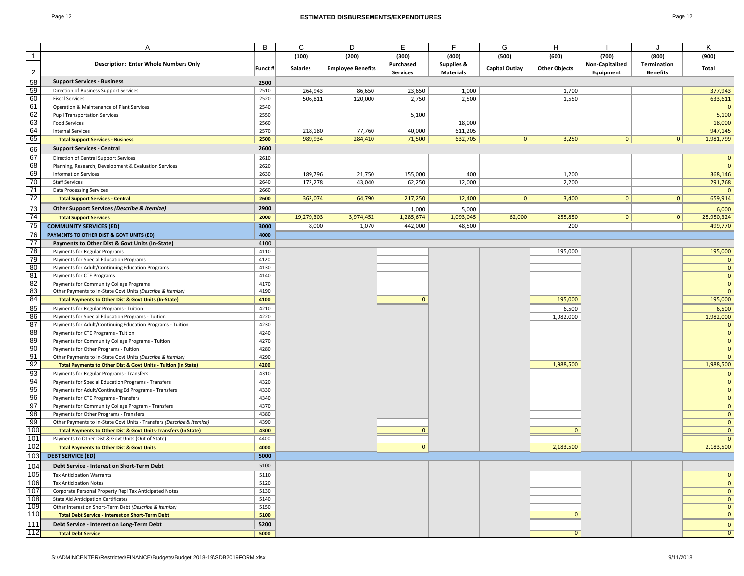### Page 12 **ESTIMATED DISBURSEMENTS/EXPENDITURES** Page 12

|                | Α                                                                                                                            | В            | C               | D                        | Е               | F.                 | G                     | H                    |                 |                 | K            |
|----------------|------------------------------------------------------------------------------------------------------------------------------|--------------|-----------------|--------------------------|-----------------|--------------------|-----------------------|----------------------|-----------------|-----------------|--------------|
| $\overline{1}$ |                                                                                                                              |              | (100)           | (200)                    | (300)           | (400)              | (500)                 | (600)                | (700)           | (800)           | (900)        |
|                | <b>Description: Enter Whole Numbers Only</b>                                                                                 | Funct #      | <b>Salaries</b> | <b>Employee Benefits</b> | Purchased       | Supplies &         | <b>Capital Outlay</b> | <b>Other Objects</b> | Non-Capitalized | Termination     | Total        |
| $\overline{2}$ |                                                                                                                              |              |                 |                          | <b>Services</b> | <b>Materials</b>   |                       |                      | Equipment       | <b>Benefits</b> |              |
| 58             | <b>Support Services - Business</b>                                                                                           | 2500         |                 |                          |                 |                    |                       |                      |                 |                 |              |
| 59             | Direction of Business Support Services                                                                                       | 2510         | 264,943         | 86,650                   | 23,650          | 1,000              |                       | 1,700                |                 |                 | 377,943      |
| 60             | <b>Fiscal Services</b>                                                                                                       | 2520         | 506,811         | 120,000                  | 2,750           | 2,500              |                       | 1,550                |                 |                 | 633,611      |
| 61             | Operation & Maintenance of Plant Services                                                                                    | 2540         |                 |                          |                 |                    |                       |                      |                 |                 |              |
| 62             | <b>Pupil Transportation Services</b>                                                                                         | 2550         |                 |                          | 5,100           |                    |                       |                      |                 |                 | 5,100        |
| 63             | <b>Food Services</b>                                                                                                         | 2560         |                 |                          |                 | 18,000             |                       |                      |                 |                 | 18,000       |
| 64             | <b>Internal Services</b>                                                                                                     | 2570         | 218,180         | 77,760                   | 40,000          | 611,205            |                       |                      |                 |                 | 947,145      |
| 65             | <b>Total Support Services - Business</b>                                                                                     | 2500         | 989,934         | 284,410                  | 71,500          | 632,705            | 0                     | 3,250                | $\overline{0}$  | 0 <sup>1</sup>  | 1,981,799    |
| 66             | <b>Support Services - Central</b>                                                                                            | 2600         |                 |                          |                 |                    |                       |                      |                 |                 |              |
| 67             | Direction of Central Support Services                                                                                        | 2610         |                 |                          |                 |                    |                       |                      |                 |                 | $\mathbf{C}$ |
| 68             | Planning, Research, Development & Evaluation Services                                                                        | 2620         |                 |                          |                 |                    |                       |                      |                 |                 | $\sqrt{ }$   |
| 69             | <b>Information Services</b>                                                                                                  | 2630         | 189,796         | 21,750                   | 155,000         | 400                |                       | 1,200                |                 |                 | 368,146      |
| 70             | <b>Staff Services</b>                                                                                                        | 2640         | 172,278         | 43,040                   | 62,250          | 12,000             |                       | 2,200                |                 |                 | 291,768      |
| 71             | <b>Data Processing Services</b>                                                                                              | 2660         |                 |                          |                 |                    |                       |                      |                 |                 |              |
| 72             | <b>Total Support Services - Central</b>                                                                                      | 2600         | 362,074         | 64,790                   | 217,250         | 12,400             | $\mathbf{0}$          | 3,400                | $\mathbf{0}$    | $\mathbf{0}$    | 659,914      |
| 73             | Other Support Services (Describe & Itemize)                                                                                  | 2900         |                 |                          | 1,000           |                    |                       |                      |                 |                 | 6,000        |
| 74             | <b>Total Support Services</b>                                                                                                | 2000         | 19,279,303      | 3,974,452                | 1,285,674       | 5,000<br>1,093,045 | 62,000                | 255,850              | $\overline{0}$  | $\overline{0}$  | 25,950,324   |
| 75             | <b>COMMUNITY SERVICES (ED)</b>                                                                                               | 3000         | 8,000           |                          | 442,000         |                    |                       | 200                  |                 |                 |              |
| 76             |                                                                                                                              |              |                 | 1,070                    |                 | 48,500             |                       |                      |                 |                 | 499,770      |
| 77             | PAYMENTS TO OTHER DIST & GOVT UNITS (ED)                                                                                     | 4000         |                 |                          |                 |                    |                       |                      |                 |                 |              |
| 78             | Payments to Other Dist & Govt Units (In-State)                                                                               | 4100         |                 |                          |                 |                    |                       |                      |                 |                 |              |
| 79             | Payments for Regular Programs<br>Payments for Special Education Programs                                                     | 4110<br>4120 |                 |                          |                 |                    |                       | 195,000              |                 |                 | 195,000      |
| 80             | Payments for Adult/Continuing Education Programs                                                                             | 4130         |                 |                          |                 |                    |                       |                      |                 |                 | $\mathsf{C}$ |
| 81             | Payments for CTE Programs                                                                                                    | 4140         |                 |                          |                 |                    |                       |                      |                 |                 | O            |
| 82             |                                                                                                                              | 4170         |                 |                          |                 |                    |                       |                      |                 |                 | $\mathbf{C}$ |
| 83             | Payments for Community College Programs<br>Other Payments to In-State Govt Units (Describe & Itemize)                        | 4190         |                 |                          |                 |                    |                       |                      |                 |                 |              |
| 84             |                                                                                                                              | 4100         |                 |                          | $\Omega$        |                    |                       | 195,000              |                 |                 | 195,000      |
|                | <b>Total Payments to Other Dist &amp; Govt Units (In-State)</b>                                                              |              |                 |                          |                 |                    |                       |                      |                 |                 |              |
| 85<br>86       | Payments for Regular Programs - Tuition                                                                                      | 4210         |                 |                          |                 |                    |                       | 6,500                |                 |                 | 6,500        |
| 87             | Payments for Special Education Programs - Tuition                                                                            | 4220<br>4230 |                 |                          |                 |                    |                       | 1,982,000            |                 |                 | 1,982,000    |
| 88             | Payments for Adult/Continuing Education Programs - Tuition                                                                   | 4240         |                 |                          |                 |                    |                       |                      |                 |                 |              |
| 89             | Payments for CTE Programs - Tuition                                                                                          | 4270         |                 |                          |                 |                    |                       |                      |                 |                 | O            |
| 90             | Payments for Community College Programs - Tuition                                                                            | 4280         |                 |                          |                 |                    |                       |                      |                 |                 | $\mathbf{C}$ |
| 91             | Payments for Other Programs - Tuition                                                                                        | 4290         |                 |                          |                 |                    |                       |                      |                 |                 |              |
| 92             | Other Payments to In-State Govt Units (Describe & Itemize)<br>Total Payments to Other Dist & Govt Units - Tuition (In State) | 4200         |                 |                          |                 |                    |                       | 1,988,500            |                 |                 | 1,988,500    |
|                |                                                                                                                              |              |                 |                          |                 |                    |                       |                      |                 |                 |              |
| 93             | Payments for Regular Programs - Transfers                                                                                    | 4310         |                 |                          |                 |                    |                       |                      |                 |                 | C            |
| 94<br>95       | Payments for Special Education Programs - Transfers                                                                          | 4320<br>4330 |                 |                          |                 |                    |                       |                      |                 |                 |              |
| 96             | Payments for Adult/Continuing Ed Programs - Transfers<br>Payments for CTE Programs - Transfers                               | 4340         |                 |                          |                 |                    |                       |                      |                 |                 |              |
| 97             | Payments for Community College Program - Transfers                                                                           | 4370         |                 |                          |                 |                    |                       |                      |                 |                 |              |
| 98             | Payments for Other Programs - Transfers                                                                                      | 4380         |                 |                          |                 |                    |                       |                      |                 |                 |              |
| 99             | Other Payments to In-State Govt Units - Transfers (Describe & Itemize)                                                       | 4390         |                 |                          |                 |                    |                       |                      |                 |                 |              |
| 100            | <b>Total Payments to Other Dist &amp; Govt Units-Transfers (In State)</b>                                                    | 4300         |                 |                          | $\mathbf{0}$    |                    |                       | $\mathbf{0}$         |                 |                 |              |
| 101            | Payments to Other Dist & Govt Units (Out of State)                                                                           | 4400         |                 |                          |                 |                    |                       |                      |                 |                 |              |
| 102            |                                                                                                                              |              |                 |                          | $\mathbf{0}$    |                    |                       | 2,183,500            |                 |                 | 2,183,500    |
| 103            | <b>Total Payments to Other Dist &amp; Govt Units</b><br><b>DEBT SERVICE (ED)</b>                                             | 4000<br>5000 |                 |                          |                 |                    |                       |                      |                 |                 |              |
|                |                                                                                                                              |              |                 |                          |                 |                    |                       |                      |                 |                 |              |
| 104            | Debt Service - Interest on Short-Term Debt                                                                                   | 5100         |                 |                          |                 |                    |                       |                      |                 |                 |              |
| 105            | <b>Tax Anticipation Warrants</b>                                                                                             | 5110         |                 |                          |                 |                    |                       |                      |                 |                 |              |
| 106            | <b>Tax Anticipation Notes</b>                                                                                                | 5120         |                 |                          |                 |                    |                       |                      |                 |                 | $\sqrt{ }$   |
| 107            | Corporate Personal Property Repl Tax Anticipated Notes                                                                       | 5130         |                 |                          |                 |                    |                       |                      |                 |                 | $\sqrt{ }$   |
| 108            | <b>State Aid Anticipation Certificates</b>                                                                                   | 5140         |                 |                          |                 |                    |                       |                      |                 |                 | $\mathsf{C}$ |
| 109            | Other Interest on Short-Term Debt (Describe & Itemize)                                                                       | 5150         |                 |                          |                 |                    |                       |                      |                 |                 |              |
| 110            | <b>Total Debt Service - Interest on Short-Term Debt</b>                                                                      | 5100         |                 |                          |                 |                    |                       | $\mathbf{0}$         |                 |                 | $\mathsf{C}$ |
| 111            | Debt Service - Interest on Long-Term Debt                                                                                    | 5200         |                 |                          |                 |                    |                       |                      |                 |                 | $\sqrt{ }$   |
| 112            | <b>Total Debt Service</b>                                                                                                    | 5000         |                 |                          |                 |                    |                       | $\Omega$             |                 |                 |              |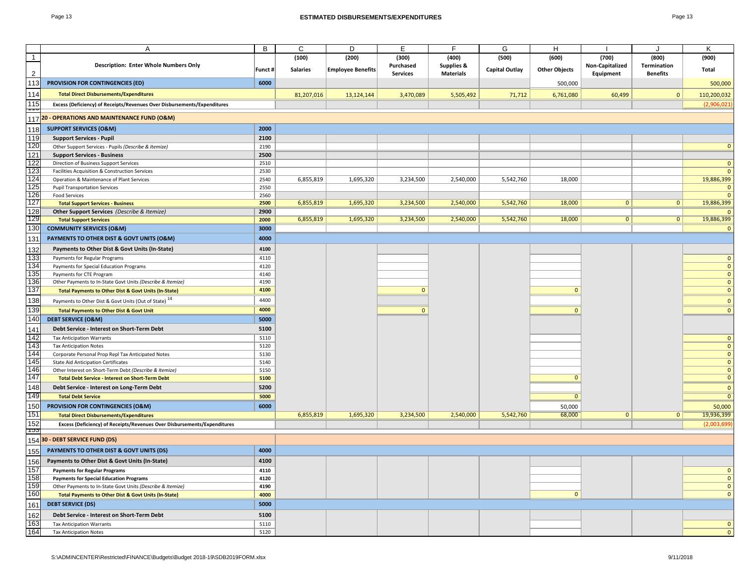| Page 13                                                                                      |         | Page 13<br><b>ESTIMATED DISBURSEMENTS/EXPENDITURES</b> |                          |                              |                                |                       |                      |                              |                                |              |  |  |
|----------------------------------------------------------------------------------------------|---------|--------------------------------------------------------|--------------------------|------------------------------|--------------------------------|-----------------------|----------------------|------------------------------|--------------------------------|--------------|--|--|
|                                                                                              |         |                                                        |                          |                              |                                |                       |                      |                              |                                |              |  |  |
|                                                                                              |         |                                                        |                          |                              |                                |                       |                      |                              |                                |              |  |  |
| Α                                                                                            | B       | C                                                      | D                        | Е                            | E                              | G                     | H                    |                              | $\cdot$                        | K            |  |  |
| $\overline{1}$                                                                               |         | (100)                                                  | (200)                    | (300)                        | (400)                          | (500)                 | (600)                | (700)                        | (800)                          | (900)        |  |  |
| <b>Description: Enter Whole Numbers Only</b>                                                 | Funct # | <b>Salaries</b>                                        | <b>Employee Benefits</b> | Purchased<br><b>Services</b> | Supplies &<br><b>Materials</b> | <b>Capital Outlay</b> | <b>Other Objects</b> | Non-Capitalized<br>Equipment | Termination<br><b>Benefits</b> | Total        |  |  |
| 113<br><b>PROVISION FOR CONTINGENCIES (ED)</b>                                               | 6000    |                                                        |                          |                              |                                |                       | 500,000              |                              |                                | 500,000      |  |  |
| 114<br><b>Total Direct Disbursements/Expenditures</b>                                        |         | 81,207,016                                             | 13,124,144               | 3,470,089                    | 5,505,492                      | 71.712                | 6,761,080            | 60,499                       | $\mathbf{0}$                   | 110,200,032  |  |  |
| $\overline{115}$<br>Excess (Deficiency) of Receipts/Revenues Over Disbursements/Expenditures |         |                                                        |                          |                              |                                |                       |                      |                              |                                | (2,906,021)  |  |  |
| <br>20 - OPERATIONS AND MAINTENANCE FUND (O&M)<br>117                                        |         |                                                        |                          |                              |                                |                       |                      |                              |                                |              |  |  |
| <b>SUPPORT SERVICES (O&amp;M)</b><br>118                                                     | 2000    |                                                        |                          |                              |                                |                       |                      |                              |                                |              |  |  |
| 119<br><b>Support Services - Pupil</b>                                                       | 2100    |                                                        |                          |                              |                                |                       |                      |                              |                                |              |  |  |
| 120<br>Other Support Services - Pupils (Describe & Itemize)                                  | 2190    |                                                        |                          |                              |                                |                       |                      |                              |                                | $\Omega$     |  |  |
| 121<br><b>Support Services - Business</b>                                                    | 2500    |                                                        |                          |                              |                                |                       |                      |                              |                                |              |  |  |
| 122<br>Direction of Business Support Services                                                | 2510    |                                                        |                          |                              |                                |                       |                      |                              |                                | $\Omega$     |  |  |
| 123<br>Facilities Acquisition & Construction Services                                        | 2530    |                                                        |                          |                              |                                |                       |                      |                              |                                | $\Omega$     |  |  |
| $\overline{124}$<br>Operation & Maintenance of Plant Services                                | 2540    | 6,855,819                                              | 1,695,320                | 3,234,500                    | 2,540,000                      | 5,542,760             | 18,000               |                              |                                | 19,886,399   |  |  |
| 125<br><b>Pupil Transportation Services</b>                                                  | 2550    |                                                        |                          |                              |                                |                       |                      |                              |                                |              |  |  |
| 126<br><b>Food Services</b>                                                                  | 2560    |                                                        |                          |                              |                                |                       |                      |                              |                                |              |  |  |
| 127<br><b>Total Support Services - Business</b>                                              | 2500    | 6,855,819                                              | 1,695,320                | 3,234,500                    | 2,540,000                      | 5,542,760             | 18,000               | $\mathbf{0}$                 | 0                              | 19,886,399   |  |  |
| $\overline{128}$<br>Other Support Services (Describe & Itemize)                              | 2900    |                                                        |                          |                              |                                |                       |                      |                              |                                |              |  |  |
| 129<br><b>Total Support Services</b>                                                         | 2000    | 6,855,819                                              | 1,695,320                | 3,234,500                    | 2,540,000                      | 5,542,760             | 18,000               | 0                            | 0                              | 19,886,399   |  |  |
| 130<br><b>COMMUNITY SERVICES (O&amp;M)</b>                                                   | 3000    |                                                        |                          |                              |                                |                       |                      |                              |                                |              |  |  |
| 131<br>PAYMENTS TO OTHER DIST & GOVT UNITS (O&M)                                             | 4000    |                                                        |                          |                              |                                |                       |                      |                              |                                |              |  |  |
| 132<br>Payments to Other Dist & Govt Units (In-State)                                        | 4100    |                                                        |                          |                              |                                |                       |                      |                              |                                |              |  |  |
| 133<br>Payments for Regular Programs                                                         | 4110    |                                                        |                          |                              |                                |                       |                      |                              |                                | $\Omega$     |  |  |
| 134<br>Payments for Special Education Programs                                               | 4120    |                                                        |                          |                              |                                |                       |                      |                              |                                | $\Omega$     |  |  |
| 135<br>Payments for CTE Program                                                              | 4140    |                                                        |                          |                              |                                |                       |                      |                              |                                | $\mathbf{0}$ |  |  |
| 136<br>Other Payments to In-State Govt Units (Describe & Itemize)                            | 4190    |                                                        |                          |                              |                                |                       |                      |                              |                                | $\mathbf{0}$ |  |  |
| 137<br><b>Total Payments to Other Dist &amp; Govt Units (In-State)</b>                       | 4100    |                                                        |                          | $\Omega$                     |                                |                       | $\mathbf{0}$         |                              |                                | $\Omega$     |  |  |
| 138<br>Payments to Other Dist & Govt Units (Out of State) <sup>14</sup>                      | 4400    |                                                        |                          |                              |                                |                       |                      |                              |                                | $\Omega$     |  |  |
| 139<br><b>Total Payments to Other Dist &amp; Govt Unit</b>                                   | 4000    |                                                        |                          | $\Omega$                     |                                |                       | $\Omega$             |                              |                                | $\Omega$     |  |  |
| 140<br><b>DEBT SERVICE (O&amp;M)</b>                                                         | 5000    |                                                        |                          |                              |                                |                       |                      |                              |                                |              |  |  |
| 141<br>Debt Service - Interest on Short-Term Debt                                            | 5100    |                                                        |                          |                              |                                |                       |                      |                              |                                |              |  |  |
| 142<br><b>Tax Anticipation Warrants</b>                                                      | 5110    |                                                        |                          |                              |                                |                       |                      |                              |                                | $\Omega$     |  |  |
| $\overline{143}$<br><b>Tax Anticipation Notes</b>                                            | 5120    |                                                        |                          |                              |                                |                       |                      |                              |                                | $\Omega$     |  |  |
| 144<br>Corporate Personal Prop Repl Tax Anticipated Notes                                    | 5130    |                                                        |                          |                              |                                |                       |                      |                              |                                | $\mathbf{0}$ |  |  |
| 145<br><b>State Aid Anticipation Certificates</b>                                            | 5140    |                                                        |                          |                              |                                |                       |                      |                              |                                | $\Omega$     |  |  |
| 146<br>Other Interest on Short-Term Debt (Describe & Itemize)                                | 5150    |                                                        |                          |                              |                                |                       |                      |                              |                                | $\Omega$     |  |  |
| 147<br><b>Total Debt Service - Interest on Short-Term Debt</b>                               | 5100    |                                                        |                          |                              |                                |                       | $\mathbf{0}$         |                              |                                | $\mathbf{0}$ |  |  |
| 148<br>Debt Service - Interest on Long-Term Debt                                             | 5200    |                                                        |                          |                              |                                |                       |                      |                              |                                | $\Omega$     |  |  |
| 149<br><b>Total Debt Service</b>                                                             | 5000    |                                                        |                          |                              |                                |                       | $\overline{0}$       |                              |                                |              |  |  |
| 150<br>PROVISION FOR CONTINGENCIES (O&M)                                                     | 6000    |                                                        |                          |                              |                                |                       | 50,000               |                              |                                | 50,000       |  |  |
| 151<br><b>Total Direct Disbursements/Expenditures</b>                                        |         | 6,855,819                                              | 1,695,320                | 3,234,500                    | 2,540,000                      | 5,542,760             | 68,000               | $\mathbf{0}$                 | 0 <sup>1</sup>                 | 19,936,399   |  |  |
| 152                                                                                          |         |                                                        |                          |                              |                                |                       |                      |                              |                                |              |  |  |
| Excess (Deficiency) of Receipts/Revenues Over Disbursements/Expenditures<br>და               |         |                                                        |                          |                              |                                |                       |                      |                              |                                | (2,003,69)   |  |  |
| 15430 - DEBT SERVICE FUND (DS)                                                               |         |                                                        |                          |                              |                                |                       |                      |                              |                                |              |  |  |

|     | 154 30 - DEBT SERVICE FUND (DS)                                 |      |  |  |  |  |  |
|-----|-----------------------------------------------------------------|------|--|--|--|--|--|
| 155 | PAYMENTS TO OTHER DIST & GOVT UNITS (DS)                        | 4000 |  |  |  |  |  |
| 156 | Payments to Other Dist & Govt Units (In-State)                  | 4100 |  |  |  |  |  |
| 157 | <b>Payments for Regular Programs</b>                            | 4110 |  |  |  |  |  |
| 158 | <b>Payments for Special Education Programs</b>                  | 4120 |  |  |  |  |  |
| 159 | Other Payments to In-State Govt Units (Describe & Itemize)      | 4190 |  |  |  |  |  |
| 160 | <b>Total Payments to Other Dist &amp; Govt Units (In-State)</b> | 4000 |  |  |  |  |  |
| 161 | <b>DEBT SERVICE (DS)</b>                                        | 5000 |  |  |  |  |  |
| 162 | Debt Service - Interest on Short-Term Debt                      | 5100 |  |  |  |  |  |
| 163 | <b>Tax Anticipation Warrants</b>                                | 5110 |  |  |  |  |  |
| 164 | <b>Tax Anticipation Notes</b>                                   | 5120 |  |  |  |  |  |

S:\ADMINCENTER\Restricted\FINANCE\Budgets\Budget 2018-19\SDB2019FORM.xlsx 9/11/2018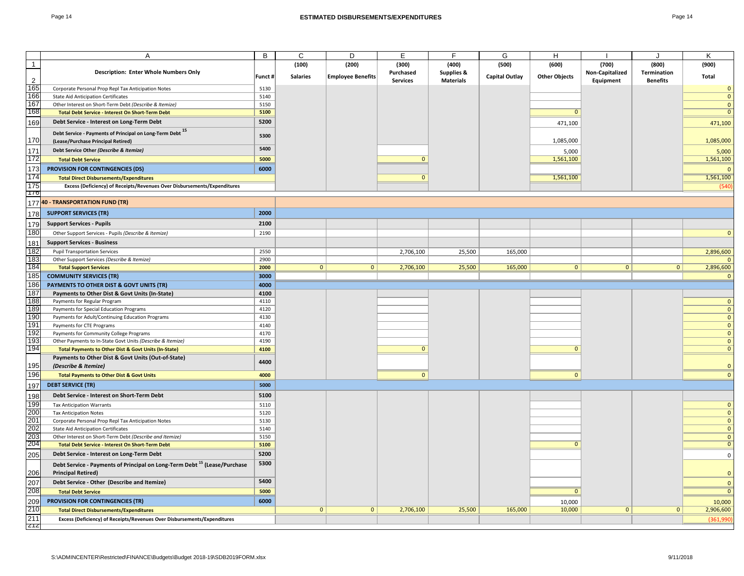| ane. |  |
|------|--|
|------|--|

|                | A                                                                                                                 | B       | C               | D                        | E               |                       | G              | H                    |                 |                 | K                  |
|----------------|-------------------------------------------------------------------------------------------------------------------|---------|-----------------|--------------------------|-----------------|-----------------------|----------------|----------------------|-----------------|-----------------|--------------------|
| $\overline{1}$ |                                                                                                                   |         | (100)           | (200)                    | (300)           | (400)                 | (500)          | (600)                | (700)           | (800)           | (900)              |
|                | <b>Description: Enter Whole Numbers Only</b>                                                                      |         |                 |                          | Purchased       | <b>Supplies &amp;</b> |                |                      | Non-Capitalized | Termination     |                    |
| 2              |                                                                                                                   | Funct # | <b>Salaries</b> | <b>Employee Benefits</b> | <b>Services</b> | <b>Materials</b>      | Capital Outlay | <b>Other Objects</b> | Equipment       | <b>Benefits</b> | Total              |
| 165            | Corporate Personal Prop Repl Tax Anticipation Notes                                                               | 5130    |                 |                          |                 |                       |                |                      |                 |                 | $\mathbf{0}$       |
| 166            | <b>State Aid Anticipation Certificates</b>                                                                        | 5140    |                 |                          |                 |                       |                |                      |                 |                 | $\mathbf{0}$       |
| 167            | Other Interest on Short-Term Debt (Describe & Itemize)                                                            | 5150    |                 |                          |                 |                       |                |                      |                 |                 | $\mathbf{0}$       |
| 168            | Total Debt Service - Interest On Short-Term Debt                                                                  | 5100    |                 |                          |                 |                       |                | $\Omega$             |                 |                 | $\mathbf{0}$       |
| 169            | Debt Service - Interest on Long-Term Debt                                                                         | 5200    |                 |                          |                 |                       |                | 471,100              |                 |                 | 471,100            |
| 170            | Debt Service - Payments of Principal on Long-Term Debt 15<br>(Lease/Purchase Principal Retired)                   | 5300    |                 |                          |                 |                       |                | 1,085,000            |                 |                 | 1,085,000          |
| 171            | Debt Service Other (Describe & Itemize)                                                                           | 5400    |                 |                          |                 |                       |                |                      |                 |                 |                    |
| 172            | <b>Total Debt Service</b>                                                                                         | 5000    |                 |                          | $\Omega$        |                       |                | 5,000<br>1,561,100   |                 |                 | 5,000<br>1,561,100 |
|                | PROVISION FOR CONTINGENCIES (DS)                                                                                  | 6000    |                 |                          |                 |                       |                |                      |                 |                 |                    |
| 173            |                                                                                                                   |         |                 |                          |                 |                       |                |                      |                 |                 | $\Omega$           |
| 174<br>175     | <b>Total Direct Disbursements/Expenditures</b>                                                                    |         |                 |                          | $\Omega$        |                       |                | 1,561,100            |                 |                 | 1,561,100          |
| 170            | Excess (Deficiency) of Receipts/Revenues Over Disbursements/Expenditures                                          |         |                 |                          |                 |                       |                |                      |                 |                 | (540)              |
|                | 177 40 - TRANSPORTATION FUND (TR)                                                                                 |         |                 |                          |                 |                       |                |                      |                 |                 |                    |
| 178            | <b>SUPPORT SERVICES (TR)</b>                                                                                      | 2000    |                 |                          |                 |                       |                |                      |                 |                 |                    |
| 179            | <b>Support Services - Pupils</b>                                                                                  | 2100    |                 |                          |                 |                       |                |                      |                 |                 |                    |
| 180            | Other Support Services - Pupils (Describe & Itemize)                                                              | 2190    |                 |                          |                 |                       |                |                      |                 |                 | $\mathbf{0}$       |
| 181            | <b>Support Services - Business</b>                                                                                |         |                 |                          |                 |                       |                |                      |                 |                 |                    |
| 182            | <b>Pupil Transportation Services</b>                                                                              | 2550    |                 |                          | 2,706,100       | 25,500                | 165,000        |                      |                 |                 | 2,896,600          |
| 183            | Other Support Services (Describe & Itemize)                                                                       | 2900    |                 |                          |                 |                       |                |                      |                 |                 | <sup>n</sup>       |
| 184            | <b>Total Support Services</b>                                                                                     | 2000    | $\overline{0}$  | $\mathbf{0}$             | 2,706,100       | 25,500                | 165,000        | $\overline{0}$       | $\overline{0}$  | $\mathbf{0}$    | 2,896,600          |
| 185            | <b>COMMUNITY SERVICES (TR)</b>                                                                                    | 3000    |                 |                          |                 |                       |                |                      |                 |                 | $\mathbf{0}$       |
| 186            | PAYMENTS TO OTHER DIST & GOVT UNITS (TR)                                                                          | 4000    |                 |                          |                 |                       |                |                      |                 |                 |                    |
| 187            | Payments to Other Dist & Govt Units (In-State)                                                                    | 4100    |                 |                          |                 |                       |                |                      |                 |                 |                    |
| 188            | Payments for Regular Program                                                                                      | 4110    |                 |                          |                 |                       |                |                      |                 |                 | $\mathbf{0}$       |
| 189            | Payments for Special Education Programs                                                                           | 4120    |                 |                          |                 |                       |                |                      |                 |                 | $\mathbf{0}$       |
| 190            | Payments for Adult/Continuing Education Programs                                                                  | 4130    |                 |                          |                 |                       |                |                      |                 |                 | $\mathbf{0}$       |
| 191            | Payments for CTE Programs                                                                                         | 4140    |                 |                          |                 |                       |                |                      |                 |                 | $\mathbf{0}$       |
| 192            | Payments for Community College Programs                                                                           | 4170    |                 |                          |                 |                       |                |                      |                 |                 | $\mathbf{0}$       |
| 193            | Other Payments to In-State Govt Units (Describe & Itemize)                                                        | 4190    |                 |                          |                 |                       |                |                      |                 |                 | $\mathbf{0}$       |
| 194            | <b>Total Payments to Other Dist &amp; Govt Units (In-State)</b>                                                   | 4100    |                 |                          | $\Omega$        |                       |                | $\Omega$             |                 |                 | $\mathbf{0}$       |
| 195            | Payments to Other Dist & Govt Units (Out-of-State)<br>(Describe & Itemize)                                        | 4400    |                 |                          |                 |                       |                |                      |                 |                 | $\mathbf{0}$       |
| 196            | <b>Total Payments to Other Dist &amp; Govt Units</b>                                                              | 4000    |                 |                          | $\mathbf{0}$    |                       |                | $\mathbf{0}$         |                 |                 | $\Omega$           |
| 197            | <b>DEBT SERVICE (TR)</b>                                                                                          | 5000    |                 |                          |                 |                       |                |                      |                 |                 |                    |
| 198            | Debt Service - Interest on Short-Term Debt                                                                        | 5100    |                 |                          |                 |                       |                |                      |                 |                 |                    |
| 199            | <b>Tax Anticipation Warrants</b>                                                                                  | 5110    |                 |                          |                 |                       |                |                      |                 |                 | $\mathbf{0}$       |
| 200            | <b>Tax Anticipation Notes</b>                                                                                     | 5120    |                 |                          |                 |                       |                |                      |                 |                 | $\mathbf{0}$       |
| 201            | Corporate Personal Prop Repl Tax Anticipation Notes                                                               | 5130    |                 |                          |                 |                       |                |                      |                 |                 | $\mathbf{0}$       |
| 202            | <b>State Aid Anticipation Certificates</b>                                                                        | 5140    |                 |                          |                 |                       |                |                      |                 |                 | $\mathbf{0}$       |
| 203            | Other Interest on Short-Term Debt (Describe and Itemize)                                                          | 5150    |                 |                          |                 |                       |                | $\Omega$             |                 |                 | $\mathbf{0}$       |
| 204            | <b>Total Debt Service - Interest On Short-Term Debt</b>                                                           | 5100    |                 |                          |                 |                       |                |                      |                 |                 | $\mathbf{0}$       |
| 205            | Debt Service - Interest on Long-Term Debt                                                                         | 5200    |                 |                          |                 |                       |                |                      |                 |                 | $\mathbf 0$        |
| 206            | Debt Service - Payments of Principal on Long-Term Debt <sup>15</sup> (Lease/Purchase<br><b>Principal Retired)</b> | 5300    |                 |                          |                 |                       |                |                      |                 |                 | $\mathbf{0}$       |
| 207            | Debt Service - Other (Describe and Itemize)                                                                       | 5400    |                 |                          |                 |                       |                |                      |                 |                 | $\mathbf{0}$       |
| 208            | <b>Total Debt Service</b>                                                                                         | 5000    |                 |                          |                 |                       |                | $\overline{0}$       |                 |                 | $\overline{0}$     |
| 209            | PROVISION FOR CONTINGENCIES (TR)                                                                                  | 6000    |                 |                          |                 |                       |                | 10,000               |                 |                 | 10,000             |
| 210            | <b>Total Direct Disbursements/Expenditures</b>                                                                    |         | $\mathbf{0}$    | $\mathbf{0}$             | 2,706,100       | 25,500                | 165,000        | 10,000               | $\mathbf{0}$    | $\mathbf{0}$    | 2,906,600          |
| 211            | Excess (Deficiency) of Receipts/Revenues Over Disbursements/Expenditures                                          |         |                 |                          |                 |                       |                |                      |                 |                 | (361,990)          |
| Z1Z            |                                                                                                                   |         |                 |                          |                 |                       |                |                      |                 |                 |                    |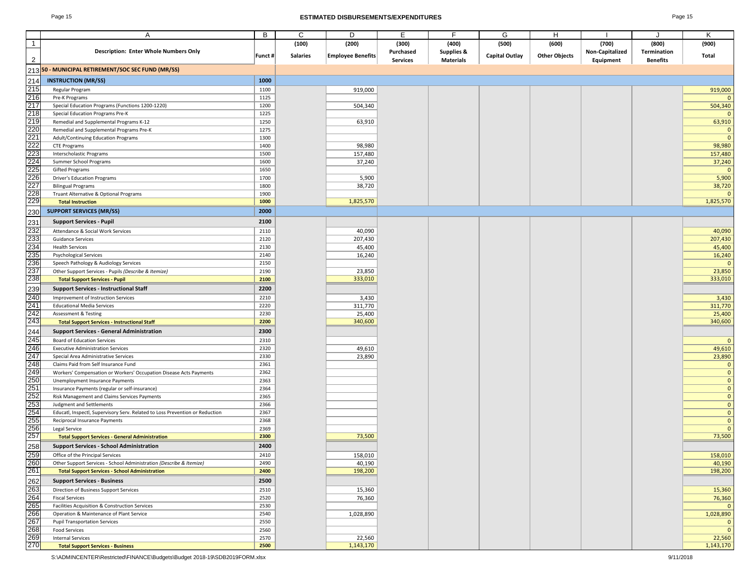### Page 15 **ESTIMATED DISBURSEMENTS/EXPENDITURES** Page 15

| ı<br>ы |  |
|--------|--|
|--------|--|

|                   | Α                                                                            | В      | C               | D                        | E.              | F                     | G                     | н                    |                 |                 | Κ            |
|-------------------|------------------------------------------------------------------------------|--------|-----------------|--------------------------|-----------------|-----------------------|-----------------------|----------------------|-----------------|-----------------|--------------|
| $\overline{1}$    |                                                                              |        | (100)           | (200)                    | (300)           | (400)                 | (500)                 | (600)                | (700)           | (800)           | (900)        |
|                   | <b>Description: Enter Whole Numbers Only</b>                                 |        |                 |                          | Purchased       | <b>Supplies &amp;</b> |                       |                      | Non-Capitalized | Termination     |              |
| $\overline{2}$    |                                                                              | Funct# | <b>Salaries</b> | <b>Employee Benefits</b> | <b>Services</b> | <b>Materials</b>      | <b>Capital Outlay</b> | <b>Other Objects</b> | Equipment       | <b>Benefits</b> | <b>Total</b> |
|                   | 213 50 - MUNICIPAL RETIREMENT/SOC SEC FUND (MR/SS)                           |        |                 |                          |                 |                       |                       |                      |                 |                 |              |
|                   |                                                                              |        |                 |                          |                 |                       |                       |                      |                 |                 |              |
| 214               | <b>INSTRUCTION (MR/SS)</b>                                                   | 1000   |                 |                          |                 |                       |                       |                      |                 |                 |              |
| 215               | Regular Program                                                              | 1100   |                 | 919,000                  |                 |                       |                       |                      |                 |                 | 919,000      |
| 216               | Pre-K Programs                                                               | 1125   |                 |                          |                 |                       |                       |                      |                 |                 | $\mathbf{0}$ |
| 217               | Special Education Programs (Functions 1200-1220)                             | 1200   |                 | 504,340                  |                 |                       |                       |                      |                 |                 | 504,340      |
| 218               | Special Education Programs Pre-K                                             | 1225   |                 |                          |                 |                       |                       |                      |                 |                 | $\mathbf{0}$ |
| 219               | Remedial and Supplemental Programs K-12                                      | 1250   |                 | 63,910                   |                 |                       |                       |                      |                 |                 | 63,910       |
| 220               | Remedial and Supplemental Programs Pre-K                                     | 1275   |                 |                          |                 |                       |                       |                      |                 |                 | $\mathbf{0}$ |
| 221               | Adult/Continuing Education Programs                                          | 1300   |                 |                          |                 |                       |                       |                      |                 |                 | $\mathbf{0}$ |
| 222               | <b>CTE Programs</b>                                                          | 1400   |                 | 98,980                   |                 |                       |                       |                      |                 |                 | 98,980       |
| 223               | Interscholastic Programs                                                     | 1500   |                 | 157,480                  |                 |                       |                       |                      |                 |                 | 157,480      |
| $\frac{224}{225}$ | Summer School Programs                                                       | 1600   |                 | 37,240                   |                 |                       |                       |                      |                 |                 | 37,240       |
|                   | <b>Gifted Programs</b>                                                       | 1650   |                 |                          |                 |                       |                       |                      |                 |                 | $\mathbf{0}$ |
| 226               | Driver's Education Programs                                                  | 1700   |                 | 5,900                    |                 |                       |                       |                      |                 |                 | 5,900        |
| 227               | <b>Bilingual Programs</b>                                                    | 1800   |                 | 38,720                   |                 |                       |                       |                      |                 |                 | 38,720       |
| 228               | Truant Alternative & Optional Programs                                       | 1900   |                 |                          |                 |                       |                       |                      |                 |                 | $\Omega$     |
| 229               | <b>Total Instruction</b>                                                     | 1000   |                 | 1,825,570                |                 |                       |                       |                      |                 |                 | 1,825,570    |
| 230               | <b>SUPPORT SERVICES (MR/SS)</b>                                              | 2000   |                 |                          |                 |                       |                       |                      |                 |                 |              |
| 231               | <b>Support Services - Pupil</b>                                              | 2100   |                 |                          |                 |                       |                       |                      |                 |                 |              |
| 232               | Attendance & Social Work Services                                            | 2110   |                 | 40,090                   |                 |                       |                       |                      |                 |                 | 40,090       |
| 233               | <b>Guidance Services</b>                                                     | 2120   |                 | 207,430                  |                 |                       |                       |                      |                 |                 | 207,430      |
| 234               | <b>Health Services</b>                                                       | 2130   |                 | 45,400                   |                 |                       |                       |                      |                 |                 | 45,400       |
| 235               | Psychological Services                                                       | 2140   |                 | 16,240                   |                 |                       |                       |                      |                 |                 | 16,240       |
| 236               | Speech Pathology & Audiology Services                                        | 2150   |                 |                          |                 |                       |                       |                      |                 |                 | $\mathbf{0}$ |
| 237               | Other Support Services - Pupils (Describe & Itemize)                         | 2190   |                 | 23,850                   |                 |                       |                       |                      |                 |                 | 23,850       |
| 238               | <b>Total Support Services - Pupil</b>                                        | 2100   |                 | 333,010                  |                 |                       |                       |                      |                 |                 | 333,010      |
|                   |                                                                              |        |                 |                          |                 |                       |                       |                      |                 |                 |              |
| 239               | <b>Support Services - Instructional Staff</b>                                | 2200   |                 |                          |                 |                       |                       |                      |                 |                 |              |
| 240               | Improvement of Instruction Services                                          | 2210   |                 | 3,430                    |                 |                       |                       |                      |                 |                 | 3,430        |
| 241               | <b>Educational Media Services</b>                                            | 2220   |                 | 311,770                  |                 |                       |                       |                      |                 |                 | 311,770      |
| 242<br>243        | <b>Assessment &amp; Testing</b>                                              | 2230   |                 | 25,400                   |                 |                       |                       |                      |                 |                 | 25,400       |
|                   | <b>Total Support Services - Instructional Staff</b>                          | 2200   |                 | 340,600                  |                 |                       |                       |                      |                 |                 | 340,600      |
| 244               | <b>Support Services - General Administration</b>                             | 2300   |                 |                          |                 |                       |                       |                      |                 |                 |              |
| 245               | Board of Education Services                                                  | 2310   |                 |                          |                 |                       |                       |                      |                 |                 | $\mathbf{0}$ |
| 246               | <b>Executive Administration Services</b>                                     | 2320   |                 | 49,610                   |                 |                       |                       |                      |                 |                 | 49,610       |
| 247               | Special Area Administrative Services                                         | 2330   |                 | 23,890                   |                 |                       |                       |                      |                 |                 | 23,890       |
| 248               | Claims Paid from Self Insurance Fund                                         | 2361   |                 |                          |                 |                       |                       |                      |                 |                 | $\mathbf{0}$ |
| 249               | Workers' Compensation or Workers' Occupation Disease Acts Payments           | 2362   |                 |                          |                 |                       |                       |                      |                 |                 | $\mathbf{0}$ |
| 250               | Unemployment Insurance Payments                                              | 2363   |                 |                          |                 |                       |                       |                      |                 |                 | $\mathbf{0}$ |
| 251               | Insurance Payments (regular or self-insurance)                               | 2364   |                 |                          |                 |                       |                       |                      |                 |                 | $\mathbf{0}$ |
| 252               | Risk Management and Claims Services Payments                                 | 2365   |                 |                          |                 |                       |                       |                      |                 |                 | $\mathbf{0}$ |
| 253               | Judgment and Settlements                                                     | 2366   |                 |                          |                 |                       |                       |                      |                 |                 | $\mathbf{0}$ |
| 254               | Educatl, Inspectl, Supervisory Serv. Related to Loss Prevention or Reduction | 2367   |                 |                          |                 |                       |                       |                      |                 |                 | $\mathbf{0}$ |
| 255               | Reciprocal Insurance Payments                                                | 2368   |                 |                          |                 |                       |                       |                      |                 |                 | $\mathbf{0}$ |
| 256               | Legal Service                                                                | 2369   |                 |                          |                 |                       |                       |                      |                 |                 | $\mathbf{0}$ |
| $\frac{1}{257}$   | <b>Total Support Services - General Administration</b>                       | 2300   |                 | 73,500                   |                 |                       |                       |                      |                 |                 | 73,500       |
| 258               | <b>Support Services - School Administration</b>                              | 2400   |                 |                          |                 |                       |                       |                      |                 |                 |              |
| 259               | Office of the Principal Services                                             | 2410   |                 | 158,010                  |                 |                       |                       |                      |                 |                 | 158,010      |
|                   | Other Support Services - School Administration (Describe & Itemize)          | 2490   |                 | 40,190                   |                 |                       |                       |                      |                 |                 | 40,190       |
| 260<br>261        | <b>Total Support Services - School Administration</b>                        | 2400   |                 | 198,200                  |                 |                       |                       |                      |                 |                 | 198,200      |
| 262               | <b>Support Services - Business</b>                                           | 2500   |                 |                          |                 |                       |                       |                      |                 |                 |              |
| 263               | Direction of Business Support Services                                       | 2510   |                 | 15,360                   |                 |                       |                       |                      |                 |                 | 15,360       |
| 264               | <b>Fiscal Services</b>                                                       | 2520   |                 | 76,360                   |                 |                       |                       |                      |                 |                 | 76,360       |
| 265               | Facilities Acquisition & Construction Services                               | 2530   |                 |                          |                 |                       |                       |                      |                 |                 | $\mathbf{0}$ |
| 266               | Operation & Maintenance of Plant Service                                     | 2540   |                 | 1,028,890                |                 |                       |                       |                      |                 |                 | 1,028,890    |
| 267               | <b>Pupil Transportation Services</b>                                         | 2550   |                 |                          |                 |                       |                       |                      |                 |                 | $\mathbf{0}$ |
|                   | <b>Food Services</b>                                                         | 2560   |                 |                          |                 |                       |                       |                      |                 |                 | $\mathbf{0}$ |
| 268<br>269        | <b>Internal Services</b>                                                     | 2570   |                 | 22,560                   |                 |                       |                       |                      |                 |                 | 22,560       |
| 270               | <b>Total Support Services - Business</b>                                     | 2500   |                 | 1,143,170                |                 |                       |                       |                      |                 |                 | 1,143,170    |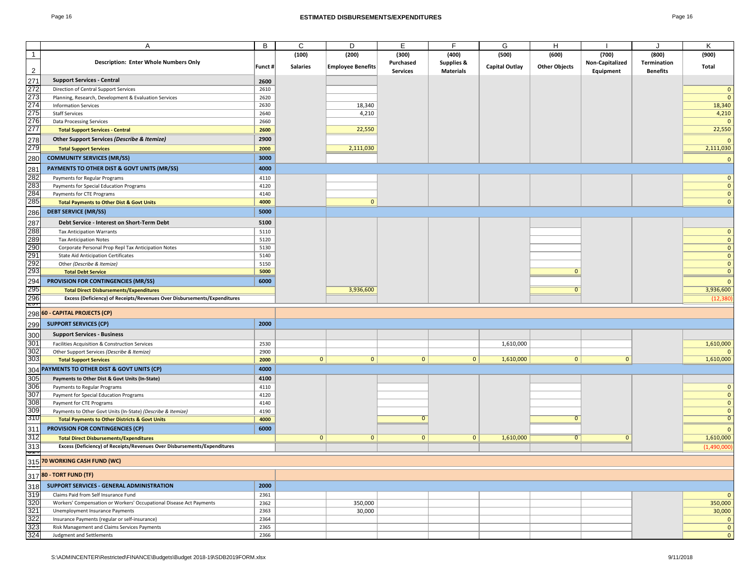| ٦Α<br>ы |  |
|---------|--|
|---------|--|

|                   | Α                                                                        | B       | C               | D                        | Е               | F                | G                     | H                    |                 | $\cdot$         | Κ              |
|-------------------|--------------------------------------------------------------------------|---------|-----------------|--------------------------|-----------------|------------------|-----------------------|----------------------|-----------------|-----------------|----------------|
| $\overline{1}$    |                                                                          |         | (100)           | (200)                    | (300)           | (400)            | (500)                 | (600)                | (700)           | (800)           | (900)          |
|                   | <b>Description: Enter Whole Numbers Only</b>                             |         |                 |                          | Purchased       | Supplies &       |                       |                      | Non-Capitalized | Termination     |                |
| $\overline{2}$    |                                                                          | Funct # | <b>Salaries</b> | <b>Employee Benefits</b> | <b>Services</b> | <b>Materials</b> | <b>Capital Outlay</b> | <b>Other Objects</b> | Equipment       | <b>Benefits</b> | <b>Total</b>   |
|                   |                                                                          |         |                 |                          |                 |                  |                       |                      |                 |                 |                |
| 271               | <b>Support Services - Central</b>                                        | 2600    |                 |                          |                 |                  |                       |                      |                 |                 |                |
| 272               | Direction of Central Support Services                                    | 2610    |                 |                          |                 |                  |                       |                      |                 |                 | $\mathbf{0}$   |
| 273               | Planning, Research, Development & Evaluation Services                    | 2620    |                 |                          |                 |                  |                       |                      |                 |                 | $\mathbf{0}$   |
|                   | <b>Information Services</b>                                              | 2630    |                 |                          |                 |                  |                       |                      |                 |                 | 18,340         |
| 274<br>275        |                                                                          |         |                 | 18,340                   |                 |                  |                       |                      |                 |                 |                |
|                   | <b>Staff Services</b>                                                    | 2640    |                 | 4,210                    |                 |                  |                       |                      |                 |                 | 4,210          |
| 276               | Data Processing Services                                                 | 2660    |                 |                          |                 |                  |                       |                      |                 |                 | $\mathbf{0}$   |
| 277               | <b>Total Support Services - Central</b>                                  | 2600    |                 | 22,550                   |                 |                  |                       |                      |                 |                 | 22,550         |
|                   | Other Support Services (Describe & Itemize)                              | 2900    |                 |                          |                 |                  |                       |                      |                 |                 |                |
| 278<br>279        |                                                                          |         |                 |                          |                 |                  |                       |                      |                 |                 | $\mathbf{0}$   |
|                   | <b>Total Support Services</b>                                            | 2000    |                 | 2,111,030                |                 |                  |                       |                      |                 |                 | 2,111,030      |
| 280               | <b>COMMUNITY SERVICES (MR/SS)</b>                                        | 3000    |                 |                          |                 |                  |                       |                      |                 |                 | $\mathbf{0}$   |
|                   |                                                                          |         |                 |                          |                 |                  |                       |                      |                 |                 |                |
| 281               | PAYMENTS TO OTHER DIST & GOVT UNITS (MR/SS)                              | 4000    |                 |                          |                 |                  |                       |                      |                 |                 |                |
| 282               | Payments for Regular Programs                                            | 4110    |                 |                          |                 |                  |                       |                      |                 |                 | $\mathbf{0}$   |
| 283               | Payments for Special Education Programs                                  | 4120    |                 |                          |                 |                  |                       |                      |                 |                 | $\mathbf{0}$   |
| 284               | Payments for CTE Programs                                                | 4140    |                 |                          |                 |                  |                       |                      |                 |                 | $\mathbf{0}$   |
|                   |                                                                          |         |                 |                          |                 |                  |                       |                      |                 |                 |                |
| 285               | <b>Total Payments to Other Dist &amp; Govt Units</b>                     | 4000    |                 | $\mathbf{0}$             |                 |                  |                       |                      |                 |                 | $\mathbf{0}$   |
| 286               | <b>DEBT SERVICE (MR/SS)</b>                                              | 5000    |                 |                          |                 |                  |                       |                      |                 |                 |                |
|                   |                                                                          |         |                 |                          |                 |                  |                       |                      |                 |                 |                |
| 287               | Debt Service - Interest on Short-Term Debt                               | 5100    |                 |                          |                 |                  |                       |                      |                 |                 |                |
| 288               | <b>Tax Anticipation Warrants</b>                                         | 5110    |                 |                          |                 |                  |                       |                      |                 |                 | $\mathbf{0}$   |
| 289<br>290        | <b>Tax Anticipation Notes</b>                                            | 5120    |                 |                          |                 |                  |                       |                      |                 |                 | $\mathbf{0}$   |
|                   | Corporate Personal Prop Repl Tax Anticipation Notes                      | 5130    |                 |                          |                 |                  |                       |                      |                 |                 | $\mathbf{0}$   |
|                   | <b>State Aid Anticipation Certificates</b>                               | 5140    |                 |                          |                 |                  |                       |                      |                 |                 | $\mathbf{0}$   |
| 291<br>292<br>293 |                                                                          |         |                 |                          |                 |                  |                       |                      |                 |                 |                |
|                   | Other (Describe & Itemize)                                               | 5150    |                 |                          |                 |                  |                       |                      |                 |                 | $\mathbf{0}$   |
|                   | <b>Total Debt Service</b>                                                | 5000    |                 |                          |                 |                  |                       | $\mathbf{0}$         |                 |                 | $\mathbf{0}$   |
| 294               | PROVISION FOR CONTINGENCIES (MR/SS)                                      | 6000    |                 |                          |                 |                  |                       |                      |                 |                 | $\mathbf{0}$   |
| 295               | <b>Total Direct Disbursements/Expenditures</b>                           |         |                 | 3,936,600                |                 |                  |                       | $\mathbf{0}$         |                 |                 | 3,936,600      |
|                   |                                                                          |         |                 |                          |                 |                  |                       |                      |                 |                 |                |
| $\frac{296}{251}$ | Excess (Deficiency) of Receipts/Revenues Over Disbursements/Expenditures |         |                 |                          |                 |                  |                       |                      |                 |                 | (12, 380)      |
|                   |                                                                          |         |                 |                          |                 |                  |                       |                      |                 |                 |                |
|                   | 298 60 - CAPITAL PROJECTS (CP)                                           |         |                 |                          |                 |                  |                       |                      |                 |                 |                |
| 299               | <b>SUPPORT SERVICES (CP)</b>                                             | 2000    |                 |                          |                 |                  |                       |                      |                 |                 |                |
|                   |                                                                          |         |                 |                          |                 |                  |                       |                      |                 |                 |                |
| 300               | <b>Support Services - Business</b>                                       |         |                 |                          |                 |                  |                       |                      |                 |                 |                |
| 301               | Facilities Acquisition & Construction Services                           | 2530    |                 |                          |                 |                  | 1,610,000             |                      |                 |                 | 1,610,000      |
| 302               | Other Support Services (Describe & Itemize)                              | 2900    |                 |                          |                 |                  |                       |                      |                 |                 | $\mathbf{0}$   |
| 303               | <b>Total Support Services</b>                                            | 2000    | 0               | $\mathbf 0$              | $\overline{0}$  | $\mathbf{0}$     | 1,610,000             | $\mathbf{0}$         | $\mathbf{0}$    |                 | 1,610,000      |
|                   |                                                                          |         |                 |                          |                 |                  |                       |                      |                 |                 |                |
|                   | 304 PAYMENTS TO OTHER DIST & GOVT UNITS (CP)                             | 4000    |                 |                          |                 |                  |                       |                      |                 |                 |                |
| 305               | Payments to Other Dist & Govt Units (In-State)                           | 4100    |                 |                          |                 |                  |                       |                      |                 |                 |                |
| 306               | Payments to Regular Programs                                             | 4110    |                 |                          |                 |                  |                       |                      |                 |                 | $\mathbf{0}$   |
| 307               |                                                                          |         |                 |                          |                 |                  |                       |                      |                 |                 | $\mathbf{0}$   |
|                   | Payment for Special Education Programs                                   | 4120    |                 |                          |                 |                  |                       |                      |                 |                 |                |
| 308               | Payment for CTE Programs                                                 | 4140    |                 |                          |                 |                  |                       |                      |                 |                 | $\mathbf{0}$   |
| 309               | Payments to Other Govt Units (In-State) (Describe & Itemize)             | 4190    |                 |                          |                 |                  |                       |                      |                 |                 | $\mathbf{0}$   |
| 310               | <b>Total Payments to Other Districts &amp; Govt Units</b>                | 4000    |                 |                          | 0               |                  |                       | $\mathbf{0}$         |                 |                 | $\overline{0}$ |
| 311               |                                                                          | 6000    |                 |                          |                 |                  |                       |                      |                 |                 |                |
|                   | <b>PROVISION FOR CONTINGENCIES (CP)</b>                                  |         |                 |                          |                 |                  |                       |                      |                 |                 | $\mathbf{0}$   |
| 312               | <b>Total Direct Disbursements/Expenditures</b>                           |         | 0               | $\mathbf 0$              | $\overline{0}$  | $\mathbf{0}$     | 1,610,000             | $\overline{0}$       | $\mathbf{0}$    |                 | 1,610,000      |
| 313               | Excess (Deficiency) of Receipts/Revenues Over Disbursements/Expenditures |         |                 |                          |                 |                  |                       |                      |                 |                 | (1,490,000)    |
| $\frac{1}{2}$     |                                                                          |         |                 |                          |                 |                  |                       |                      |                 |                 |                |
|                   |                                                                          |         |                 |                          |                 |                  |                       |                      |                 |                 |                |
|                   | 315 70 WORKING CASH FUND (WC)                                            |         |                 |                          |                 |                  |                       |                      |                 |                 |                |
|                   | 317 80 - TORT FUND (TF)                                                  |         |                 |                          |                 |                  |                       |                      |                 |                 |                |
|                   |                                                                          |         |                 |                          |                 |                  |                       |                      |                 |                 |                |
| 318               | SUPPORT SERVICES - GENERAL ADMINISTRATION                                | 2000    |                 |                          |                 |                  |                       |                      |                 |                 |                |
| 319               | Claims Paid from Self Insurance Fund                                     | 2361    |                 |                          |                 |                  |                       |                      |                 |                 | $\mathbf{0}$   |
| 320               | Workers' Compensation or Workers' Occupational Disease Act Payments      | 2362    |                 | 350,000                  |                 |                  |                       |                      |                 |                 | 350,000        |
| 321               | Unemployment Insurance Payments                                          | 2363    |                 | 30,000                   |                 |                  |                       |                      |                 |                 | 30,000         |
| 322               |                                                                          |         |                 |                          |                 |                  |                       |                      |                 |                 | $\mathbf{0}$   |
|                   | Insurance Payments (regular or self-insurance)                           | 2364    |                 |                          |                 |                  |                       |                      |                 |                 |                |
| 323               | Risk Management and Claims Services Payments                             | 2365    |                 |                          |                 |                  |                       |                      |                 |                 | $\mathbf{0}$   |
| 324               | Judgment and Settlements                                                 | 2366    |                 |                          |                 |                  |                       |                      |                 |                 | $\mathbf{0}$   |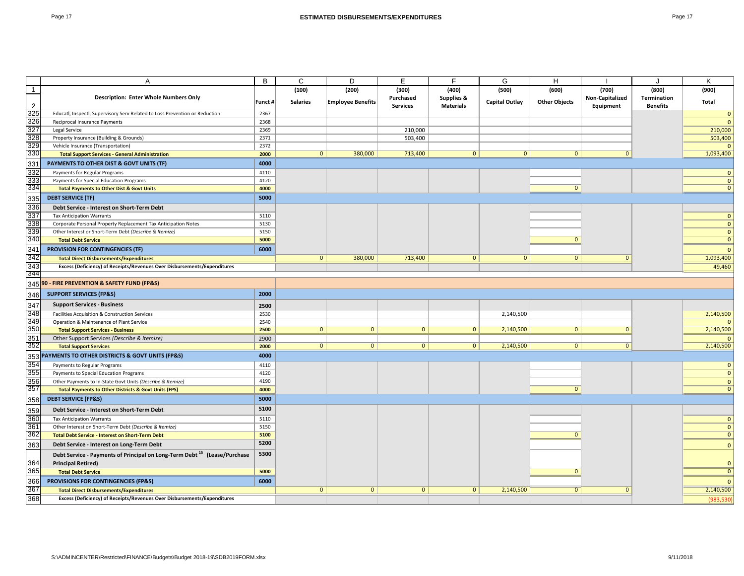|--|--|

|                | A                                                                                                                             | B            | C               | D                        |                 | Ė                | G                     |                      |                 |                 | ĸ                            |
|----------------|-------------------------------------------------------------------------------------------------------------------------------|--------------|-----------------|--------------------------|-----------------|------------------|-----------------------|----------------------|-----------------|-----------------|------------------------------|
| $\overline{1}$ |                                                                                                                               |              | (100)           | (200)                    | (300)           | (400)            | (500)                 | (600)                | (700)           | (800)           | (900)                        |
|                | <b>Description: Enter Whole Numbers Only</b>                                                                                  |              |                 |                          | Purchased       | Supplies &       |                       |                      | Non-Capitalized | Termination     |                              |
| $\overline{2}$ |                                                                                                                               | Funct#       | <b>Salaries</b> | <b>Employee Benefits</b> | <b>Services</b> | <b>Materials</b> | <b>Capital Outlay</b> | <b>Other Objects</b> | Equipment       | <b>Benefits</b> | Total                        |
| 325            | Educatl, Inspectl, Supervisory Serv Related to Loss Prevention or Reduction                                                   | 2367         |                 |                          |                 |                  |                       |                      |                 |                 | $\Omega$                     |
| 326            | Reciprocal Insurance Payments                                                                                                 | 2368         |                 |                          |                 |                  |                       |                      |                 |                 | $\Omega$                     |
| 327            | Legal Service                                                                                                                 | 2369         |                 |                          | 210,000         |                  |                       |                      |                 |                 | 210,000                      |
| 328            | Property Insurance (Building & Grounds)                                                                                       | 2371         |                 |                          | 503,400         |                  |                       |                      |                 |                 | 503,400                      |
| 329            | Vehicle Insurance (Transportation)                                                                                            | 2372         |                 |                          |                 |                  |                       |                      |                 |                 |                              |
| 330            | <b>Total Support Services - General Administration</b>                                                                        | 2000         | $\overline{0}$  | 380,000                  | 713,400         | $\overline{0}$   | 0                     | $\overline{0}$       | $\overline{0}$  |                 | 1,093,400                    |
| 331            | PAYMENTS TO OTHER DIST & GOVT UNITS (TF)                                                                                      | 4000         |                 |                          |                 |                  |                       |                      |                 |                 |                              |
| 332            | Payments for Regular Programs                                                                                                 | 4110         |                 |                          |                 |                  |                       |                      |                 |                 | $\mathbf{0}$                 |
| 333<br>334     | Payments for Special Education Programs                                                                                       | 4120         |                 |                          |                 |                  |                       |                      |                 |                 | $\mathbf{0}$                 |
|                | <b>Total Payments to Other Dist &amp; Govt Units</b>                                                                          | 4000         |                 |                          |                 |                  |                       | $\mathbf{0}$         |                 |                 | $\mathbf{0}$                 |
| 335            | <b>DEBT SERVICE (TF)</b>                                                                                                      | 5000         |                 |                          |                 |                  |                       |                      |                 |                 |                              |
| 336            | Debt Service - Interest on Short-Term Debt                                                                                    |              |                 |                          |                 |                  |                       |                      |                 |                 |                              |
| 337            | <b>Tax Anticipation Warrants</b>                                                                                              | 5110         |                 |                          |                 |                  |                       |                      |                 |                 | $\mathbf{0}$                 |
| 338            | Corporate Personal Property Replacement Tax Anticipation Notes                                                                | 5130         |                 |                          |                 |                  |                       |                      |                 |                 | $\mathbf{0}$                 |
| 339<br>340     | Other Interest or Short-Term Debt (Describe & Itemize)                                                                        | 5150<br>5000 |                 |                          |                 |                  |                       | $\mathbf{0}$         |                 |                 | $\mathbf 0$<br>$\mathbf{0}$  |
|                | <b>Total Debt Service</b>                                                                                                     |              |                 |                          |                 |                  |                       |                      |                 |                 |                              |
| 341            | <b>PROVISION FOR CONTINGENCIES (TF)</b>                                                                                       | 6000         |                 |                          |                 |                  |                       |                      |                 |                 | $\Omega$                     |
| 342            | <b>Total Direct Disbursements/Expenditures</b>                                                                                |              | $\overline{0}$  | 380,000                  | 713,400         | $\mathbf{0}$     | $\mathbf{0}$          | $\mathbf{0}$         | $\mathbf{0}$    |                 | 1,093,400                    |
| 343<br>344     | Excess (Deficiency) of Receipts/Revenues Over Disbursements/Expenditures                                                      |              |                 |                          |                 |                  |                       |                      |                 |                 | 49,460                       |
|                |                                                                                                                               |              |                 |                          |                 |                  |                       |                      |                 |                 |                              |
|                | 345 90 - FIRE PREVENTION & SAFETY FUND (FP&S)                                                                                 |              |                 |                          |                 |                  |                       |                      |                 |                 |                              |
| 346            | <b>SUPPORT SERVICES (FP&amp;S)</b>                                                                                            | 2000         |                 |                          |                 |                  |                       |                      |                 |                 |                              |
| 347            | <b>Support Services - Business</b>                                                                                            | 2500         |                 |                          |                 |                  |                       |                      |                 |                 |                              |
| 348            | Facilities Acquisition & Construction Services                                                                                | 2530         |                 |                          |                 |                  | 2,140,500             |                      |                 |                 | 2,140,500                    |
| 349            | Operation & Maintenance of Plant Service                                                                                      | 2540         |                 |                          |                 |                  |                       |                      |                 |                 |                              |
| 350            | <b>Total Support Services - Business</b>                                                                                      | 2500         | $\mathbf{0}$    | $\mathbf{0}$             | $\overline{0}$  | $\mathbf{0}$     | 2,140,500             | $\mathbf{0}$         | $\mathbf{0}$    |                 | 2,140,500                    |
| 351<br>352     | Other Support Services (Describe & Itemize)                                                                                   | 2900         | $\overline{0}$  | $\mathbf{0}$             | $\overline{0}$  | $\overline{0}$   | 2,140,500             | $\overline{0}$       | $\overline{0}$  |                 | 2,140,500                    |
|                | <b>Total Support Services</b>                                                                                                 | 2000         |                 |                          |                 |                  |                       |                      |                 |                 |                              |
|                | 353 PAYMENTS TO OTHER DISTRICTS & GOVT UNITS (FP&S)                                                                           | 4000         |                 |                          |                 |                  |                       |                      |                 |                 |                              |
| 354            | Payments to Regular Programs                                                                                                  | 4110         |                 |                          |                 |                  |                       |                      |                 |                 | $\mathbf{0}$                 |
| 355            | Payments to Special Education Programs                                                                                        | 4120<br>4190 |                 |                          |                 |                  |                       |                      |                 |                 | $\Omega$                     |
| 356<br>357     | Other Payments to In-State Govt Units (Describe & Itemize)<br><b>Total Payments to Other Districts &amp; Govt Units (FPS)</b> | 4000         |                 |                          |                 |                  |                       | $\mathbf{0}$         |                 |                 | $\mathbf{0}$<br>$\mathbf{0}$ |
|                |                                                                                                                               |              |                 |                          |                 |                  |                       |                      |                 |                 |                              |
| 358            | <b>DEBT SERVICE (FP&amp;S)</b>                                                                                                | 5000         |                 |                          |                 |                  |                       |                      |                 |                 |                              |
| 359            | Debt Service - Interest on Short-Term Debt                                                                                    | 5100         |                 |                          |                 |                  |                       |                      |                 |                 |                              |
| 360            | <b>Tax Anticipation Warrants</b>                                                                                              | 5110         |                 |                          |                 |                  |                       |                      |                 |                 | $\mathbf{0}$                 |
| 361            | Other Interest on Short-Term Debt (Describe & Itemize)                                                                        | 5150         |                 |                          |                 |                  |                       |                      |                 |                 | $\mathbf{0}$                 |
| 362            | <b>Total Debt Service - Interest on Short-Term Debt</b>                                                                       | 5100         |                 |                          |                 |                  |                       | $\Omega$             |                 |                 | $\mathbf{0}$                 |
| 363            | Debt Service - Interest on Long-Term Debt                                                                                     | 5200         |                 |                          |                 |                  |                       |                      |                 |                 | $\mathbf{0}$                 |
|                | Debt Service - Payments of Principal on Long-Term Debt <sup>15</sup> (Lease/Purchase                                          | 5300         |                 |                          |                 |                  |                       |                      |                 |                 |                              |
| 364            | <b>Principal Retired)</b>                                                                                                     |              |                 |                          |                 |                  |                       |                      |                 |                 | $\Omega$                     |
| 365            | <b>Total Debt Service</b>                                                                                                     | 5000         |                 |                          |                 |                  |                       | $\Omega$             |                 |                 | $\Omega$                     |
| 366            | PROVISIONS FOR CONTINGENCIES (FP&S)                                                                                           | 6000         |                 |                          |                 |                  |                       |                      |                 |                 | $\Omega$                     |
| 367            | <b>Total Direct Disbursements/Expenditures</b>                                                                                |              | $\overline{0}$  | $\mathbf{0}$             | $\mathbf{0}$    | $\mathbf{0}$     | 2,140,500             | 0                    | $\overline{0}$  |                 | 2,140,500                    |
| 368            | Excess (Deficiency) of Receipts/Revenues Over Disbursements/Expenditures                                                      |              |                 |                          |                 |                  |                       |                      |                 |                 | (983, 530)                   |
|                |                                                                                                                               |              |                 |                          |                 |                  |                       |                      |                 |                 |                              |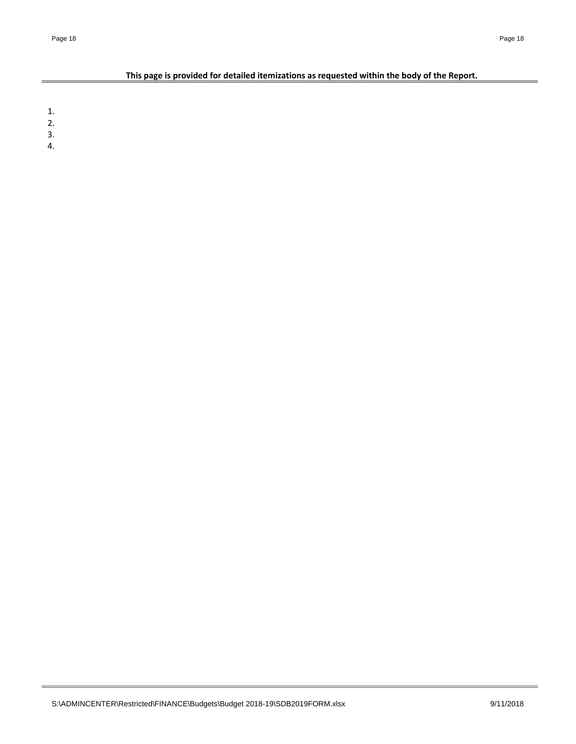# **This page is provided for detailed itemizations as requested within the body of the Report.**

1.

- 2.
- 3.
- 4.

 $=$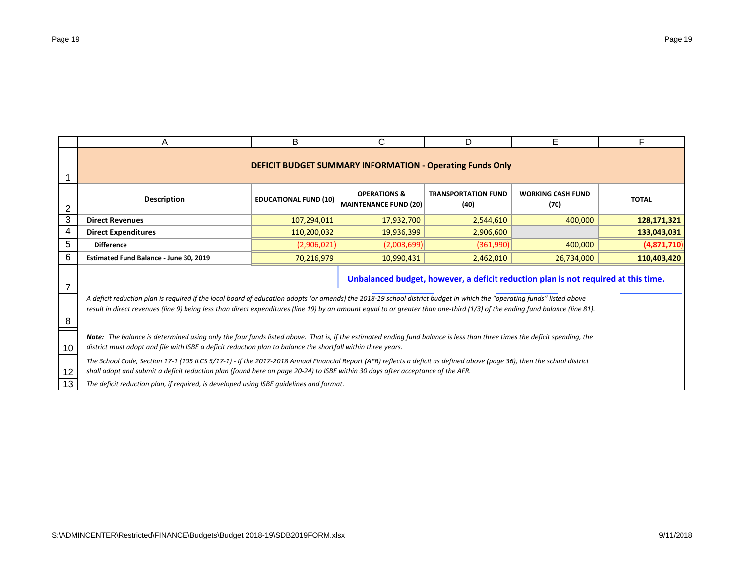|                | A                                                                                                                                                                                                                                                                                                                                                      | B                            | C                                                       | D                                  | E.                               |              |  |  |  |  |
|----------------|--------------------------------------------------------------------------------------------------------------------------------------------------------------------------------------------------------------------------------------------------------------------------------------------------------------------------------------------------------|------------------------------|---------------------------------------------------------|------------------------------------|----------------------------------|--------------|--|--|--|--|
|                | <b>DEFICIT BUDGET SUMMARY INFORMATION - Operating Funds Only</b>                                                                                                                                                                                                                                                                                       |                              |                                                         |                                    |                                  |              |  |  |  |  |
| $\overline{2}$ | <b>Description</b>                                                                                                                                                                                                                                                                                                                                     | <b>EDUCATIONAL FUND (10)</b> | <b>OPERATIONS &amp;</b><br><b>MAINTENANCE FUND (20)</b> | <b>TRANSPORTATION FUND</b><br>(40) | <b>WORKING CASH FUND</b><br>(70) | <b>TOTAL</b> |  |  |  |  |
| 3              | <b>Direct Revenues</b>                                                                                                                                                                                                                                                                                                                                 | 107,294,011                  | 17,932,700                                              | 2,544,610                          | 400,000                          | 128,171,321  |  |  |  |  |
| 4              | <b>Direct Expenditures</b>                                                                                                                                                                                                                                                                                                                             | 110,200,032                  | 19,936,399                                              | 2,906,600                          |                                  | 133,043,031  |  |  |  |  |
| 5              | <b>Difference</b>                                                                                                                                                                                                                                                                                                                                      | (2,906,021)                  | (2,003,699)                                             | (361,990)                          | 400,000                          | (4,871,710)  |  |  |  |  |
| 6              | Estimated Fund Balance - June 30, 2019                                                                                                                                                                                                                                                                                                                 | 70,216,979                   | 10,990,431                                              | 2,462,010                          | 26,734,000                       | 110,403,420  |  |  |  |  |
|                | Unbalanced budget, however, a deficit reduction plan is not required at this time.                                                                                                                                                                                                                                                                     |                              |                                                         |                                    |                                  |              |  |  |  |  |
| 8              | A deficit reduction plan is required if the local board of education adopts (or amends) the 2018-19 school district budget in which the "operating funds" listed above<br>result in direct revenues (line 9) being less than direct expenditures (line 19) by an amount equal to or greater than one-third (1/3) of the ending fund balance (line 81). |                              |                                                         |                                    |                                  |              |  |  |  |  |
| 10             | Note: The balance is determined using only the four funds listed above. That is, if the estimated ending fund balance is less than three times the deficit spending, the<br>district must adopt and file with ISBE a deficit reduction plan to balance the shortfall within three years.                                                               |                              |                                                         |                                    |                                  |              |  |  |  |  |
| 12             | The School Code, Section 17-1 (105 ILCS 5/17-1) - If the 2017-2018 Annual Financial Report (AFR) reflects a deficit as defined above (page 36), then the school district<br>shall adopt and submit a deficit reduction plan (found here on page 20-24) to ISBE within 30 days after acceptance of the AFR.                                             |                              |                                                         |                                    |                                  |              |  |  |  |  |
| 13             | The deficit reduction plan, if required, is developed using ISBE guidelines and format.                                                                                                                                                                                                                                                                |                              |                                                         |                                    |                                  |              |  |  |  |  |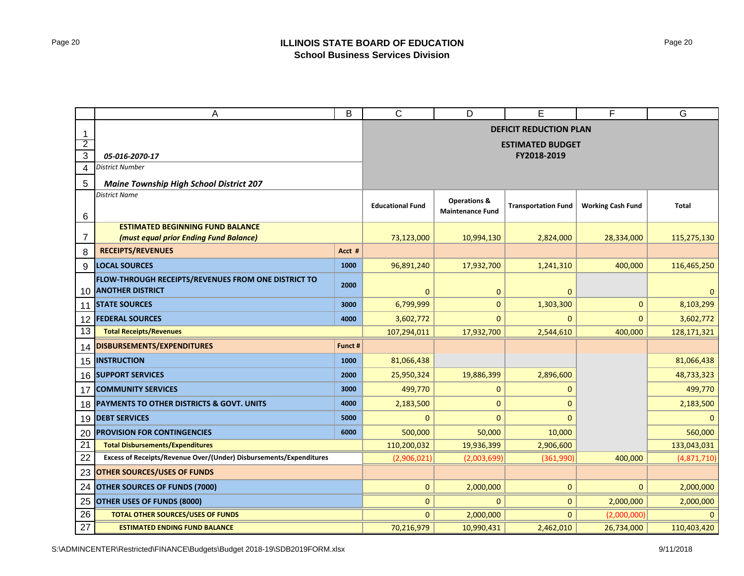|                | А                                                                              | B            | $\mathsf{C}$            | D                       | Е                             | F                        | G            |
|----------------|--------------------------------------------------------------------------------|--------------|-------------------------|-------------------------|-------------------------------|--------------------------|--------------|
| -1             |                                                                                |              |                         |                         | <b>DEFICIT REDUCTION PLAN</b> |                          |              |
| $\overline{2}$ |                                                                                |              |                         |                         | <b>ESTIMATED BUDGET</b>       |                          |              |
| 3              | 05-016-2070-17                                                                 |              |                         |                         | FY2018-2019                   |                          |              |
| 4              | <b>District Number</b>                                                         |              |                         |                         |                               |                          |              |
| 5              | <b>Maine Township High School District 207</b>                                 |              |                         |                         |                               |                          |              |
|                | <b>District Name</b>                                                           |              |                         | <b>Operations &amp;</b> |                               |                          |              |
| 6              |                                                                                |              | <b>Educational Fund</b> | <b>Maintenance Fund</b> | <b>Transportation Fund</b>    | <b>Working Cash Fund</b> | <b>Total</b> |
|                | <b>ESTIMATED BEGINNING FUND BALANCE</b>                                        |              |                         |                         |                               |                          |              |
| 7              | (must equal prior Ending Fund Balance)                                         |              | 73,123,000              | 10,994,130              | 2,824,000                     | 28,334,000               | 115,275,130  |
| 8              | <b>RECEIPTS/REVENUES</b>                                                       | Acct #       |                         |                         |                               |                          |              |
| 9              | <b>LOCAL SOURCES</b>                                                           | 1000         | 96,891,240              | 17,932,700              | 1,241,310                     | 400,000                  | 116,465,250  |
| 10             | FLOW-THROUGH RECEIPTS/REVENUES FROM ONE DISTRICT TO<br><b>ANOTHER DISTRICT</b> | 2000         | $\mathbf{0}$            | $\mathbf 0$             | 0                             |                          | $\mathbf 0$  |
| 11             | <b>STATE SOURCES</b>                                                           | 3000         | 6,799,999               | $\mathbf{0}$            | 1,303,300                     | $\mathbf{0}$             | 8,103,299    |
| 12             | <b>FEDERAL SOURCES</b>                                                         | 4000         | 3,602,772               | $\mathbf{0}$            | $\mathbf{0}$                  | $\mathbf{0}$             | 3,602,772    |
| 13             | <b>Total Receipts/Revenues</b>                                                 |              | 107,294,011             | 17,932,700              | 2,544,610                     | 400,000                  | 128,171,321  |
| 14             | DISBURSEMENTS/EXPENDITURES                                                     | Funct #      |                         |                         |                               |                          |              |
| 15             | <b>INSTRUCTION</b>                                                             | 1000         | 81,066,438              |                         |                               |                          | 81,066,438   |
| 16             | <b>SUPPORT SERVICES</b>                                                        | 2000         | 25,950,324              | 19,886,399              | 2,896,600                     |                          | 48,733,323   |
| 17             | <b>COMMUNITY SERVICES</b>                                                      | 3000         | 499,770                 | $\mathbf 0$             | $\mathbf{0}$                  |                          | 499,770      |
| 18             | PAYMENTS TO OTHER DISTRICTS & GOVT. UNITS                                      | 4000         | 2,183,500               | $\mathbf{0}$            | $\Omega$                      |                          | 2,183,500    |
| 19             | <b>DEBT SERVICES</b>                                                           | 5000         | $\mathbf{0}$            | $\overline{0}$          | $\Omega$                      |                          | $\mathbf{0}$ |
| 20             | <b>PROVISION FOR CONTINGENCIES</b>                                             | 6000         | 500,000                 | 50,000                  | 10,000                        |                          | 560,000      |
| 21             | <b>Total Disbursements/Expenditures</b>                                        |              | 110,200,032             | 19,936,399              | 2,906,600                     |                          | 133,043,031  |
| 22             | Excess of Receipts/Revenue Over/(Under) Disbursements/Expenditures             |              | (2,906,021)             | (2,003,699)             | (361,990)                     | 400,000                  | (4,871,710)  |
| 23             | <b>OTHER SOURCES/USES OF FUNDS</b>                                             |              |                         |                         |                               |                          |              |
| 24             | <b>OTHER SOURCES OF FUNDS (7000)</b>                                           | $\mathbf{0}$ | 2,000,000               | 0                       | $\mathbf{0}$                  | 2,000,000                |              |
| 25             | OTHER USES OF FUNDS (8000)                                                     |              | $\mathbf{0}$            | $\mathbf{0}$            | 0                             | 2,000,000                | 2,000,000    |
| 26             | <b>TOTAL OTHER SOURCES/USES OF FUNDS</b>                                       |              | $\overline{0}$          | 2,000,000               | $\mathbf{0}$                  | (2,000,000)              | $\Omega$     |
| 27             | <b>ESTIMATED ENDING FUND BALANCE</b>                                           |              | 70,216,979              | 10,990,431              | 2,462,010                     | 26,734,000               | 110,403,420  |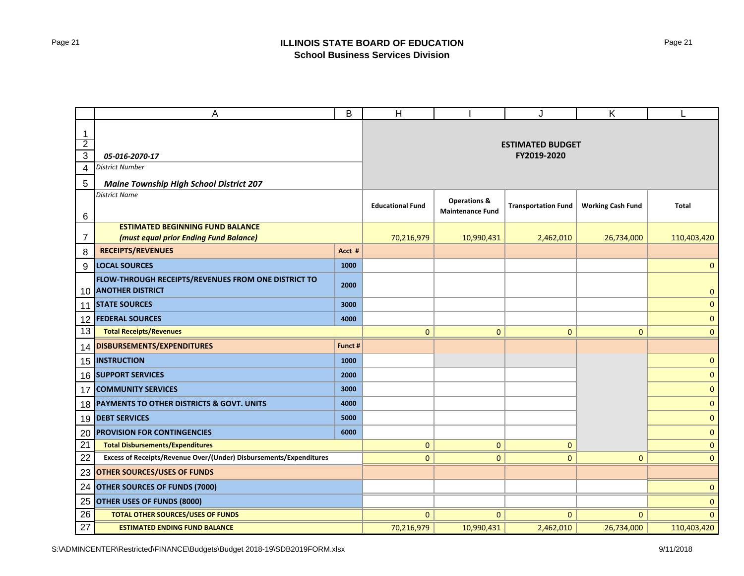|                 | A                                                                              | B       | H                       |                                                    | J                          | K                        | L              |
|-----------------|--------------------------------------------------------------------------------|---------|-------------------------|----------------------------------------------------|----------------------------|--------------------------|----------------|
| $\mathbf{1}$    |                                                                                |         |                         |                                                    |                            |                          |                |
| $\overline{2}$  |                                                                                |         |                         |                                                    | <b>ESTIMATED BUDGET</b>    |                          |                |
| $\mathbf{3}$    | 05-016-2070-17                                                                 |         |                         |                                                    | FY2019-2020                |                          |                |
| $\overline{4}$  | <b>District Number</b>                                                         |         |                         |                                                    |                            |                          |                |
| 5               | <b>Maine Township High School District 207</b>                                 |         |                         |                                                    |                            |                          |                |
| 6               | <b>District Name</b>                                                           |         | <b>Educational Fund</b> | <b>Operations &amp;</b><br><b>Maintenance Fund</b> | <b>Transportation Fund</b> | <b>Working Cash Fund</b> | <b>Total</b>   |
|                 | <b>ESTIMATED BEGINNING FUND BALANCE</b>                                        |         |                         |                                                    |                            |                          |                |
| 7               | (must equal prior Ending Fund Balance)                                         |         | 70,216,979              | 10,990,431                                         | 2,462,010                  | 26,734,000               | 110,403,420    |
| 8               | <b>RECEIPTS/REVENUES</b>                                                       | Acct #  |                         |                                                    |                            |                          |                |
| 9               | <b>LOCAL SOURCES</b>                                                           | 1000    |                         |                                                    |                            |                          | $\mathbf{0}$   |
| 10              | FLOW-THROUGH RECEIPTS/REVENUES FROM ONE DISTRICT TO<br><b>ANOTHER DISTRICT</b> | 2000    |                         |                                                    |                            |                          | $\pmb{0}$      |
| 11              | <b>STATE SOURCES</b>                                                           | 3000    |                         |                                                    |                            |                          | $\mathbf{0}$   |
| 12              | <b>FEDERAL SOURCES</b>                                                         | 4000    |                         |                                                    |                            |                          | $\pmb{0}$      |
| 13              | <b>Total Receipts/Revenues</b>                                                 |         | $\mathbf{0}$            | $\mathbf{0}$                                       | $\mathbf{0}$               | $\mathbf{0}$             | $\mathbf{0}$   |
| 14              | <b>DISBURSEMENTS/EXPENDITURES</b>                                              | Funct # |                         |                                                    |                            |                          |                |
| 15              | <b>INSTRUCTION</b>                                                             | 1000    |                         |                                                    |                            |                          | $\mathbf{0}$   |
|                 | 16 SUPPORT SERVICES                                                            | 2000    |                         |                                                    |                            |                          | $\pmb{0}$      |
| 17              | <b>COMMUNITY SERVICES</b>                                                      | 3000    |                         |                                                    |                            |                          | $\mathbf{0}$   |
|                 | 18 PAYMENTS TO OTHER DISTRICTS & GOVT. UNITS                                   | 4000    |                         |                                                    |                            |                          | $\pmb{0}$      |
| 19              | <b>DEBT SERVICES</b>                                                           | 5000    |                         |                                                    |                            |                          | $\mathbf{0}$   |
| 20              | <b>PROVISION FOR CONTINGENCIES</b>                                             | 6000    |                         |                                                    |                            |                          | $\pmb{0}$      |
| $\overline{21}$ | <b>Total Disbursements/Expenditures</b>                                        |         | $\mathbf{0}$            | $\overline{0}$                                     | $\mathbf{0}$               |                          | $\mathbf{0}$   |
| 22              | Excess of Receipts/Revenue Over/(Under) Disbursements/Expenditures             |         | $\mathbf{0}$            | $\overline{0}$                                     | $\mathbf{0}$               | $\mathbf{0}$             | $\overline{0}$ |
| 23              | <b>OTHER SOURCES/USES OF FUNDS</b>                                             |         |                         |                                                    |                            |                          |                |
| 24              | <b>OTHER SOURCES OF FUNDS (7000)</b>                                           |         |                         |                                                    |                            |                          | $\mathbf{0}$   |
| 25              | OTHER USES OF FUNDS (8000)                                                     |         |                         |                                                    |                            |                          | $\mathbf{0}$   |
| 26              | <b>TOTAL OTHER SOURCES/USES OF FUNDS</b>                                       |         | $\mathbf{0}$            | $\overline{0}$                                     | $\mathbf{0}$               | $\Omega$                 | $\overline{0}$ |
| 27              | <b>ESTIMATED ENDING FUND BALANCE</b>                                           |         | 70,216,979              | 10,990,431                                         | 2,462,010                  | 26,734,000               | 110,403,420    |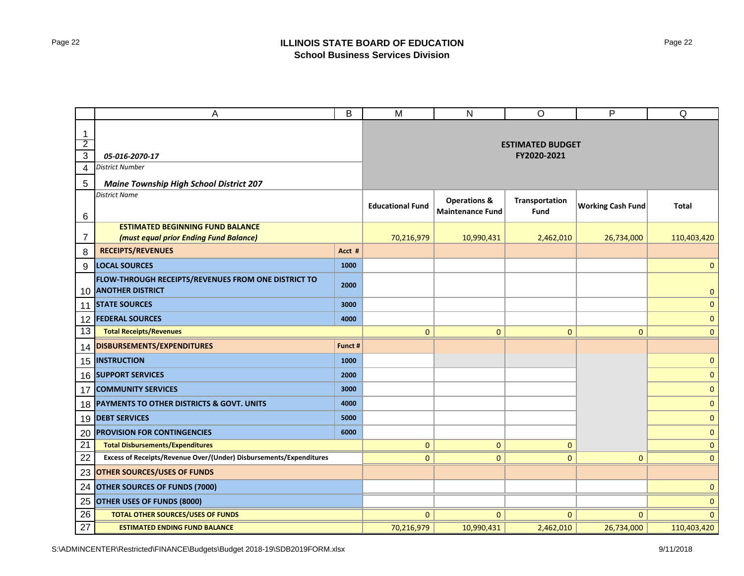|                                               | А                                                                          | B       | M                       | N                                                  | O                                      | P                        | Q            |
|-----------------------------------------------|----------------------------------------------------------------------------|---------|-------------------------|----------------------------------------------------|----------------------------------------|--------------------------|--------------|
| $\mathbf 1$<br>$\overline{2}$<br>$\mathbf{3}$ | 05-016-2070-17                                                             |         |                         |                                                    | <b>ESTIMATED BUDGET</b><br>FY2020-2021 |                          |              |
| 4                                             | <b>District Number</b>                                                     |         |                         |                                                    |                                        |                          |              |
| $\overline{5}$                                |                                                                            |         |                         |                                                    |                                        |                          |              |
|                                               | <b>Maine Township High School District 207</b><br><b>District Name</b>     |         |                         |                                                    |                                        |                          |              |
| 6                                             |                                                                            |         | <b>Educational Fund</b> | <b>Operations &amp;</b><br><b>Maintenance Fund</b> | Transportation<br>Fund                 | <b>Working Cash Fund</b> | Total        |
|                                               | <b>ESTIMATED BEGINNING FUND BALANCE</b>                                    |         |                         |                                                    |                                        |                          |              |
| 7                                             | (must equal prior Ending Fund Balance)                                     |         | 70,216,979              | 10,990,431                                         | 2,462,010                              | 26,734,000               | 110,403,420  |
| 8                                             | <b>RECEIPTS/REVENUES</b>                                                   | Acct #  |                         |                                                    |                                        |                          |              |
| 9                                             | <b>LOCAL SOURCES</b>                                                       | 1000    |                         |                                                    |                                        |                          | $\mathbf{0}$ |
|                                               | FLOW-THROUGH RECEIPTS/REVENUES FROM ONE DISTRICT TO<br>10 ANOTHER DISTRICT | 2000    |                         |                                                    |                                        |                          | 0            |
| 11                                            | <b>STATE SOURCES</b>                                                       | 3000    |                         |                                                    |                                        |                          | $\pmb{0}$    |
|                                               | 12 <b>FEDERAL SOURCES</b>                                                  | 4000    |                         |                                                    |                                        |                          | $\pmb{0}$    |
| 13                                            | <b>Total Receipts/Revenues</b>                                             |         | $\mathbf{0}$            | $\mathbf{0}$                                       | $\mathbf{0}$                           | $\overline{0}$           | $\mathbf{0}$ |
| 14                                            | DISBURSEMENTS/EXPENDITURES                                                 | Funct # |                         |                                                    |                                        |                          |              |
| 15                                            | <b>INSTRUCTION</b>                                                         | 1000    |                         |                                                    |                                        |                          | $\mathbf{0}$ |
|                                               | 16 SUPPORT SERVICES                                                        | 2000    |                         |                                                    |                                        |                          | $\pmb{0}$    |
| 17                                            | <b>COMMUNITY SERVICES</b>                                                  | 3000    |                         |                                                    |                                        |                          | $\mathbf{0}$ |
|                                               | 18 PAYMENTS TO OTHER DISTRICTS & GOVT. UNITS                               | 4000    |                         |                                                    |                                        |                          | $\mathbf 0$  |
| 19                                            | <b>DEBT SERVICES</b>                                                       | 5000    |                         |                                                    |                                        |                          | $\mathbf{0}$ |
| 20                                            | <b>PROVISION FOR CONTINGENCIES</b>                                         | 6000    |                         |                                                    |                                        |                          | $\pmb{0}$    |
| $\overline{21}$                               | <b>Total Disbursements/Expenditures</b>                                    |         | 0                       | $\mathbf{0}$                                       | $\mathbf{0}$                           |                          | $\mathbf{0}$ |
| 22                                            | Excess of Receipts/Revenue Over/(Under) Disbursements/Expenditures         |         | $\mathbf{0}$            | $\mathbf{0}$                                       | $\mathbf{0}$                           | $\overline{0}$           | $\mathbf{0}$ |
| 23                                            | <b>OTHER SOURCES/USES OF FUNDS</b>                                         |         |                         |                                                    |                                        |                          |              |
| 24                                            | <b>OTHER SOURCES OF FUNDS (7000)</b>                                       |         |                         |                                                    |                                        |                          | $\mathbf{0}$ |
| 25                                            | <b>OTHER USES OF FUNDS (8000)</b>                                          |         |                         |                                                    |                                        |                          | $\mathbf 0$  |
| 26                                            | <b>TOTAL OTHER SOURCES/USES OF FUNDS</b>                                   |         | $\mathbf{0}$            | $\mathbf{0}$                                       | $\mathbf{0}$                           | $\mathbf{0}$             | $\mathbf{0}$ |
| 27                                            | <b>ESTIMATED ENDING FUND BALANCE</b>                                       |         | 70,216,979              | 10,990,431                                         | 2,462,010                              | 26,734,000               | 110,403,420  |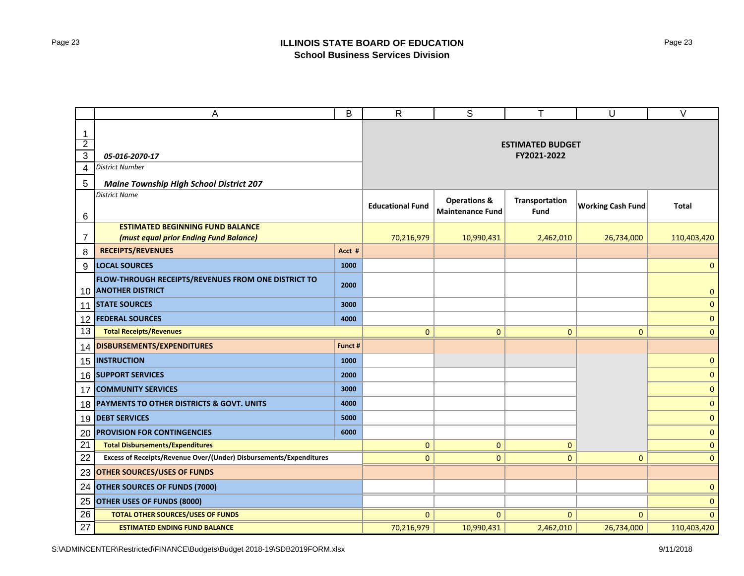|                | A                                                                              | B       | $\mathsf{R}$            | $\mathsf S$                                        | T                       | U                        | $\vee$       |
|----------------|--------------------------------------------------------------------------------|---------|-------------------------|----------------------------------------------------|-------------------------|--------------------------|--------------|
| 1              |                                                                                |         |                         |                                                    |                         |                          |              |
| $\overline{2}$ |                                                                                |         |                         |                                                    | <b>ESTIMATED BUDGET</b> |                          |              |
| $\overline{3}$ | 05-016-2070-17                                                                 |         |                         |                                                    | FY2021-2022             |                          |              |
| $\overline{4}$ | <b>District Number</b>                                                         |         |                         |                                                    |                         |                          |              |
| $\overline{5}$ | <b>Maine Township High School District 207</b>                                 |         |                         |                                                    |                         |                          |              |
| 6              | <b>District Name</b>                                                           |         | <b>Educational Fund</b> | <b>Operations &amp;</b><br><b>Maintenance Fund</b> | Transportation<br>Fund  | <b>Working Cash Fund</b> | <b>Total</b> |
|                | <b>ESTIMATED BEGINNING FUND BALANCE</b>                                        |         |                         |                                                    |                         |                          |              |
| 7              | (must equal prior Ending Fund Balance)                                         |         | 70,216,979              | 10,990,431                                         | 2,462,010               | 26,734,000               | 110,403,420  |
| 8              | <b>RECEIPTS/REVENUES</b>                                                       | Acct #  |                         |                                                    |                         |                          |              |
| 9              | <b>LOCAL SOURCES</b>                                                           | 1000    |                         |                                                    |                         |                          | $\mathbf{0}$ |
| 10             | FLOW-THROUGH RECEIPTS/REVENUES FROM ONE DISTRICT TO<br><b>ANOTHER DISTRICT</b> | 2000    |                         |                                                    |                         |                          | $\pmb{0}$    |
| 11             | <b>STATE SOURCES</b>                                                           | 3000    |                         |                                                    |                         |                          | $\mathbf{0}$ |
| 12             | <b>FEDERAL SOURCES</b>                                                         | 4000    |                         |                                                    |                         |                          | $\pmb{0}$    |
| 13             | <b>Total Receipts/Revenues</b>                                                 |         | $\mathbf{0}$            | $\mathbf{0}$                                       | $\mathbf{0}$            | $\mathbf{0}$             | $\mathbf{0}$ |
| 14             | DISBURSEMENTS/EXPENDITURES                                                     | Funct # |                         |                                                    |                         |                          |              |
| 15             | <b>INSTRUCTION</b>                                                             | 1000    |                         |                                                    |                         |                          | $\mathbf{0}$ |
| 16             | <b>SUPPORT SERVICES</b>                                                        | 2000    |                         |                                                    |                         |                          | $\pmb{0}$    |
| 17             | <b>COMMUNITY SERVICES</b>                                                      | 3000    |                         |                                                    |                         |                          | $\mathbf{0}$ |
| 18             | PAYMENTS TO OTHER DISTRICTS & GOVT. UNITS                                      | 4000    |                         |                                                    |                         |                          | $\pmb{0}$    |
| 19             | <b>DEBT SERVICES</b>                                                           | 5000    |                         |                                                    |                         |                          | $\mathbf{0}$ |
| 20             | <b>PROVISION FOR CONTINGENCIES</b>                                             | 6000    |                         |                                                    |                         |                          | 0            |
| 21             | <b>Total Disbursements/Expenditures</b>                                        |         | $\mathbf{0}$            | $\mathbf{0}$                                       | $\mathbf{0}$            |                          | $\mathbf{0}$ |
| 22             | Excess of Receipts/Revenue Over/(Under) Disbursements/Expenditures             |         | $\mathbf{0}$            | $\mathbf{0}$                                       | $\mathbf{0}$            | $\mathbf{0}$             | $\mathbf{0}$ |
| 23             | <b>OTHER SOURCES/USES OF FUNDS</b>                                             |         |                         |                                                    |                         |                          |              |
| 24             | <b>OTHER SOURCES OF FUNDS (7000)</b>                                           |         |                         |                                                    |                         |                          | $\mathbf{0}$ |
| 25             | OTHER USES OF FUNDS (8000)                                                     |         |                         |                                                    |                         |                          | $\mathbf{0}$ |
| 26             | <b>TOTAL OTHER SOURCES/USES OF FUNDS</b>                                       |         | $\mathbf{0}$            | $\mathbf{0}$                                       | $\mathbf{0}$            | $\mathbf{0}$             | $\mathbf{0}$ |
| 27             | <b>ESTIMATED ENDING FUND BALANCE</b>                                           |         | 70,216,979              | 10,990,431                                         | 2,462,010               | 26,734,000               | 110,403,420  |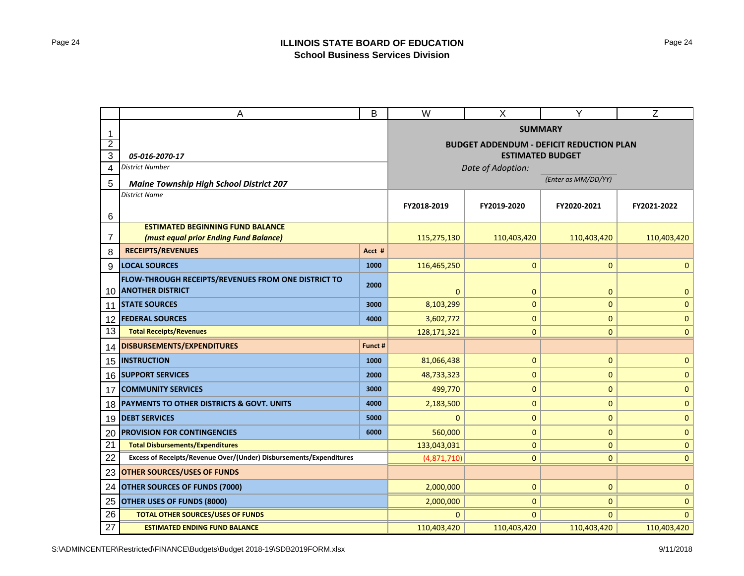|                | B<br>Α                                                             |             | W                                               | X                 | Y                       | Z            |  |
|----------------|--------------------------------------------------------------------|-------------|-------------------------------------------------|-------------------|-------------------------|--------------|--|
| -1             |                                                                    |             | <b>SUMMARY</b>                                  |                   |                         |              |  |
| 2              |                                                                    |             | <b>BUDGET ADDENDUM - DEFICIT REDUCTION PLAN</b> |                   |                         |              |  |
| 3              | 05-016-2070-17                                                     |             |                                                 |                   | <b>ESTIMATED BUDGET</b> |              |  |
| 4              | <b>District Number</b>                                             |             |                                                 | Date of Adoption: |                         |              |  |
| 5              | <b>Maine Township High School District 207</b>                     |             |                                                 |                   | (Enter as MM/DD/YY)     |              |  |
|                | <b>District Name</b>                                               |             |                                                 |                   |                         |              |  |
| 6              |                                                                    |             | FY2018-2019                                     | FY2019-2020       | FY2020-2021             | FY2021-2022  |  |
|                | <b>ESTIMATED BEGINNING FUND BALANCE</b>                            |             |                                                 |                   |                         |              |  |
| $\overline{7}$ | (must equal prior Ending Fund Balance)                             |             | 115,275,130                                     | 110,403,420       | 110,403,420             | 110,403,420  |  |
| 8              | <b>RECEIPTS/REVENUES</b>                                           | Acct #      |                                                 |                   |                         |              |  |
| 9              | <b>LOCAL SOURCES</b>                                               | 1000        | 116,465,250                                     | $\mathbf{0}$      | $\mathbf{0}$            | $\mathbf{0}$ |  |
|                | FLOW-THROUGH RECEIPTS/REVENUES FROM ONE DISTRICT TO                | 2000        |                                                 |                   |                         |              |  |
| 10             | <b>ANOTHER DISTRICT</b>                                            |             | $\mathbf{0}$                                    | $\mathbf{0}$      | $\mathbf 0$             | $\mathbf 0$  |  |
| 11             | <b>STATE SOURCES</b>                                               | 3000        | 8,103,299                                       | $\mathbf{0}$      | $\mathbf{0}$            | $\mathbf{0}$ |  |
| 12             | <b>FEDERAL SOURCES</b>                                             | 4000        | 3,602,772                                       | $\pmb{0}$         | $\pmb{0}$               | $\mathbf{0}$ |  |
| 13             | <b>Total Receipts/Revenues</b>                                     |             | 128,171,321                                     | $\mathbf{0}$      | $\mathbf{0}$            | $\mathbf{0}$ |  |
| 14             | DISBURSEMENTS/EXPENDITURES                                         | Funct #     |                                                 |                   |                         |              |  |
| 15             | <b>INSTRUCTION</b>                                                 | 1000        | 81,066,438                                      | $\pmb{0}$         | $\pmb{0}$               | $\mathbf{0}$ |  |
| 16             | <b>SUPPORT SERVICES</b>                                            | 2000        | 48,733,323                                      | $\mathbf{0}$      | $\mathbf{0}$            | $\mathbf{0}$ |  |
| 17             | <b>COMMUNITY SERVICES</b>                                          | 3000        | 499,770                                         | $\mathbf{0}$      | $\mathbf{0}$            | $\mathbf{0}$ |  |
| 18             | PAYMENTS TO OTHER DISTRICTS & GOVT. UNITS                          | 4000        | 2,183,500                                       | $\pmb{0}$         | $\pmb{0}$               | $\mathbf{0}$ |  |
| 19             | <b>DEBT SERVICES</b>                                               | 5000        | 0                                               | $\mathbf{0}$      | $\mathbf{0}$            | $\mathbf{0}$ |  |
| 20             | <b>PROVISION FOR CONTINGENCIES</b>                                 | 6000        | 560,000                                         | $\mathbf{0}$      | $\mathbf{0}$            | $\mathbf{0}$ |  |
| 21             | <b>Total Disbursements/Expenditures</b>                            | 133,043,031 | $\mathbf{0}$                                    | $\mathbf{0}$      | $\mathbf{0}$            |              |  |
| 22             | Excess of Receipts/Revenue Over/(Under) Disbursements/Expenditures | (4,871,710) | $\mathbf{0}$                                    | $\mathbf{0}$      | $\mathbf{0}$            |              |  |
| 23             | <b>OTHER SOURCES/USES OF FUNDS</b>                                 |             |                                                 |                   |                         |              |  |
| 24             | <b>OTHER SOURCES OF FUNDS (7000)</b>                               | 2,000,000   | $\mathbf{0}$                                    | $\mathbf{0}$      | $\mathbf{0}$            |              |  |
| 25             | OTHER USES OF FUNDS (8000)                                         |             | 2,000,000                                       | $\mathbf{0}$      | $\mathbf{0}$            | $\mathbf{0}$ |  |
| 26             | <b>TOTAL OTHER SOURCES/USES OF FUNDS</b>                           |             | $\Omega$                                        | $\Omega$          | $\Omega$                | $\Omega$     |  |
| 27             | <b>ESTIMATED ENDING FUND BALANCE</b>                               |             | 110,403,420                                     | 110,403,420       | 110,403,420             | 110,403,420  |  |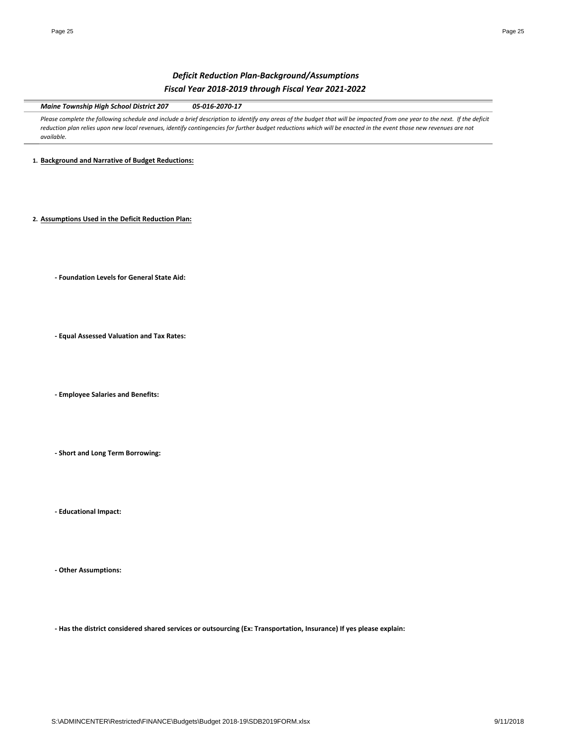# *Deficit Reduction Plan‐Background/Assumptions Fiscal Year 2018‐2019 through Fiscal Year 2021‐2022*

*Maine Township High School District 207 05‐016‐2070‐17*

Please complete the following schedule and include a brief description to identify any areas of the budget that will be impacted from one year to the next. If the deficit reduction plan relies upon new local revenues, identify contingencies for further budget reductions which will be enacted in the event those new revenues are not *available.* 

**1. Background and Narrative of Budget Reductions:**

**2. Assumptions Used in the Deficit Reduction Plan:**

**‐ Foundation Levels for General State Aid:**

**‐ Equal Assessed Valuation and Tax Rates:**

**‐ Employee Salaries and Benefits:**

**‐ Short and Long Term Borrowing:**

**‐ Educational Impact:**

**‐ Other Assumptions:**

- Has the district considered shared services or outsourcing (Ex: Transportation, Insurance) If yes please explain: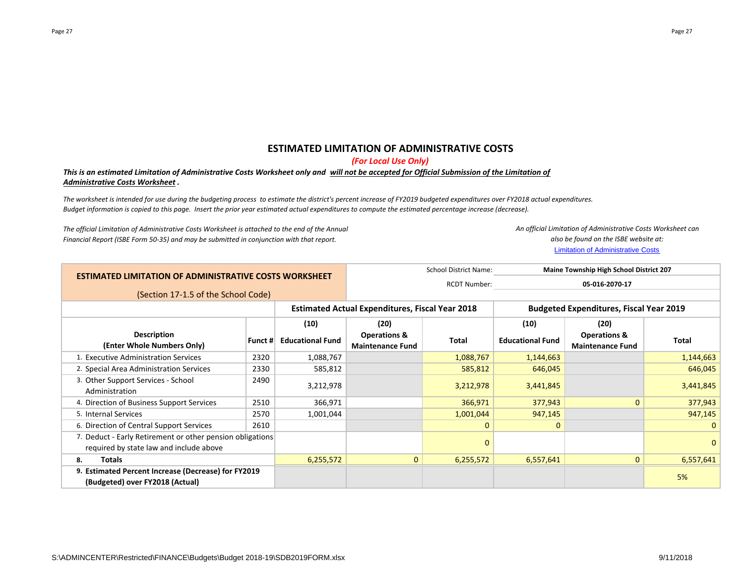# **ESTIMATED LIMITATION OF ADMINISTRATIVE COSTS**

*(For Local Use Only)*

## This is an estimated Limitation of Administrative Costs Worksheet only and <u>will not be accepted for Official Submission of the Limitation of</u> *Administrative Costs Worksheet .*

The worksheet is intended for use during the budgeting process to estimate the district's percent increase of FY2019 budgeted expenditures over FY2018 actual expenditures. Budget information is copied to this page. Insert the prior year estimated actual expenditures to compute the estimated percentage increase (decrease).

*The official Limitation of Administrative Costs Worksheet is attached to the end of the Annual Financial Report (ISBE Form 50‐35) and may be submitted in conjunction with that report.*

*An official Limitation of Administrative Costs Worksheet can also be found on the ISBE website at:*

Limitation of Administrative Costs

| <b>ESTIMATED LIMITATION OF ADMINISTRATIVE COSTS WORKSHEET</b> |         |                         | <b>School District Name:</b><br>Maine Township High School District 207 |                |                                                |                                                    |              |  |
|---------------------------------------------------------------|---------|-------------------------|-------------------------------------------------------------------------|----------------|------------------------------------------------|----------------------------------------------------|--------------|--|
|                                                               |         | <b>RCDT Number:</b>     |                                                                         | 05-016-2070-17 |                                                |                                                    |              |  |
| (Section 17-1.5 of the School Code)                           |         |                         |                                                                         |                |                                                |                                                    |              |  |
|                                                               |         |                         | <b>Estimated Actual Expenditures, Fiscal Year 2018</b>                  |                | <b>Budgeted Expenditures, Fiscal Year 2019</b> |                                                    |              |  |
|                                                               |         | (10)                    | (20)                                                                    |                | (10)                                           | (20)                                               |              |  |
| <b>Description</b><br>(Enter Whole Numbers Only)              | Funct # | <b>Educational Fund</b> | <b>Operations &amp;</b><br><b>Maintenance Fund</b>                      | Total          | <b>Educational Fund</b>                        | <b>Operations &amp;</b><br><b>Maintenance Fund</b> | Total        |  |
| 1. Executive Administration Services                          | 2320    | 1,088,767               |                                                                         | 1,088,767      | 1,144,663                                      |                                                    | 1,144,663    |  |
| 2. Special Area Administration Services                       | 2330    | 585,812                 |                                                                         | 585,812        | 646,045                                        |                                                    | 646,045      |  |
| 3. Other Support Services - School<br>Administration          | 2490    | 3,212,978               |                                                                         | 3,212,978      | 3,441,845                                      |                                                    | 3,441,845    |  |
| 4. Direction of Business Support Services                     | 2510    | 366,971                 |                                                                         | 366,971        | 377,943                                        | $\Omega$                                           | 377,943      |  |
| 5. Internal Services                                          | 2570    | 1,001,044               |                                                                         | 1,001,044      | 947,145                                        |                                                    | 947,145      |  |
| 6. Direction of Central Support Services                      | 2610    |                         |                                                                         | $\mathbf{0}$   | $\mathbf{0}$                                   |                                                    |              |  |
| 7. Deduct - Early Retirement or other pension obligations     |         |                         |                                                                         | 0              |                                                |                                                    | $\mathbf{0}$ |  |
| required by state law and include above                       |         |                         |                                                                         |                |                                                |                                                    |              |  |
| <b>Totals</b><br>8.                                           |         | 6,255,572               | $\mathbf{0}$                                                            | 6,255,572      | 6,557,641                                      | $\mathbf{0}$                                       | 6,557,641    |  |
| 9. Estimated Percent Increase (Decrease) for FY2019           |         |                         |                                                                         |                |                                                |                                                    | 5%           |  |
| (Budgeted) over FY2018 (Actual)                               |         |                         |                                                                         |                |                                                |                                                    |              |  |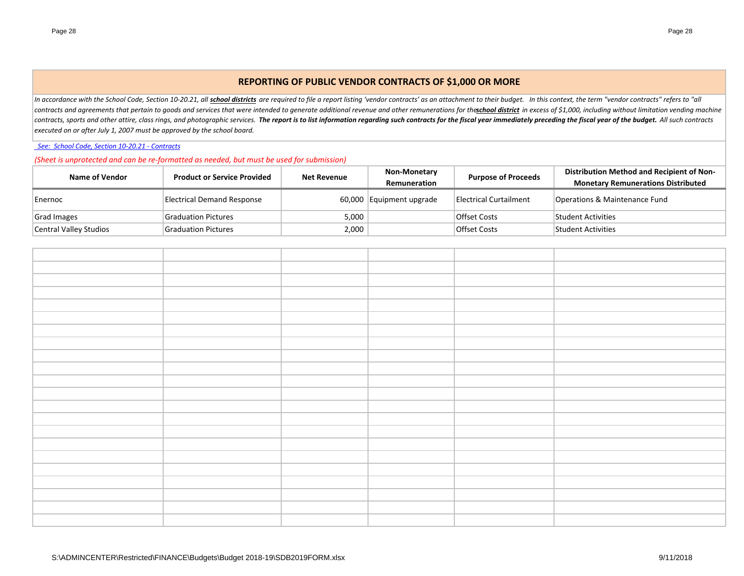# **REPORTING OF PUBLIC VENDOR CONTRACTS OF \$1,000 OR MORE**

In accordance with the School Code, Section 10-20.21, all <mark>school districts</mark> are required to file a report listing 'vendor contracts' as an attachment to their budget. In this context, the term "vendor contracts" refers to contracts and agreements that pertain to goods and services that were intended to generate additional revenue and other remunerations for theschool district in excess of \$1,000, including without limitation vending machine contracts, sports and other attire, class rings, and photographic services. The report is to list information regarding such contracts for the fiscal year immediately preceding the fiscal year of the budget. All such contr *executed on or after July 1, 2007 must be approved by the school board.*

*See: School Code, Section 10‐20.21 ‐ Contracts*

*(Sheet is unprotected and can be re‐formatted as needed, but must be used for submission)*

| Name of Vendor         | <b>Product or Service Provided</b> | <b>Net Revenue</b> | <b>Non-Monetary</b>      | <b>Purpose of Proceeds</b> | Distribution Method and Recipient of Non- |
|------------------------|------------------------------------|--------------------|--------------------------|----------------------------|-------------------------------------------|
|                        |                                    |                    | Remuneration             |                            | <b>Monetary Remunerations Distributed</b> |
| Enernoc                | Electrical Demand Response         |                    | 60,000 Equipment upgrade | Electrical Curtailment     | Operations & Maintenance Fund             |
| Grad Images            | <b>Graduation Pictures</b>         | 5,000              |                          | Offset Costs               | <b>Student Activities</b>                 |
| Central Valley Studios | <b>Graduation Pictures</b>         | 2,000              |                          | Offset Costs               | <b>Student Activities</b>                 |